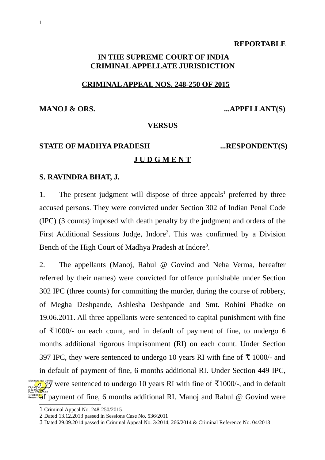#### **REPORTABLE**

# **IN THE SUPREME COURT OF INDIA CRIMINAL APPELLATE JURISDICTION**

#### **CRIMINAL APPEAL NOS. 248-250 OF 2015**

#### **MANOJ & ORS. ...APPELLANT(S)**

#### **VERSUS**

# **STATE OF MADHYA PRADESH ...RESPONDENT(S)**

### **J U D G M E N T**

#### **S. RAVINDRA BHAT, J.**

[1](#page-0-0). The present judgment will dispose of three appeals<sup>1</sup> preferred by three accused persons. They were convicted under Section 302 of Indian Penal Code (IPC) (3 counts) imposed with death penalty by the judgment and orders of the First Additional Sessions Judge, Indore<sup>[2](#page-0-1)</sup>. This was confirmed by a Division Bench of the High Court of Madhya Pradesh at Indore<sup>[3](#page-0-2)</sup>.

2. The appellants (Manoj, Rahul  $\varphi$  Govind and Neha Verma, hereafter referred by their names) were convicted for offence punishable under Section 302 IPC (three counts) for committing the murder, during the course of robbery, of Megha Deshpande, Ashlesha Deshpande and Smt. Rohini Phadke on 19.06.2011. All three appellants were sentenced to capital punishment with fine of  $\overline{x}$ 1000/- on each count, and in default of payment of fine, to undergo 6 months additional rigorous imprisonment (RI) on each count. Under Section 397 IPC, they were sentenced to undergo 10 years RI with fine of  $\bar{\tau}$  1000/- and in default of payment of fine, 6 months additional RI. Under Section 449 IPC,  $\sum_{\omega_{\text{obs}}(x,y) \in \mathbb{R}^m}$  were sentenced to undergo 10 years RI with fine of  $\bar{\tau}_{1000}/$  , and in default Date:202<mark>0</mark>5.20<br>Reason: **GI**f payment of fine, 6 months additional RI. Manoj and Rahul @ Govind were Indu Marwah Reason: Signature Not Verified

<span id="page-0-0"></span><sup>1</sup> Criminal Appeal No. 248-250/2015

<span id="page-0-1"></span><sup>2</sup> Dated 13.12.2013 passed in Sessions Case No. 536/2011

<span id="page-0-2"></span><sup>3</sup> Dated 29.09.2014 passed in Criminal Appeal No. 3/2014, 266/2014 & Criminal Reference No. 04/2013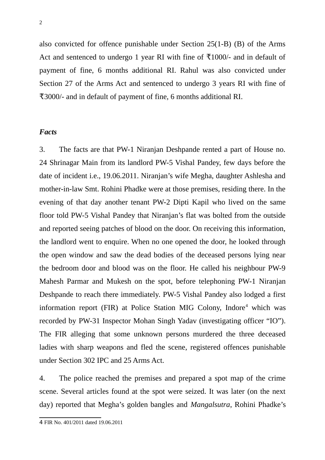also convicted for offence punishable under Section 25(1-B) (B) of the Arms Act and sentenced to undergo 1 year RI with fine of  $\overline{\text{1000}}$  and in default of payment of fine, 6 months additional RI. Rahul was also convicted under Section 27 of the Arms Act and sentenced to undergo 3 years RI with fine of ₹3000/- and in default of payment of fine, 6 months additional RI.

# *Facts*

3. The facts are that PW-1 Niranjan Deshpande rented a part of House no. 24 Shrinagar Main from its landlord PW-5 Vishal Pandey, few days before the date of incident i.e., 19.06.2011. Niranjan's wife Megha, daughter Ashlesha and mother-in-law Smt. Rohini Phadke were at those premises, residing there. In the evening of that day another tenant PW-2 Dipti Kapil who lived on the same floor told PW-5 Vishal Pandey that Niranjan's flat was bolted from the outside and reported seeing patches of blood on the door. On receiving this information, the landlord went to enquire. When no one opened the door, he looked through the open window and saw the dead bodies of the deceased persons lying near the bedroom door and blood was on the floor. He called his neighbour PW-9 Mahesh Parmar and Mukesh on the spot, before telephoning PW-1 Niranjan Deshpande to reach there immediately. PW-5 Vishal Pandey also lodged a first information report (FIR) at Police Station MIG Colony, Indore<sup>[4](#page-1-0)</sup> which was recorded by PW-31 Inspector Mohan Singh Yadav (investigating officer "IO"). The FIR alleging that some unknown persons murdered the three deceased ladies with sharp weapons and fled the scene, registered offences punishable under Section 302 IPC and 25 Arms Act.

4. The police reached the premises and prepared a spot map of the crime scene. Several articles found at the spot were seized. It was later (on the next day) reported that Megha's golden bangles and *Mangalsutra*, Rohini Phadke's

<span id="page-1-0"></span><sup>4</sup> FIR No. 401/2011 dated 19.06.2011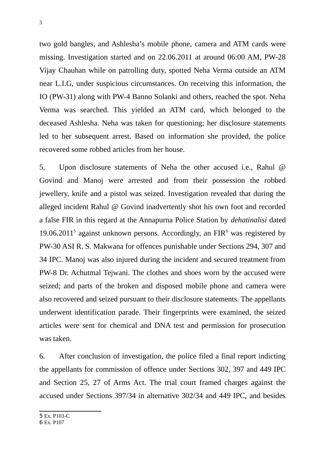two gold bangles, and Ashlesha's mobile phone, camera and ATM cards were missing. Investigation started and on 22.06.2011 at around 06:00 AM, PW-28 Vijay Chauhan while on patrolling duty, spotted Neha Verma outside an ATM near L.I.G, under suspicious circumstances. On receiving this information, the IO (PW-31) along with PW-4 Banno Solanki and others, reached the spot. Neha Verma was searched. This yielded an ATM card, which belonged to the deceased Ashlesha. Neha was taken for questioning; her disclosure statements led to her subsequent arrest. Based on information she provided, the police recovered some robbed articles from her house.

5. Upon disclosure statements of Neha the other accused i.e., Rahul  $\omega$ Govind and Manoj were arrested and from their possession the robbed jewellery, knife and a pistol was seized. Investigation revealed that during the alleged incident Rahul  $\omega$  Govind inadvertently shot his own foot and recorded a false FIR in this regard at the Annapurna Police Station by *dehatinalisi* dated 19.06.2011<sup>[5](#page-2-0)</sup> against unknown persons. Accordingly, an FIR $<sup>6</sup>$  $<sup>6</sup>$  $<sup>6</sup>$  was registered by</sup> PW-30 ASI R. S. Makwana for offences punishable under Sections 294, 307 and 34 IPC. Manoj was also injured during the incident and secured treatment from PW-8 Dr. Achutmal Tejwani. The clothes and shoes worn by the accused were seized; and parts of the broken and disposed mobile phone and camera were also recovered and seized pursuant to their disclosure statements. The appellants underwent identification parade. Their fingerprints were examined, the seized articles were sent for chemical and DNA test and permission for prosecution was taken.

<span id="page-2-1"></span><span id="page-2-0"></span>6. After conclusion of investigation, the police filed a final report indicting the appellants for commission of offence under Sections 302, 397 and 449 IPC and Section 25, 27 of Arms Act. The trial court framed charges against the accused under Sections 397/34 in alternative 302/34 and 449 IPC, and besides

3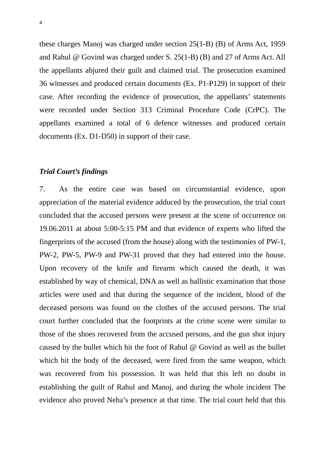these charges Manoj was charged under section 25(1-B) (B) of Arms Act, 1959 and Rahul  $\omega$  Govind was charged under S. 25(1-B) (B) and 27 of Arms Act. All the appellants abjured their guilt and claimed trial. The prosecution examined 36 witnesses and produced certain documents (Ex. P1-P129) in support of their case. After recording the evidence of prosecution, the appellants' statements were recorded under Section 313 Criminal Procedure Code (CrPC). The appellants examined a total of 6 defence witnesses and produced certain documents (Ex. D1-D50) in support of their case.

# *Trial Court's findings*

7. As the entire case was based on circumstantial evidence, upon appreciation of the material evidence adduced by the prosecution, the trial court concluded that the accused persons were present at the scene of occurrence on 19.06.2011 at about 5:00-5:15 PM and that evidence of experts who lifted the fingerprints of the accused (from the house) along with the testimonies of PW-1, PW-2, PW-5, PW-9 and PW-31 proved that they had entered into the house. Upon recovery of the knife and firearm which caused the death, it was established by way of chemical, DNA as well as ballistic examination that those articles were used and that during the sequence of the incident, blood of the deceased persons was found on the clothes of the accused persons. The trial court further concluded that the footprints at the crime scene were similar to those of the shoes recovered from the accused persons, and the gun shot injury caused by the bullet which hit the foot of Rahul  $\omega$  Govind as well as the bullet which hit the body of the deceased, were fired from the same weapon, which was recovered from his possession. It was held that this left no doubt in establishing the guilt of Rahul and Manoj, and during the whole incident The evidence also proved Neha's presence at that time. The trial court held that this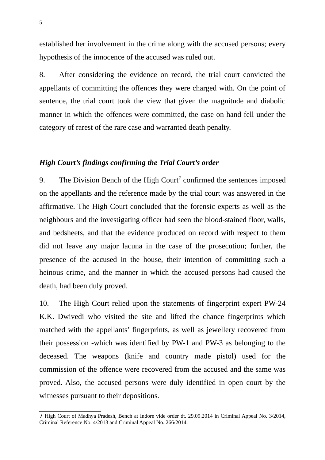established her involvement in the crime along with the accused persons; every hypothesis of the innocence of the accused was ruled out.

8. After considering the evidence on record, the trial court convicted the appellants of committing the offences they were charged with. On the point of sentence, the trial court took the view that given the magnitude and diabolic manner in which the offences were committed, the case on hand fell under the category of rarest of the rare case and warranted death penalty.

# *High Court's findings confirming the Trial Court's order*

9. The Division Bench of the High Court<sup>[7](#page-4-0)</sup> confirmed the sentences imposed on the appellants and the reference made by the trial court was answered in the affirmative. The High Court concluded that the forensic experts as well as the neighbours and the investigating officer had seen the blood-stained floor, walls, and bedsheets, and that the evidence produced on record with respect to them did not leave any major lacuna in the case of the prosecution; further, the presence of the accused in the house, their intention of committing such a heinous crime, and the manner in which the accused persons had caused the death, had been duly proved.

10. The High Court relied upon the statements of fingerprint expert PW-24 K.K. Dwivedi who visited the site and lifted the chance fingerprints which matched with the appellants' fingerprints, as well as jewellery recovered from their possession -which was identified by PW-1 and PW-3 as belonging to the deceased. The weapons (knife and country made pistol) used for the commission of the offence were recovered from the accused and the same was proved. Also, the accused persons were duly identified in open court by the witnesses pursuant to their depositions.

<span id="page-4-0"></span><sup>7</sup> High Court of Madhya Pradesh, Bench at Indore vide order dt. 29.09.2014 in Criminal Appeal No. 3/2014, Criminal Reference No. 4/2013 and Criminal Appeal No. 266/2014.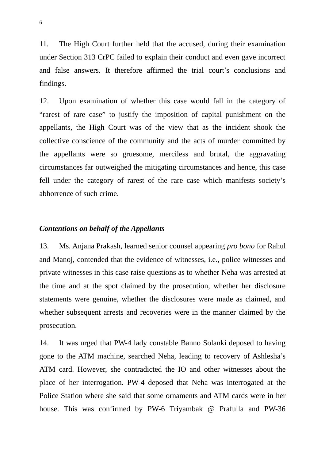11. The High Court further held that the accused, during their examination under Section 313 CrPC failed to explain their conduct and even gave incorrect and false answers. It therefore affirmed the trial court's conclusions and findings.

12. Upon examination of whether this case would fall in the category of "rarest of rare case" to justify the imposition of capital punishment on the appellants, the High Court was of the view that as the incident shook the collective conscience of the community and the acts of murder committed by the appellants were so gruesome, merciless and brutal, the aggravating circumstances far outweighed the mitigating circumstances and hence, this case fell under the category of rarest of the rare case which manifests society's abhorrence of such crime.

# *Contentions on behalf of the Appellants*

13. Ms. Anjana Prakash, learned senior counsel appearing *pro bono* for Rahul and Manoj*,* contended that the evidence of witnesses, i.e., police witnesses and private witnesses in this case raise questions as to whether Neha was arrested at the time and at the spot claimed by the prosecution, whether her disclosure statements were genuine, whether the disclosures were made as claimed, and whether subsequent arrests and recoveries were in the manner claimed by the prosecution.

14. It was urged that PW-4 lady constable Banno Solanki deposed to having gone to the ATM machine, searched Neha, leading to recovery of Ashlesha's ATM card. However, she contradicted the IO and other witnesses about the place of her interrogation. PW-4 deposed that Neha was interrogated at the Police Station where she said that some ornaments and ATM cards were in her house. This was confirmed by PW-6 Triyambak @ Prafulla and PW-36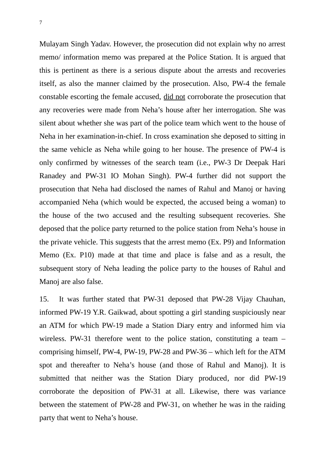Mulayam Singh Yadav. However, the prosecution did not explain why no arrest memo/ information memo was prepared at the Police Station. It is argued that this is pertinent as there is a serious dispute about the arrests and recoveries itself, as also the manner claimed by the prosecution. Also, PW-4 the female constable escorting the female accused, did not corroborate the prosecution that any recoveries were made from Neha's house after her interrogation. She was silent about whether she was part of the police team which went to the house of Neha in her examination-in-chief. In cross examination she deposed to sitting in the same vehicle as Neha while going to her house. The presence of PW-4 is only confirmed by witnesses of the search team (i.e., PW-3 Dr Deepak Hari Ranadey and PW-31 IO Mohan Singh). PW-4 further did not support the prosecution that Neha had disclosed the names of Rahul and Manoj or having accompanied Neha (which would be expected, the accused being a woman) to the house of the two accused and the resulting subsequent recoveries. She deposed that the police party returned to the police station from Neha's house in the private vehicle. This suggests that the arrest memo (Ex. P9) and Information Memo (Ex. P10) made at that time and place is false and as a result, the subsequent story of Neha leading the police party to the houses of Rahul and Manoj are also false.

15. It was further stated that PW-31 deposed that PW-28 Vijay Chauhan, informed PW-19 Y.R. Gaikwad, about spotting a girl standing suspiciously near an ATM for which PW-19 made a Station Diary entry and informed him via wireless. PW-31 therefore went to the police station, constituting a team  $$ comprising himself, PW-4, PW-19, PW-28 and PW-36 – which left for the ATM spot and thereafter to Neha's house (and those of Rahul and Manoj). It is submitted that neither was the Station Diary produced, nor did PW-19 corroborate the deposition of PW-31 at all. Likewise, there was variance between the statement of PW-28 and PW-31, on whether he was in the raiding party that went to Neha's house.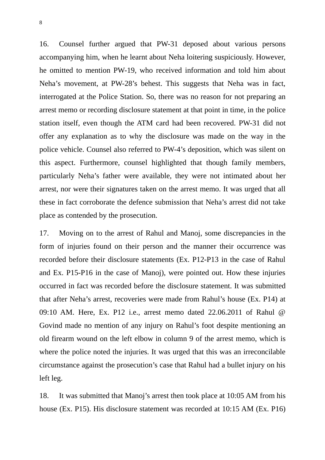16. Counsel further argued that PW-31 deposed about various persons accompanying him, when he learnt about Neha loitering suspiciously. However, he omitted to mention PW-19, who received information and told him about Neha's movement, at PW-28's behest. This suggests that Neha was in fact, interrogated at the Police Station. So, there was no reason for not preparing an arrest memo or recording disclosure statement at that point in time, in the police station itself, even though the ATM card had been recovered. PW-31 did not offer any explanation as to why the disclosure was made on the way in the police vehicle. Counsel also referred to PW-4's deposition, which was silent on this aspect. Furthermore, counsel highlighted that though family members, particularly Neha's father were available, they were not intimated about her arrest, nor were their signatures taken on the arrest memo. It was urged that all these in fact corroborate the defence submission that Neha's arrest did not take place as contended by the prosecution.

17. Moving on to the arrest of Rahul and Manoj, some discrepancies in the form of injuries found on their person and the manner their occurrence was recorded before their disclosure statements (Ex. P12-P13 in the case of Rahul and Ex. P15-P16 in the case of Manoj), were pointed out. How these injuries occurred in fact was recorded before the disclosure statement. It was submitted that after Neha's arrest, recoveries were made from Rahul's house (Ex. P14) at 09:10 AM. Here, Ex. P12 i.e., arrest memo dated 22.06.2011 of Rahul  $\omega$ Govind made no mention of any injury on Rahul's foot despite mentioning an old firearm wound on the left elbow in column 9 of the arrest memo, which is where the police noted the injuries. It was urged that this was an irreconcilable circumstance against the prosecution's case that Rahul had a bullet injury on his left leg.

18. It was submitted that Manoj's arrest then took place at 10:05 AM from his house (Ex. P15). His disclosure statement was recorded at 10:15 AM (Ex. P16)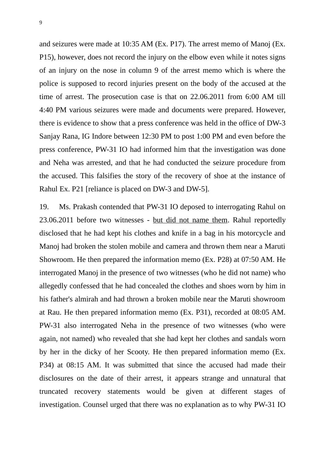and seizures were made at 10:35 AM (Ex. P17). The arrest memo of Manoj (Ex. P15), however, does not record the injury on the elbow even while it notes signs of an injury on the nose in column 9 of the arrest memo which is where the police is supposed to record injuries present on the body of the accused at the time of arrest. The prosecution case is that on 22.06.2011 from 6:00 AM till 4:40 PM various seizures were made and documents were prepared. However, there is evidence to show that a press conference was held in the office of DW-3 Sanjay Rana, IG Indore between 12:30 PM to post 1:00 PM and even before the press conference, PW-31 IO had informed him that the investigation was done and Neha was arrested, and that he had conducted the seizure procedure from the accused. This falsifies the story of the recovery of shoe at the instance of Rahul Ex. P21 [reliance is placed on DW-3 and DW-5].

19. Ms. Prakash contended that PW-31 IO deposed to interrogating Rahul on 23.06.2011 before two witnesses - but did not name them. Rahul reportedly disclosed that he had kept his clothes and knife in a bag in his motorcycle and Manoj had broken the stolen mobile and camera and thrown them near a Maruti Showroom. He then prepared the information memo (Ex. P28) at 07:50 AM. He interrogated Manoj in the presence of two witnesses (who he did not name) who allegedly confessed that he had concealed the clothes and shoes worn by him in his father's almirah and had thrown a broken mobile near the Maruti showroom at Rau. He then prepared information memo (Ex. P31), recorded at 08:05 AM. PW-31 also interrogated Neha in the presence of two witnesses (who were again, not named) who revealed that she had kept her clothes and sandals worn by her in the dicky of her Scooty. He then prepared information memo (Ex. P34) at 08:15 AM. It was submitted that since the accused had made their disclosures on the date of their arrest, it appears strange and unnatural that truncated recovery statements would be given at different stages of investigation. Counsel urged that there was no explanation as to why PW-31 IO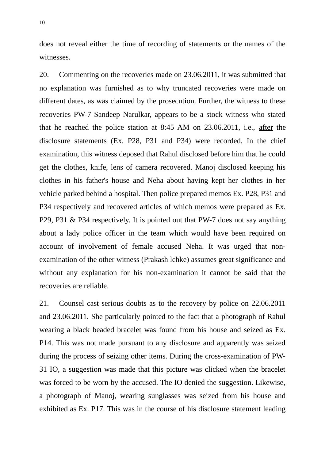does not reveal either the time of recording of statements or the names of the witnesses.

20. Commenting on the recoveries made on 23.06.2011, it was submitted that no explanation was furnished as to why truncated recoveries were made on different dates, as was claimed by the prosecution. Further, the witness to these recoveries PW-7 Sandeep Narulkar, appears to be a stock witness who stated that he reached the police station at 8:45 AM on 23.06.2011, i.e., after the disclosure statements (Ex. P28, P31 and P34) were recorded*.* In the chief examination, this witness deposed that Rahul disclosed before him that he could get the clothes, knife, lens of camera recovered. Manoj disclosed keeping his clothes in his father's house and Neha about having kept her clothes in her vehicle parked behind a hospital. Then police prepared memos Ex. P28, P31 and P34 respectively and recovered articles of which memos were prepared as Ex. P29, P31 & P34 respectively. It is pointed out that PW-7 does not say anything about a lady police officer in the team which would have been required on account of involvement of female accused Neha. It was urged that nonexamination of the other witness (Prakash lchke) assumes great significance and without any explanation for his non-examination it cannot be said that the recoveries are reliable.

21. Counsel cast serious doubts as to the recovery by police on 22.06.2011 and 23.06.2011. She particularly pointed to the fact that a photograph of Rahul wearing a black beaded bracelet was found from his house and seized as Ex. P14. This was not made pursuant to any disclosure and apparently was seized during the process of seizing other items. During the cross-examination of PW-31 IO, a suggestion was made that this picture was clicked when the bracelet was forced to be worn by the accused. The IO denied the suggestion. Likewise, a photograph of Manoj, wearing sunglasses was seized from his house and exhibited as Ex. P17. This was in the course of his disclosure statement leading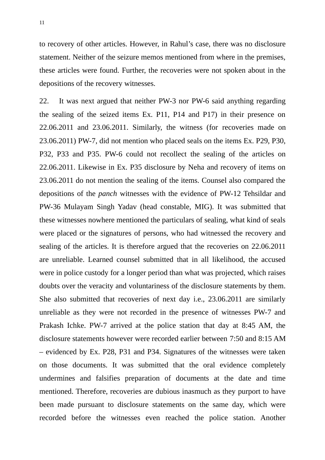to recovery of other articles. However, in Rahul's case, there was no disclosure statement. Neither of the seizure memos mentioned from where in the premises, these articles were found. Further, the recoveries were not spoken about in the depositions of the recovery witnesses.

22. It was next argued that neither PW-3 nor PW-6 said anything regarding the sealing of the seized items Ex. P11, P14 and P17) in their presence on 22.06.2011 and 23.06.2011. Similarly, the witness (for recoveries made on 23.06.2011) PW-7, did not mention who placed seals on the items Ex. P29, P30, P32, P33 and P35. PW-6 could not recollect the sealing of the articles on 22.06.2011. Likewise in Ex. P35 disclosure by Neha and recovery of items on 23.06.2011 do not mention the sealing of the items. Counsel also compared the depositions of the *panch* witnesses with the evidence of PW-12 Tehsildar and PW-36 Mulayam Singh Yadav (head constable, MIG). It was submitted that these witnesses nowhere mentioned the particulars of sealing, what kind of seals were placed or the signatures of persons, who had witnessed the recovery and sealing of the articles. It is therefore argued that the recoveries on 22.06.2011 are unreliable. Learned counsel submitted that in all likelihood, the accused were in police custody for a longer period than what was projected, which raises doubts over the veracity and voluntariness of the disclosure statements by them. She also submitted that recoveries of next day i.e., 23.06.2011 are similarly unreliable as they were not recorded in the presence of witnesses PW-7 and Prakash Ichke. PW-7 arrived at the police station that day at 8:45 AM, the disclosure statements however were recorded earlier between 7:50 and 8:15 AM – evidenced by Ex. P28, P31 and P34. Signatures of the witnesses were taken on those documents. It was submitted that the oral evidence completely undermines and falsifies preparation of documents at the date and time mentioned. Therefore, recoveries are dubious inasmuch as they purport to have been made pursuant to disclosure statements on the same day, which were recorded before the witnesses even reached the police station. Another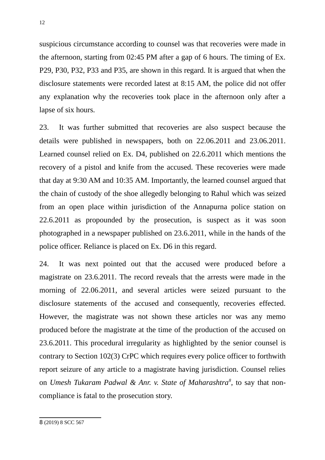suspicious circumstance according to counsel was that recoveries were made in the afternoon, starting from 02:45 PM after a gap of 6 hours. The timing of Ex. P29, P30, P32, P33 and P35, are shown in this regard. It is argued that when the disclosure statements were recorded latest at 8:15 AM, the police did not offer any explanation why the recoveries took place in the afternoon only after a lapse of six hours.

23. It was further submitted that recoveries are also suspect because the details were published in newspapers, both on 22.06.2011 and 23.06.2011. Learned counsel relied on Ex. D4, published on 22.6.2011 which mentions the recovery of a pistol and knife from the accused. These recoveries were made that day at 9:30 AM and 10:35 AM. Importantly, the learned counsel argued that the chain of custody of the shoe allegedly belonging to Rahul which was seized from an open place within jurisdiction of the Annapurna police station on 22.6.2011 as propounded by the prosecution, is suspect as it was soon photographed in a newspaper published on 23.6.2011, while in the hands of the police officer. Reliance is placed on Ex. D6 in this regard.

<span id="page-11-0"></span>24. It was next pointed out that the accused were produced before a magistrate on 23.6.2011. The record reveals that the arrests were made in the morning of 22.06.2011, and several articles were seized pursuant to the disclosure statements of the accused and consequently, recoveries effected. However, the magistrate was not shown these articles nor was any memo produced before the magistrate at the time of the production of the accused on 23.6.2011. This procedural irregularity as highlighted by the senior counsel is contrary to Section 102(3) CrPC which requires every police officer to forthwith report seizure of any article to a magistrate having jurisdiction. Counsel relies on *Umesh Tukaram Padwal & Anr. v. State of Maharashtra[8](#page-11-0)* , to say that noncompliance is fatal to the prosecution story.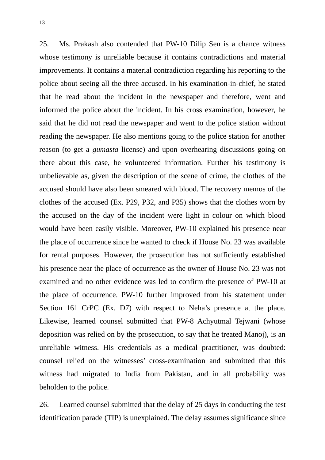25. Ms. Prakash also contended that PW-10 Dilip Sen is a chance witness whose testimony is unreliable because it contains contradictions and material improvements. It contains a material contradiction regarding his reporting to the police about seeing all the three accused. In his examination-in-chief, he stated that he read about the incident in the newspaper and therefore, went and informed the police about the incident. In his cross examination, however, he said that he did not read the newspaper and went to the police station without reading the newspaper. He also mentions going to the police station for another reason (to get a *gumasta* license) and upon overhearing discussions going on there about this case, he volunteered information. Further his testimony is unbelievable as, given the description of the scene of crime, the clothes of the accused should have also been smeared with blood. The recovery memos of the clothes of the accused (Ex. P29, P32, and P35) shows that the clothes worn by the accused on the day of the incident were light in colour on which blood would have been easily visible. Moreover, PW-10 explained his presence near the place of occurrence since he wanted to check if House No. 23 was available for rental purposes. However, the prosecution has not sufficiently established his presence near the place of occurrence as the owner of House No. 23 was not examined and no other evidence was led to confirm the presence of PW-10 at the place of occurrence. PW-10 further improved from his statement under Section 161 CrPC (Ex. D7) with respect to Neha's presence at the place. Likewise, learned counsel submitted that PW-8 Achyutmal Tejwani (whose deposition was relied on by the prosecution, to say that he treated Manoj), is an unreliable witness. His credentials as a medical practitioner, was doubted: counsel relied on the witnesses' cross-examination and submitted that this witness had migrated to India from Pakistan, and in all probability was beholden to the police.

26. Learned counsel submitted that the delay of 25 days in conducting the test identification parade (TIP) is unexplained. The delay assumes significance since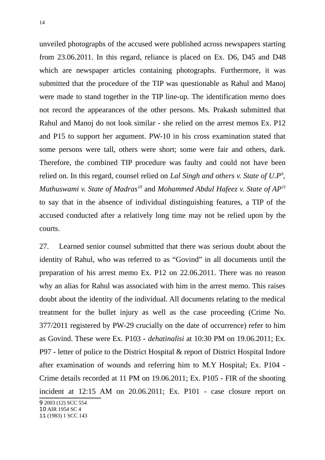unveiled photographs of the accused were published across newspapers starting from 23.06.2011. In this regard, reliance is placed on Ex. D6, D45 and D48 which are newspaper articles containing photographs. Furthermore, it was submitted that the procedure of the TIP was questionable as Rahul and Manoj were made to stand together in the TIP line-up. The identification memo does not record the appearances of the other persons. Ms. Prakash submitted that Rahul and Manoj do not look similar - she relied on the arrest memos Ex. P12 and P15 to support her argument. PW-10 in his cross examination stated that some persons were tall, others were short; some were fair and others, dark. Therefore, the combined TIP procedure was faulty and could not have been relied on. In this regard, counsel relied on *Lal Singh and others v. State of U.P[9](#page-13-0) , Muthuswami v. State of Madras[10](#page-13-1)* and *Mohammed Abdul Hafeez v. State of AP[11](#page-13-2)* to say that in the absence of individual distinguishing features, a TIP of the accused conducted after a relatively long time may not be relied upon by the courts.

27. Learned senior counsel submitted that there was serious doubt about the identity of Rahul, who was referred to as "Govind" in all documents until the preparation of his arrest memo Ex. P12 on 22.06.2011. There was no reason why an alias for Rahul was associated with him in the arrest memo. This raises doubt about the identity of the individual. All documents relating to the medical treatment for the bullet injury as well as the case proceeding (Crime No. 377/2011 registered by PW-29 crucially on the date of occurrence) refer to him as Govind. These were Ex. P103 - *dehatinalisi* at 10:30 PM on 19.06.2011; Ex. P97 - letter of police to the District Hospital & report of District Hospital Indore after examination of wounds and referring him to M.Y Hospital; Ex. P104 - Crime details recorded at 11 PM on 19.06.2011; Ex. P105 - FIR of the shooting incident at 12:15 AM on 20.06.2011; Ex. P101 - case closure report on

<span id="page-13-2"></span><span id="page-13-1"></span><span id="page-13-0"></span>9 2003 (12) SCC 554 10 AIR 1954 SC 4 11 (1983) 1 SCC 143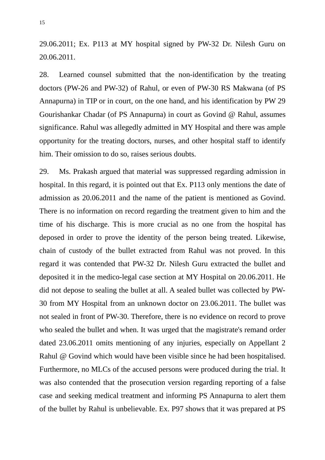29.06.2011; Ex. P113 at MY hospital signed by PW-32 Dr. Nilesh Guru on 20.06.2011.

28. Learned counsel submitted that the non-identification by the treating doctors (PW-26 and PW-32) of Rahul, or even of PW-30 RS Makwana (of PS Annapurna) in TIP or in court, on the one hand, and his identification by PW 29 Gourishankar Chadar (of PS Annapurna) in court as Govind @ Rahul, assumes significance. Rahul was allegedly admitted in MY Hospital and there was ample opportunity for the treating doctors, nurses, and other hospital staff to identify him. Their omission to do so, raises serious doubts.

29. Ms. Prakash argued that material was suppressed regarding admission in hospital. In this regard, it is pointed out that Ex. P113 only mentions the date of admission as 20.06.2011 and the name of the patient is mentioned as Govind. There is no information on record regarding the treatment given to him and the time of his discharge. This is more crucial as no one from the hospital has deposed in order to prove the identity of the person being treated. Likewise, chain of custody of the bullet extracted from Rahul was not proved. In this regard it was contended that PW-32 Dr. Nilesh Guru extracted the bullet and deposited it in the medico-legal case section at MY Hospital on 20.06.2011. He did not depose to sealing the bullet at all. A sealed bullet was collected by PW-30 from MY Hospital from an unknown doctor on 23.06.2011. The bullet was not sealed in front of PW-30. Therefore, there is no evidence on record to prove who sealed the bullet and when. It was urged that the magistrate's remand order dated 23.06.2011 omits mentioning of any injuries, especially on Appellant 2 Rahul @ Govind which would have been visible since he had been hospitalised. Furthermore, no MLCs of the accused persons were produced during the trial. It was also contended that the prosecution version regarding reporting of a false case and seeking medical treatment and informing PS Annapurna to alert them of the bullet by Rahul is unbelievable. Ex. P97 shows that it was prepared at PS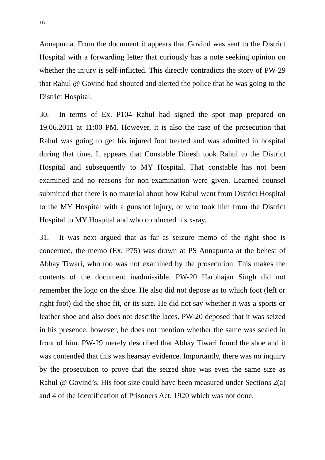Annapurna. From the document it appears that Govind was sent to the District Hospital with a forwarding letter that curiously has a note seeking opinion on whether the injury is self-inflicted. This directly contradicts the story of PW-29 that Rahul  $\omega$  Govind had shouted and alerted the police that he was going to the District Hospital.

30. In terms of Ex. P104 Rahul had signed the spot map prepared on 19.06.2011 at 11:00 PM. However, it is also the case of the prosecution that Rahul was going to get his injured foot treated and was admitted in hospital during that time. It appears that Constable Dinesh took Rahul to the District Hospital and subsequently to MY Hospital. That constable has not been examined and no reasons for non-examination were given. Learned counsel submitted that there is no material about how Rahul went from District Hospital to the MY Hospital with a gunshot injury, or who took him from the District Hospital to MY Hospital and who conducted his x-ray.

31. It was next argued that as far as seizure memo of the right shoe is concerned, the memo (Ex. P75) was drawn at PS Annapurna at the behest of Abhay Tiwari, who too was not examined by the prosecution. This makes the contents of the document inadmissible. PW-20 Harbhajan Singh did not remember the logo on the shoe. He also did not depose as to which foot (left or right foot) did the shoe fit, or its size. He did not say whether it was a sports or leather shoe and also does not describe laces. PW-20 deposed that it was seized in his presence, however, he does not mention whether the same was sealed in front of him. PW-29 merely described that Abhay Tiwari found the shoe and it was contended that this was hearsay evidence. Importantly, there was no inquiry by the prosecution to prove that the seized shoe was even the same size as Rahul  $\omega$  Govind's. His foot size could have been measured under Sections 2(a) and 4 of the Identification of Prisoners Act, 1920 which was not done.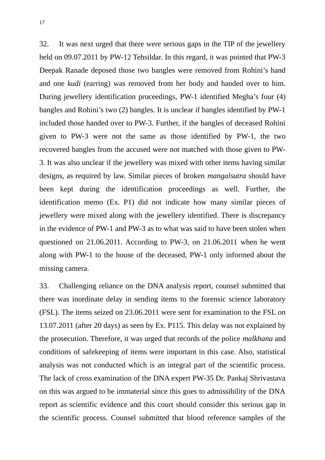32. It was next urged that there were serious gaps in the TIP of the jewellery held on 09.07.2011 by PW-12 Tehsildar. In this regard, it was pointed that PW-3 Deepak Ranade deposed those two bangles were removed from Rohini's hand and one *kudi* (earring) was removed from her body and handed over to him. During jewellery identification proceedings, PW-1 identified Megha's four (4) bangles and Rohini's two (2) bangles. It is unclear if bangles identified by PW-1 included those handed over to PW-3. Further, if the bangles of deceased Rohini given to PW-3 were not the same as those identified by PW-1, the two recovered bangles from the accused were not matched with those given to PW-3. It was also unclear if the jewellery was mixed with other items having similar designs, as required by law. Similar pieces of broken *mangalsutra* should have been kept during the identification proceedings as well. Further, the identification memo (Ex. P1) did not indicate how many similar pieces of jewellery were mixed along with the jewellery identified. There is discrepancy in the evidence of PW-1 and PW-3 as to what was said to have been stolen when questioned on 21.06.2011. According to PW-3, on 21.06.2011 when he went along with PW-1 to the house of the deceased, PW-1 only informed about the missing camera.

33. Challenging reliance on the DNA analysis report, counsel submitted that there was inordinate delay in sending items to the forensic science laboratory (FSL). The items seized on 23.06.2011 were sent for examination to the FSL on 13.07.2011 (after 20 days) as seen by Ex. P115. This delay was not explained by the prosecution. Therefore, it was urged that records of the police *malkhana* and conditions of safekeeping of items were important in this case. Also, statistical analysis was not conducted which is an integral part of the scientific process. The lack of cross examination of the DNA expert PW-35 Dr. Pankaj Shrivastava on this was argued to be immaterial since this goes to admissibility of the DNA report as scientific evidence and this court should consider this serious gap in the scientific process. Counsel submitted that blood reference samples of the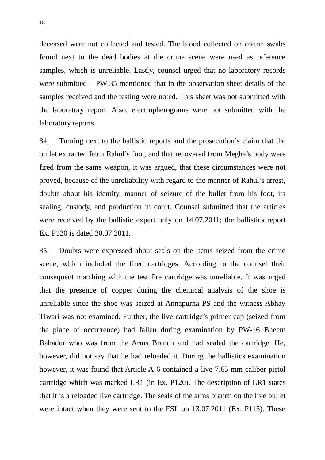deceased were not collected and tested. The blood collected on cotton swabs found next to the dead bodies at the crime scene were used as reference samples, which is unreliable. Lastly, counsel urged that no laboratory records were submitted – PW-35 mentioned that in the observation sheet details of the samples received and the testing were noted. This sheet was not submitted with the laboratory report. Also, electropherograms were not submitted with the laboratory reports.

34. Turning next to the ballistic reports and the prosecution's claim that the bullet extracted from Rahul's foot, and that recovered from Megha's body were fired from the same weapon, it was argued, that these circumstances were not proved, because of the unreliability with regard to the manner of Rahul's arrest, doubts about his identity, manner of seizure of the bullet from his foot, its sealing, custody, and production in court. Counsel submitted that the articles were received by the ballistic expert only on 14.07.2011; the ballistics report Ex. P120 is dated 30.07.2011.

35. Doubts were expressed about seals on the items seized from the crime scene, which included the fired cartridges. According to the counsel their consequent matching with the test fire cartridge was unreliable. It was urged that the presence of copper during the chemical analysis of the shoe is unreliable since the shoe was seized at Annapurna PS and the witness Abhay Tiwari was not examined. Further, the live cartridge's primer cap (seized from the place of occurrence) had fallen during examination by PW-16 Bheem Bahadur who was from the Arms Branch and had sealed the cartridge. He, however, did not say that he had reloaded it. During the ballistics examination however, it was found that Article A-6 contained a live 7.65 mm caliber pistol cartridge which was marked LR1 (in Ex. P120). The description of LR1 states that it is a reloaded live cartridge. The seals of the arms branch on the live bullet were intact when they were sent to the FSL on 13.07.2011 (Ex. P115). These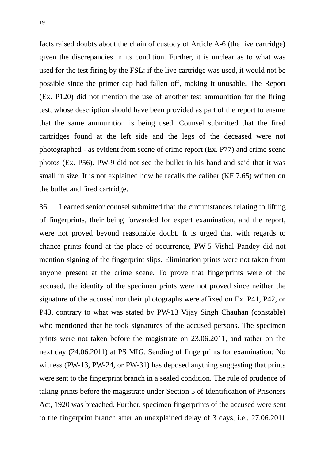facts raised doubts about the chain of custody of Article A-6 (the live cartridge) given the discrepancies in its condition. Further, it is unclear as to what was used for the test firing by the FSL: if the live cartridge was used, it would not be possible since the primer cap had fallen off, making it unusable. The Report (Ex. P120) did not mention the use of another test ammunition for the firing test, whose description should have been provided as part of the report to ensure that the same ammunition is being used. Counsel submitted that the fired cartridges found at the left side and the legs of the deceased were not photographed - as evident from scene of crime report (Ex. P77) and crime scene photos (Ex. P56). PW-9 did not see the bullet in his hand and said that it was small in size. It is not explained how he recalls the caliber (KF 7.65) written on the bullet and fired cartridge.

36. Learned senior counsel submitted that the circumstances relating to lifting of fingerprints, their being forwarded for expert examination, and the report, were not proved beyond reasonable doubt. It is urged that with regards to chance prints found at the place of occurrence, PW-5 Vishal Pandey did not mention signing of the fingerprint slips. Elimination prints were not taken from anyone present at the crime scene. To prove that fingerprints were of the accused, the identity of the specimen prints were not proved since neither the signature of the accused nor their photographs were affixed on Ex. P41, P42, or P43, contrary to what was stated by PW-13 Vijay Singh Chauhan (constable) who mentioned that he took signatures of the accused persons. The specimen prints were not taken before the magistrate on 23.06.2011, and rather on the next day (24.06.2011) at PS MIG. Sending of fingerprints for examination: No witness (PW-13, PW-24, or PW-31) has deposed anything suggesting that prints were sent to the fingerprint branch in a sealed condition. The rule of prudence of taking prints before the magistrate under Section 5 of Identification of Prisoners Act, 1920 was breached. Further, specimen fingerprints of the accused were sent to the fingerprint branch after an unexplained delay of 3 days, i.e., 27.06.2011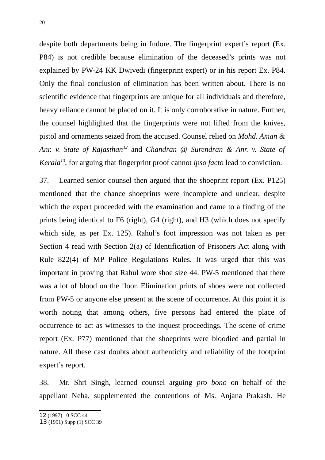despite both departments being in Indore. The fingerprint expert's report (Ex. P84) is not credible because elimination of the deceased's prints was not explained by PW-24 KK Dwivedi (fingerprint expert) or in his report Ex. P84. Only the final conclusion of elimination has been written about. There is no scientific evidence that fingerprints are unique for all individuals and therefore, heavy reliance cannot be placed on it. It is only corroborative in nature. Further, the counsel highlighted that the fingerprints were not lifted from the knives, pistol and ornaments seized from the accused. Counsel relied on *Mohd. Aman & Anr. v. State of Rajasthan[12](#page-19-0)* and *Chandran @ Surendran & Anr. v. State of Kerala[13](#page-19-1)*, for arguing that fingerprint proof cannot *ipso facto* lead to conviction.

37. Learned senior counsel then argued that the shoeprint report (Ex. P125) mentioned that the chance shoeprints were incomplete and unclear, despite which the expert proceeded with the examination and came to a finding of the prints being identical to F6 (right), G4 (right), and H3 (which does not specify which side, as per Ex. 125). Rahul's foot impression was not taken as per Section 4 read with Section 2(a) of Identification of Prisoners Act along with Rule 822(4) of MP Police Regulations Rules. It was urged that this was important in proving that Rahul wore shoe size 44. PW-5 mentioned that there was a lot of blood on the floor. Elimination prints of shoes were not collected from PW-5 or anyone else present at the scene of occurrence. At this point it is worth noting that among others, five persons had entered the place of occurrence to act as witnesses to the inquest proceedings. The scene of crime report (Ex. P77) mentioned that the shoeprints were bloodied and partial in nature. All these cast doubts about authenticity and reliability of the footprint expert's report.

38. Mr. Shri Singh, learned counsel arguing *pro bono* on behalf of the appellant Neha, supplemented the contentions of Ms. Anjana Prakash. He

<span id="page-19-0"></span><sup>12</sup> (1997) 10 SCC 44

<span id="page-19-1"></span><sup>13</sup> (1991) Supp (1) SCC 39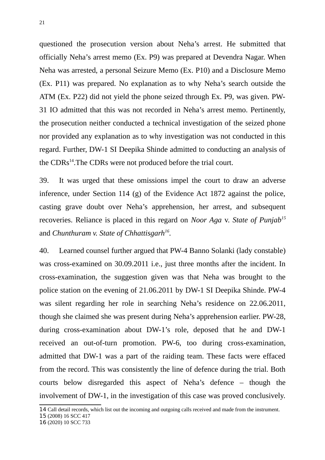questioned the prosecution version about Neha's arrest. He submitted that officially Neha's arrest memo (Ex. P9) was prepared at Devendra Nagar. When Neha was arrested, a personal Seizure Memo (Ex. P10) and a Disclosure Memo (Ex. P11) was prepared. No explanation as to why Neha's search outside the ATM (Ex. P22) did not yield the phone seized through Ex. P9, was given. PW-31 IO admitted that this was not recorded in Neha's arrest memo. Pertinently, the prosecution neither conducted a technical investigation of the seized phone nor provided any explanation as to why investigation was not conducted in this regard. Further, DW-1 SI Deepika Shinde admitted to conducting an analysis of the  $CDRs^{14}$  $CDRs^{14}$  $CDRs^{14}$ . The CDRs were not produced before the trial court.

39. It was urged that these omissions impel the court to draw an adverse inference, under Section 114 (g) of the Evidence Act 1872 against the police, casting grave doubt over Neha's apprehension, her arrest, and subsequent recoveries. Reliance is placed in this regard on *Noor Aga* v. *State of Punjab[15](#page-20-1)* and *Chunthuram v. State of Chhattisgarh[16](#page-20-2) .*

40. Learned counsel further argued that PW-4 Banno Solanki (lady constable) was cross-examined on 30.09.2011 i.e., just three months after the incident. In cross-examination, the suggestion given was that Neha was brought to the police station on the evening of 21.06.2011 by DW-1 SI Deepika Shinde. PW-4 was silent regarding her role in searching Neha's residence on 22.06.2011, though she claimed she was present during Neha's apprehension earlier. PW-28, during cross-examination about DW-1's role, deposed that he and DW-1 received an out-of-turn promotion. PW-6, too during cross-examination, admitted that DW-1 was a part of the raiding team. These facts were effaced from the record. This was consistently the line of defence during the trial. Both courts below disregarded this aspect of Neha's defence – though the involvement of DW-1, in the investigation of this case was proved conclusively.

<span id="page-20-0"></span><sup>14</sup> Call detail records, which list out the incoming and outgoing calls received and made from the instrument.

<span id="page-20-1"></span><sup>15</sup> (2008) 16 SCC 417

<span id="page-20-2"></span><sup>16</sup> (2020) 10 SCC 733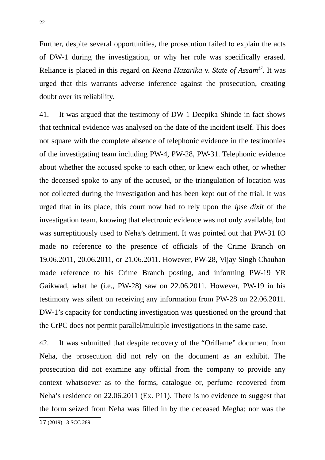Further, despite several opportunities, the prosecution failed to explain the acts of DW-1 during the investigation, or why her role was specifically erased. Reliance is placed in this regard on *Reena Hazarika* v. *State of Assam[17](#page-21-0)*. It was urged that this warrants adverse inference against the prosecution, creating doubt over its reliability.

41. It was argued that the testimony of DW-1 Deepika Shinde in fact shows that technical evidence was analysed on the date of the incident itself. This does not square with the complete absence of telephonic evidence in the testimonies of the investigating team including PW-4, PW-28, PW-31. Telephonic evidence about whether the accused spoke to each other, or knew each other, or whether the deceased spoke to any of the accused, or the triangulation of location was not collected during the investigation and has been kept out of the trial. It was urged that in its place, this court now had to rely upon the *ipse dixit* of the investigation team, knowing that electronic evidence was not only available, but was surreptitiously used to Neha's detriment. It was pointed out that PW-31 IO made no reference to the presence of officials of the Crime Branch on 19.06.2011, 20.06.2011, or 21.06.2011. However, PW-28, Vijay Singh Chauhan made reference to his Crime Branch posting, and informing PW-19 YR Gaikwad, what he (i.e., PW-28) saw on 22.06.2011. However, PW-19 in his testimony was silent on receiving any information from PW-28 on 22.06.2011. DW-1's capacity for conducting investigation was questioned on the ground that the CrPC does not permit parallel/multiple investigations in the same case.

<span id="page-21-0"></span>42. It was submitted that despite recovery of the "Oriflame" document from Neha, the prosecution did not rely on the document as an exhibit. The prosecution did not examine any official from the company to provide any context whatsoever as to the forms, catalogue or, perfume recovered from Neha's residence on 22.06.2011 (Ex. P11). There is no evidence to suggest that the form seized from Neha was filled in by the deceased Megha; nor was the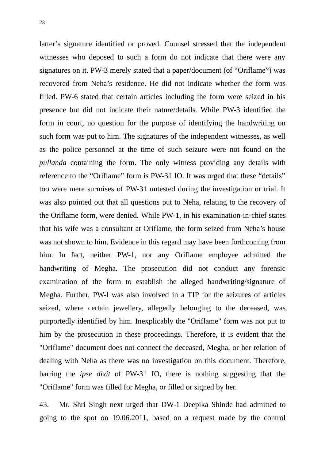latter's signature identified or proved. Counsel stressed that the independent witnesses who deposed to such a form do not indicate that there were any signatures on it. PW-3 merely stated that a paper/document (of "Oriflame") was recovered from Neha's residence. He did not indicate whether the form was filled. PW-6 stated that certain articles including the form were seized in his presence but did not indicate their nature/details. While PW-3 identified the form in court, no question for the purpose of identifying the handwriting on such form was put to him. The signatures of the independent witnesses, as well as the police personnel at the time of such seizure were not found on the *pullanda* containing the form. The only witness providing any details with reference to the "Oriflame" form is PW-31 IO. It was urged that these "details" too were mere surmises of PW-31 untested during the investigation or trial. It was also pointed out that all questions put to Neha, relating to the recovery of the Oriflame form, were denied. While PW-1, in his examination-in-chief states that his wife was a consultant at Oriflame, the form seized from Neha's house was not shown to him. Evidence in this regard may have been forthcoming from him. In fact, neither PW-1, nor any Oriflame employee admitted the handwriting of Megha. The prosecution did not conduct any forensic examination of the form to establish the alleged handwriting/signature of Megha. Further, PW-l was also involved in a TIP for the seizures of articles seized, where certain jewellery, allegedly belonging to the deceased, was purportedly identified by him. Inexplicably the "Oriflame" form was not put to him by the prosecution in these proceedings. Therefore, it is evident that the "Oriflame" document does not connect the deceased, Megha, or her relation of dealing with Neha as there was no investigation on this document. Therefore, barring the *ipse dixit* of PW-31 IO, there is nothing suggesting that the "Oriflame" form was filled for Megha, or filled or signed by her.

43. Mr. Shri Singh next urged that DW-1 Deepika Shinde had admitted to going to the spot on 19.06.2011, based on a request made by the control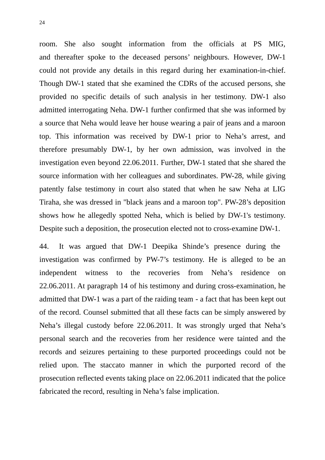room. She also sought information from the officials at PS MIG, and thereafter spoke to the deceased persons' neighbours. However, DW-1 could not provide any details in this regard during her examination-in-chief. Though DW-1 stated that she examined the CDRs of the accused persons, she provided no specific details of such analysis in her testimony. DW-1 also admitted interrogating Neha. DW-1 further confirmed that she was informed by a source that Neha would leave her house wearing a pair of jeans and a maroon top. This information was received by DW-1 prior to Neha's arrest, and therefore presumably DW-1, by her own admission, was involved in the investigation even beyond 22.06.2011. Further, DW-1 stated that she shared the source information with her colleagues and subordinates. PW-28, while giving patently false testimony in court also stated that when he saw Neha at LIG Tiraha, she was dressed in "black jeans and a maroon top". PW-28's deposition shows how he allegedly spotted Neha, which is belied by DW-1's testimony. Despite such a deposition, the prosecution elected not to cross-examine DW-1.

44. It was argued that DW-1 Deepika Shinde's presence during the investigation was confirmed by PW-7's testimony. He is alleged to be an independent witness to the recoveries from Neha's residence on 22.06.2011. At paragraph 14 of his testimony and during cross-examination, he admitted that DW-1 was a part of the raiding team - a fact that has been kept out of the record. Counsel submitted that all these facts can be simply answered by Neha's illegal custody before 22.06.2011. It was strongly urged that Neha's personal search and the recoveries from her residence were tainted and the records and seizures pertaining to these purported proceedings could not be relied upon. The staccato manner in which the purported record of the prosecution reflected events taking place on 22.06.2011 indicated that the police fabricated the record, resulting in Neha's false implication.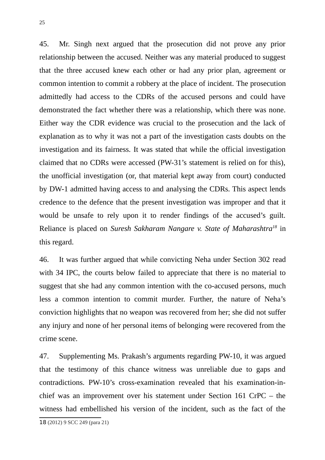45. Mr. Singh next argued that the prosecution did not prove any prior relationship between the accused. Neither was any material produced to suggest that the three accused knew each other or had any prior plan, agreement or common intention to commit a robbery at the place of incident. The prosecution admittedly had access to the CDRs of the accused persons and could have demonstrated the fact whether there was a relationship, which there was none. Either way the CDR evidence was crucial to the prosecution and the lack of explanation as to why it was not a part of the investigation casts doubts on the investigation and its fairness. It was stated that while the official investigation claimed that no CDRs were accessed (PW-31's statement is relied on for this), the unofficial investigation (or, that material kept away from court) conducted by DW-1 admitted having access to and analysing the CDRs. This aspect lends credence to the defence that the present investigation was improper and that it would be unsafe to rely upon it to render findings of the accused's guilt. Reliance is placed on *Suresh Sakharam Nangare v. State of Maharashtra[18](#page-24-0)* in this regard.

46. It was further argued that while convicting Neha under Section 302 read with 34 IPC, the courts below failed to appreciate that there is no material to suggest that she had any common intention with the co-accused persons, much less a common intention to commit murder. Further, the nature of Neha's conviction highlights that no weapon was recovered from her; she did not suffer any injury and none of her personal items of belonging were recovered from the crime scene.

47. Supplementing Ms. Prakash's arguments regarding PW-10, it was argued that the testimony of this chance witness was unreliable due to gaps and contradictions. PW-10's cross-examination revealed that his examination-inchief was an improvement over his statement under Section 161 CrPC – the witness had embellished his version of the incident, such as the fact of the

<span id="page-24-0"></span><sup>18</sup> (2012) 9 SCC 249 (para 21)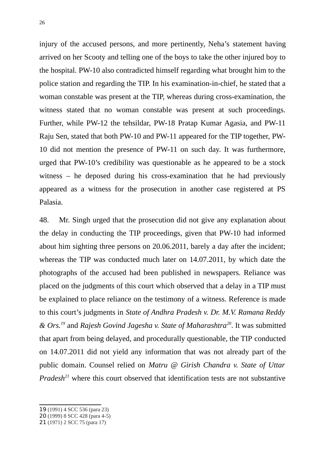injury of the accused persons, and more pertinently, Neha's statement having arrived on her Scooty and telling one of the boys to take the other injured boy to the hospital. PW-10 also contradicted himself regarding what brought him to the police station and regarding the TIP. In his examination-in-chief, he stated that a woman constable was present at the TIP, whereas during cross-examination, the witness stated that no woman constable was present at such proceedings. Further, while PW-12 the tehsildar, PW-18 Pratap Kumar Agasia, and PW-11 Raju Sen, stated that both PW-10 and PW-11 appeared for the TIP together, PW-10 did not mention the presence of PW-11 on such day. It was furthermore, urged that PW-10's credibility was questionable as he appeared to be a stock witness – he deposed during his cross-examination that he had previously appeared as a witness for the prosecution in another case registered at PS Palasia.

48. Mr. Singh urged that the prosecution did not give any explanation about the delay in conducting the TIP proceedings, given that PW-10 had informed about him sighting three persons on 20.06.2011, barely a day after the incident; whereas the TIP was conducted much later on 14.07.2011, by which date the photographs of the accused had been published in newspapers. Reliance was placed on the judgments of this court which observed that a delay in a TIP must be explained to place reliance on the testimony of a witness. Reference is made to this court's judgments in *State of Andhra Pradesh v. Dr. M.V. Ramana Reddy & Ors.[19](#page-25-0)* and *Rajesh Govind Jagesha v. State of Maharashtra[20](#page-25-1)*. It was submitted that apart from being delayed, and procedurally questionable, the TIP conducted on 14.07.2011 did not yield any information that was not already part of the public domain. Counsel relied on *Matru @ Girish Chandra v. State of Uttar Pradesh[21](#page-25-2)* where this court observed that identification tests are not substantive

<span id="page-25-0"></span><sup>19</sup> (1991) 4 SCC 536 (para 23)

<span id="page-25-1"></span><sup>20</sup> (1999) 8 SCC 428 (para 4-5)

<span id="page-25-2"></span><sup>21</sup> (1971) 2 SCC 75 (para 17)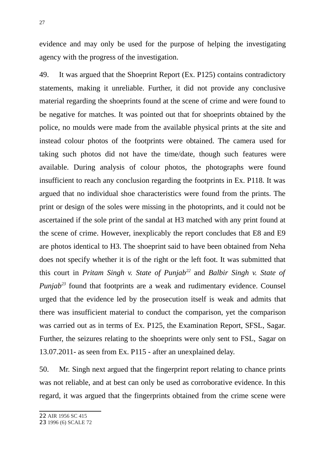evidence and may only be used for the purpose of helping the investigating agency with the progress of the investigation.

49. It was argued that the Shoeprint Report (Ex. P125) contains contradictory statements, making it unreliable. Further, it did not provide any conclusive material regarding the shoeprints found at the scene of crime and were found to be negative for matches. It was pointed out that for shoeprints obtained by the police, no moulds were made from the available physical prints at the site and instead colour photos of the footprints were obtained. The camera used for taking such photos did not have the time/date, though such features were available. During analysis of colour photos, the photographs were found insufficient to reach any conclusion regarding the footprints in Ex. P118. It was argued that no individual shoe characteristics were found from the prints. The print or design of the soles were missing in the photoprints, and it could not be ascertained if the sole print of the sandal at H3 matched with any print found at the scene of crime. However, inexplicably the report concludes that E8 and E9 are photos identical to H3. The shoeprint said to have been obtained from Neha does not specify whether it is of the right or the left foot. It was submitted that this court in *Pritam Singh v. State of Punjab[22](#page-26-0)* and *Balbir Singh v. State of Punjab[23](#page-26-1)* found that footprints are a weak and rudimentary evidence. Counsel urged that the evidence led by the prosecution itself is weak and admits that there was insufficient material to conduct the comparison, yet the comparison was carried out as in terms of Ex. P125, the Examination Report, SFSL, Sagar. Further, the seizures relating to the shoeprints were only sent to FSL, Sagar on 13.07.2011- as seen from Ex. P115 - after an unexplained delay.

50. Mr. Singh next argued that the fingerprint report relating to chance prints was not reliable, and at best can only be used as corroborative evidence. In this regard, it was argued that the fingerprints obtained from the crime scene were

<span id="page-26-1"></span><span id="page-26-0"></span><sup>23</sup> 1996 (6) SCALE 72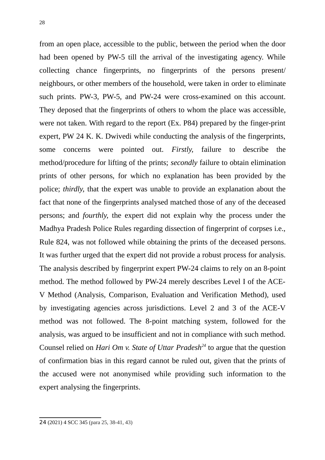<span id="page-27-0"></span>from an open place, accessible to the public, between the period when the door had been opened by PW-5 till the arrival of the investigating agency. While collecting chance fingerprints, no fingerprints of the persons present/ neighbours, or other members of the household, were taken in order to eliminate such prints. PW-3, PW-5, and PW-24 were cross-examined on this account. They deposed that the fingerprints of others to whom the place was accessible, were not taken. With regard to the report (Ex. P84) prepared by the finger-print expert, PW 24 K. K. Dwivedi while conducting the analysis of the fingerprints, some concerns were pointed out. *Firstly,* failure to describe the method/procedure for lifting of the prints; *secondly* failure to obtain elimination prints of other persons, for which no explanation has been provided by the police; *thirdly,* that the expert was unable to provide an explanation about the fact that none of the fingerprints analysed matched those of any of the deceased persons; and *fourthly,* the expert did not explain why the process under the Madhya Pradesh Police Rules regarding dissection of fingerprint of corpses i.e., Rule 824, was not followed while obtaining the prints of the deceased persons. It was further urged that the expert did not provide a robust process for analysis. The analysis described by fingerprint expert PW-24 claims to rely on an 8-point method. The method followed by PW-24 merely describes Level I of the ACE-V Method (Analysis, Comparison, Evaluation and Verification Method), used by investigating agencies across jurisdictions. Level 2 and 3 of the ACE-V method was not followed. The 8-point matching system, followed for the analysis, was argued to be insufficient and not in compliance with such method. Counsel relied on *Hari Om v. State of Uttar Pradesh[24](#page-27-0)* to argue that the question of confirmation bias in this regard cannot be ruled out, given that the prints of the accused were not anonymised while providing such information to the expert analysing the fingerprints.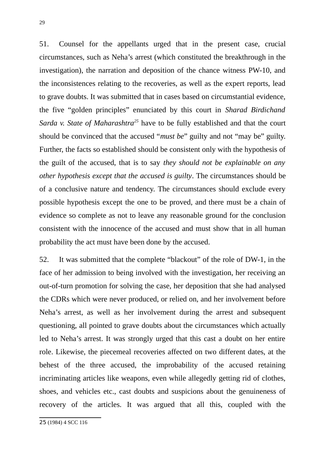51. Counsel for the appellants urged that in the present case, crucial circumstances, such as Neha's arrest (which constituted the breakthrough in the investigation), the narration and deposition of the chance witness PW-10, and the inconsistences relating to the recoveries, as well as the expert reports, lead to grave doubts. It was submitted that in cases based on circumstantial evidence, the five "golden principles" enunciated by this court in *Sharad Birdichand Sarda v. State of Maharashtra[25](#page-28-0)* have to be fully established and that the court should be convinced that the accused "*must be*" guilty and not "may be" guilty. Further, the facts so established should be consistent only with the hypothesis of the guilt of the accused, that is to say *they should not be explainable on any other hypothesis except that the accused is guilty*. The circumstances should be of a conclusive nature and tendency. The circumstances should exclude every possible hypothesis except the one to be proved, and there must be a chain of evidence so complete as not to leave any reasonable ground for the conclusion consistent with the innocence of the accused and must show that in all human probability the act must have been done by the accused.

<span id="page-28-0"></span>52. It was submitted that the complete "blackout" of the role of DW-1, in the face of her admission to being involved with the investigation, her receiving an out-of-turn promotion for solving the case, her deposition that she had analysed the CDRs which were never produced, or relied on, and her involvement before Neha's arrest, as well as her involvement during the arrest and subsequent questioning, all pointed to grave doubts about the circumstances which actually led to Neha's arrest. It was strongly urged that this cast a doubt on her entire role. Likewise, the piecemeal recoveries affected on two different dates, at the behest of the three accused, the improbability of the accused retaining incriminating articles like weapons, even while allegedly getting rid of clothes, shoes, and vehicles etc., cast doubts and suspicions about the genuineness of recovery of the articles. It was argued that all this, coupled with the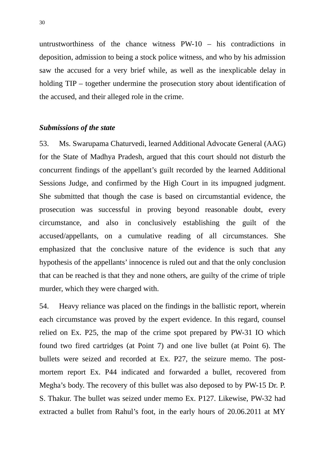untrustworthiness of the chance witness PW-10 – his contradictions in deposition, admission to being a stock police witness, and who by his admission saw the accused for a very brief while, as well as the inexplicable delay in holding TIP – together undermine the prosecution story about identification of the accused, and their alleged role in the crime.

#### *Submissions of the state*

53. Ms. Swarupama Chaturvedi, learned Additional Advocate General (AAG) for the State of Madhya Pradesh, argued that this court should not disturb the concurrent findings of the appellant's guilt recorded by the learned Additional Sessions Judge, and confirmed by the High Court in its impugned judgment. She submitted that though the case is based on circumstantial evidence, the prosecution was successful in proving beyond reasonable doubt, every circumstance, and also in conclusively establishing the guilt of the accused/appellants, on a cumulative reading of all circumstances. She emphasized that the conclusive nature of the evidence is such that any hypothesis of the appellants' innocence is ruled out and that the only conclusion that can be reached is that they and none others, are guilty of the crime of triple murder, which they were charged with.

54. Heavy reliance was placed on the findings in the ballistic report, wherein each circumstance was proved by the expert evidence. In this regard, counsel relied on Ex. P25, the map of the crime spot prepared by PW-31 IO which found two fired cartridges (at Point 7) and one live bullet (at Point 6). The bullets were seized and recorded at Ex. P27, the seizure memo. The postmortem report Ex. P44 indicated and forwarded a bullet, recovered from Megha's body. The recovery of this bullet was also deposed to by PW-15 Dr. P. S. Thakur. The bullet was seized under memo Ex. P127. Likewise, PW-32 had extracted a bullet from Rahul's foot, in the early hours of 20.06.2011 at MY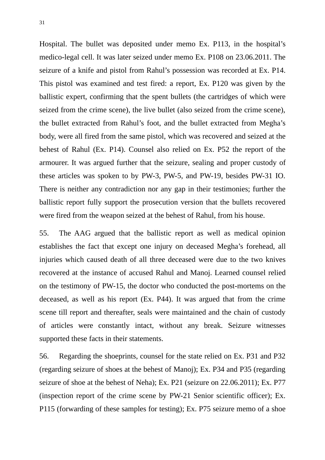Hospital. The bullet was deposited under memo Ex. P113, in the hospital's medico-legal cell. It was later seized under memo Ex. P108 on 23.06.2011. The seizure of a knife and pistol from Rahul's possession was recorded at Ex. P14. This pistol was examined and test fired: a report, Ex. P120 was given by the ballistic expert, confirming that the spent bullets (the cartridges of which were seized from the crime scene), the live bullet (also seized from the crime scene), the bullet extracted from Rahul's foot, and the bullet extracted from Megha's body, were all fired from the same pistol, which was recovered and seized at the behest of Rahul (Ex. P14). Counsel also relied on Ex. P52 the report of the armourer. It was argued further that the seizure, sealing and proper custody of these articles was spoken to by PW-3, PW-5, and PW-19, besides PW-31 IO. There is neither any contradiction nor any gap in their testimonies; further the ballistic report fully support the prosecution version that the bullets recovered were fired from the weapon seized at the behest of Rahul, from his house.

55. The AAG argued that the ballistic report as well as medical opinion establishes the fact that except one injury on deceased Megha's forehead, all injuries which caused death of all three deceased were due to the two knives recovered at the instance of accused Rahul and Manoj. Learned counsel relied on the testimony of PW-15, the doctor who conducted the post-mortems on the deceased, as well as his report (Ex. P44). It was argued that from the crime scene till report and thereafter, seals were maintained and the chain of custody of articles were constantly intact, without any break. Seizure witnesses supported these facts in their statements.

56. Regarding the shoeprints, counsel for the state relied on Ex. P31 and P32 (regarding seizure of shoes at the behest of Manoj); Ex. P34 and P35 (regarding seizure of shoe at the behest of Neha); Ex. P21 (seizure on 22.06.2011); Ex. P77 (inspection report of the crime scene by PW-21 Senior scientific officer); Ex. P115 (forwarding of these samples for testing); Ex. P75 seizure memo of a shoe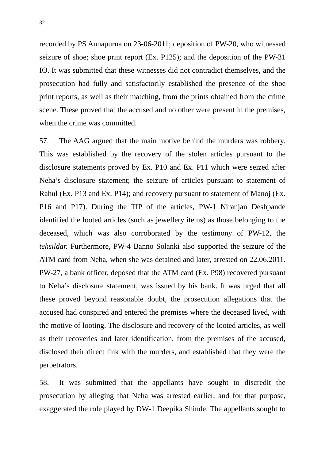recorded by PS Annapurna on 23-06-2011; deposition of PW-20, who witnessed seizure of shoe; shoe print report (Ex. P125); and the deposition of the PW-31 IO. It was submitted that these witnesses did not contradict themselves, and the prosecution had fully and satisfactorily established the presence of the shoe print reports, as well as their matching, from the prints obtained from the crime scene. These proved that the accused and no other were present in the premises, when the crime was committed.

57. The AAG argued that the main motive behind the murders was robbery. This was established by the recovery of the stolen articles pursuant to the disclosure statements proved by Ex. P10 and Ex. P11 which were seized after Neha's disclosure statement; the seizure of articles pursuant to statement of Rahul (Ex. P13 and Ex. P14); and recovery pursuant to statement of Manoj (Ex. P16 and P17). During the TIP of the articles, PW-1 Niranjan Deshpande identified the looted articles (such as jewellery items) as those belonging to the deceased, which was also corroborated by the testimony of PW-12, the *tehsildar.* Furthermore, PW-4 Banno Solanki also supported the seizure of the ATM card from Neha, when she was detained and later, arrested on 22.06.2011. PW-27, a bank officer, deposed that the ATM card (Ex. P98) recovered pursuant to Neha's disclosure statement, was issued by his bank. It was urged that all these proved beyond reasonable doubt, the prosecution allegations that the accused had conspired and entered the premises where the deceased lived, with the motive of looting. The disclosure and recovery of the looted articles, as well as their recoveries and later identification, from the premises of the accused, disclosed their direct link with the murders, and established that they were the perpetrators.

58. It was submitted that the appellants have sought to discredit the prosecution by alleging that Neha was arrested earlier, and for that purpose, exaggerated the role played by DW-1 Deepika Shinde. The appellants sought to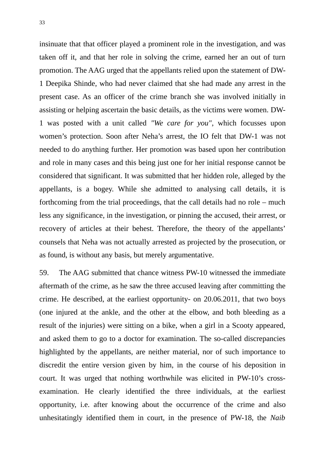insinuate that that officer played a prominent role in the investigation, and was taken off it, and that her role in solving the crime, earned her an out of turn promotion. The AAG urged that the appellants relied upon the statement of DW-1 Deepika Shinde, who had never claimed that she had made any arrest in the present case. As an officer of the crime branch she was involved initially in assisting or helping ascertain the basic details, as the victims were women. DW-1 was posted with a unit called *"We care for you"*, which focusses upon women's protection. Soon after Neha's arrest, the IO felt that DW-1 was not needed to do anything further. Her promotion was based upon her contribution and role in many cases and this being just one for her initial response cannot be considered that significant. It was submitted that her hidden role, alleged by the appellants, is a bogey. While she admitted to analysing call details, it is forthcoming from the trial proceedings, that the call details had no role – much less any significance, in the investigation, or pinning the accused, their arrest, or recovery of articles at their behest. Therefore, the theory of the appellants' counsels that Neha was not actually arrested as projected by the prosecution, or as found, is without any basis, but merely argumentative.

59. The AAG submitted that chance witness PW-10 witnessed the immediate aftermath of the crime, as he saw the three accused leaving after committing the crime. He described, at the earliest opportunity- on 20.06.2011, that two boys (one injured at the ankle, and the other at the elbow, and both bleeding as a result of the injuries) were sitting on a bike, when a girl in a Scooty appeared, and asked them to go to a doctor for examination. The so-called discrepancies highlighted by the appellants, are neither material, nor of such importance to discredit the entire version given by him, in the course of his deposition in court. It was urged that nothing worthwhile was elicited in PW-10's crossexamination. He clearly identified the three individuals, at the earliest opportunity, i.e. after knowing about the occurrence of the crime and also unhesitatingly identified them in court, in the presence of PW-18, the *Naib*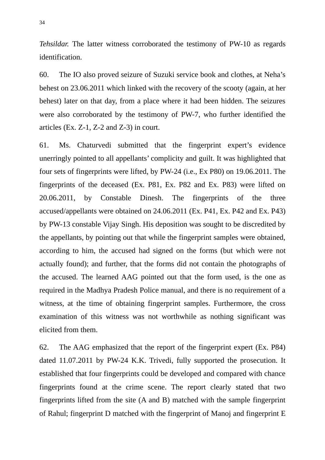*Tehsildar.* The latter witness corroborated the testimony of PW-10 as regards identification.

60. The IO also proved seizure of Suzuki service book and clothes, at Neha's behest on 23.06.2011 which linked with the recovery of the scooty (again, at her behest) later on that day, from a place where it had been hidden. The seizures were also corroborated by the testimony of PW-7, who further identified the articles (Ex. Z-1, Z-2 and Z-3) in court.

61. Ms. Chaturvedi submitted that the fingerprint expert's evidence unerringly pointed to all appellants' complicity and guilt. It was highlighted that four sets of fingerprints were lifted, by PW-24 (i.e., Ex P80) on 19.06.2011. The fingerprints of the deceased (Ex. P81, Ex. P82 and Ex. P83) were lifted on 20.06.2011, by Constable Dinesh. The fingerprints of the three accused/appellants were obtained on 24.06.2011 (Ex. P41, Ex. P42 and Ex. P43) by PW-13 constable Vijay Singh. His deposition was sought to be discredited by the appellants, by pointing out that while the fingerprint samples were obtained, according to him, the accused had signed on the forms (but which were not actually found); and further, that the forms did not contain the photographs of the accused. The learned AAG pointed out that the form used, is the one as required in the Madhya Pradesh Police manual, and there is no requirement of a witness, at the time of obtaining fingerprint samples. Furthermore, the cross examination of this witness was not worthwhile as nothing significant was elicited from them.

62. The AAG emphasized that the report of the fingerprint expert (Ex. P84) dated 11.07.2011 by PW-24 K.K. Trivedi, fully supported the prosecution. It established that four fingerprints could be developed and compared with chance fingerprints found at the crime scene. The report clearly stated that two fingerprints lifted from the site (A and B) matched with the sample fingerprint of Rahul; fingerprint D matched with the fingerprint of Manoj and fingerprint E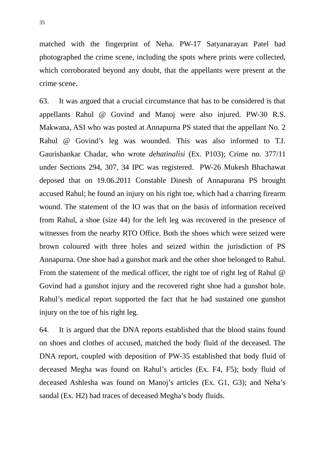matched with the fingerprint of Neha. PW-17 Satyanarayan Patel had photographed the crime scene, including the spots where prints were collected, which corroborated beyond any doubt, that the appellants were present at the crime scene.

63. It was argued that a crucial circumstance that has to be considered is that appellants Rahul @ Govind and Manoj were also injured. PW-30 R.S. Makwana, ASI who was posted at Annapurna PS stated that the appellant No. 2 Rahul @ Govind's leg was wounded. This was also informed to T.I. Gaurishankar Chadar, who wrote *dehatinalisi* (Ex. P103); Crime no. 377/11 under Sections 294, 307, 34 IPC was registered. PW-26 Mukesh Bhachawat deposed that on 19.06.2011 Constable Dinesh of Annapurana PS brought accused Rahul; he found an injury on his right toe, which had a charring firearm wound. The statement of the IO was that on the basis of information received from Rahul, a shoe (size 44) for the left leg was recovered in the presence of witnesses from the nearby RTO Office. Both the shoes which were seized were brown coloured with three holes and seized within the jurisdiction of PS Annapurna. One shoe had a gunshot mark and the other shoe belonged to Rahul. From the statement of the medical officer, the right toe of right leg of Rahul  $\omega$ Govind had a gunshot injury and the recovered right shoe had a gunshot hole. Rahul's medical report supported the fact that he had sustained one gunshot injury on the toe of his right leg.

64. It is argued that the DNA reports established that the blood stains found on shoes and clothes of accused, matched the body fluid of the deceased. The DNA report, coupled with deposition of PW-35 established that body fluid of deceased Megha was found on Rahul's articles (Ex. F4, F5); body fluid of deceased Ashlesha was found on Manoj's articles (Ex. G1, G3); and Neha's sandal (Ex. H2) had traces of deceased Megha's body fluids.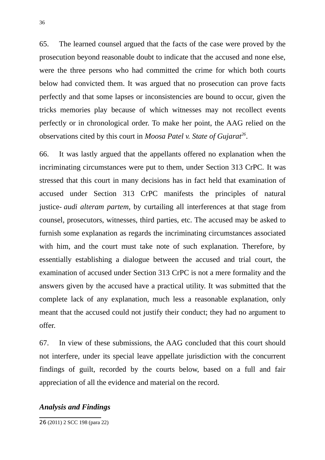65. The learned counsel argued that the facts of the case were proved by the prosecution beyond reasonable doubt to indicate that the accused and none else, were the three persons who had committed the crime for which both courts below had convicted them. It was argued that no prosecution can prove facts perfectly and that some lapses or inconsistencies are bound to occur, given the tricks memories play because of which witnesses may not recollect events perfectly or in chronological order. To make her point, the AAG relied on the observations cited by this court in *Moosa Patel v. State of Gujarat[26](#page-35-0)* .

66. It was lastly argued that the appellants offered no explanation when the incriminating circumstances were put to them, under Section 313 CrPC. It was stressed that this court in many decisions has in fact held that examination of accused under Section 313 CrPC manifests the principles of natural justice- *audi alteram partem*, by curtailing all interferences at that stage from counsel, prosecutors, witnesses, third parties, etc. The accused may be asked to furnish some explanation as regards the incriminating circumstances associated with him, and the court must take note of such explanation. Therefore, by essentially establishing a dialogue between the accused and trial court, the examination of accused under Section 313 CrPC is not a mere formality and the answers given by the accused have a practical utility. It was submitted that the complete lack of any explanation, much less a reasonable explanation, only meant that the accused could not justify their conduct; they had no argument to offer.

67. In view of these submissions, the AAG concluded that this court should not interfere, under its special leave appellate jurisdiction with the concurrent findings of guilt, recorded by the courts below, based on a full and fair appreciation of all the evidence and material on the record.

# *Analysis and Findings*

<span id="page-35-0"></span><sup>26</sup> (2011) 2 SCC 198 (para 22)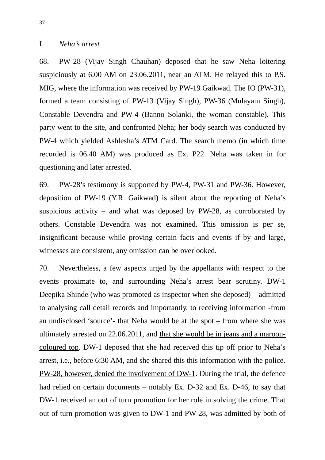#### I. *Neha's arrest*

68. PW-28 (Vijay Singh Chauhan) deposed that he saw Neha loitering suspiciously at 6.00 AM on 23.06.2011, near an ATM. He relayed this to P.S. MIG, where the information was received by PW-19 Gaikwad. The IO (PW-31), formed a team consisting of PW-13 (Vijay Singh), PW-36 (Mulayam Singh), Constable Devendra and PW-4 (Banno Solanki, the woman constable). This party went to the site, and confronted Neha; her body search was conducted by PW-4 which yielded Ashlesha's ATM Card. The search memo (in which time recorded is 06.40 AM) was produced as Ex. P22. Neha was taken in for questioning and later arrested.

69. PW-28's testimony is supported by PW-4, PW-31 and PW-36. However, deposition of PW-19 (Y.R. Gaikwad) is silent about the reporting of Neha's suspicious activity – and what was deposed by  $PW-28$ , as corroborated by others. Constable Devendra was not examined. This omission is per se, insignificant because while proving certain facts and events if by and large, witnesses are consistent, any omission can be overlooked.

70. Nevertheless, a few aspects urged by the appellants with respect to the events proximate to, and surrounding Neha's arrest bear scrutiny. DW-1 Deepika Shinde (who was promoted as inspector when she deposed) – admitted to analysing call detail records and importantly, to receiving information -from an undisclosed 'source'- that Neha would be at the spot – from where she was ultimately arrested on 22.06.2011, and that she would be in jeans and a marooncoloured top. DW-1 deposed that she had received this tip off prior to Neha's arrest, i.e., before 6:30 AM, and she shared this this information with the police. PW-28, however, denied the involvement of DW-1. During the trial, the defence had relied on certain documents – notably Ex. D-32 and Ex. D-46, to say that DW-1 received an out of turn promotion for her role in solving the crime. That out of turn promotion was given to DW-1 and PW-28, was admitted by both of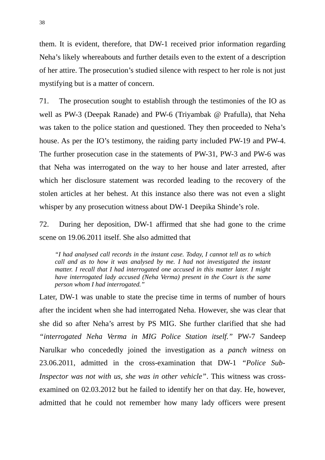them. It is evident, therefore, that DW-1 received prior information regarding Neha's likely whereabouts and further details even to the extent of a description of her attire. The prosecution's studied silence with respect to her role is not just mystifying but is a matter of concern.

71. The prosecution sought to establish through the testimonies of the IO as well as PW-3 (Deepak Ranade) and PW-6 (Triyambak @ Prafulla), that Neha was taken to the police station and questioned. They then proceeded to Neha's house. As per the IO's testimony, the raiding party included PW-19 and PW-4. The further prosecution case in the statements of PW-31, PW-3 and PW-6 was that Neha was interrogated on the way to her house and later arrested, after which her disclosure statement was recorded leading to the recovery of the stolen articles at her behest. At this instance also there was not even a slight whisper by any prosecution witness about DW-1 Deepika Shinde's role.

72. During her deposition, DW-1 affirmed that she had gone to the crime scene on 19.06.2011 itself. She also admitted that

*"I had analysed call records in the instant case. Today, I cannot tell as to which call and as to how it was analysed by me. I had not investigated the instant matter. I recall that I had interrogated one accused in this matter later. I might have interrogated lady accused (Neha Verma) present in the Court is the same person whom I had interrogated."*

Later, DW-1 was unable to state the precise time in terms of number of hours after the incident when she had interrogated Neha. However, she was clear that she did so after Neha's arrest by PS MIG. She further clarified that she had *"interrogated Neha Verma in MIG Police Station itself."* PW-7 Sandeep Narulkar who concededly joined the investigation as a *panch witness* on 23.06.2011, admitted in the cross-examination that DW-1 *"Police Sub-Inspector was not with us, she was in other vehicle"*. This witness was crossexamined on 02.03.2012 but he failed to identify her on that day. He, however, admitted that he could not remember how many lady officers were present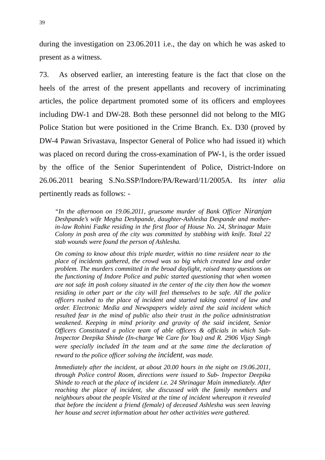during the investigation on 23.06.2011 i.e., the day on which he was asked to present as a witness.

73. As observed earlier, an interesting feature is the fact that close on the heels of the arrest of the present appellants and recovery of incriminating articles, the police department promoted some of its officers and employees including DW-1 and DW-28. Both these personnel did not belong to the MIG Police Station but were positioned in the Crime Branch. Ex. D30 (proved by DW-4 Pawan Srivastava, Inspector General of Police who had issued it) which was placed on record during the cross-examination of PW-1, is the order issued by the office of the Senior Superintendent of Police, District-Indore on 26.06.2011 bearing S.No.SSP/Indore/PA/Reward/11/2005A. Its *inter alia* pertinently reads as follows: -

*"In the afternoon on 19.06.2011, gruesome murder of Bank Officer Niranjan Deshpande's wife Megha Deshpande, daughter-Ashlesha Despande and motherin-law Rohini Fadke residing in the first floor of House No. 24, Shrinagar Main Colony in posh area of the city was committed by stabbing with knife. Total 22 stab wounds were found the person of Ashlesha.*

*On coming to know about this triple murder, within no time resident near to the place of incidents gathered, the crowd was so big which created law and order problem. The murders committed in the broad daylight, raised many questions on the functioning of Indore Police and pubic started questioning that when women are not safe in posh colony situated in the center of the city then how the women residing in other part or the city will feel themselves to be safe. All the police officers rushed to the place of incident and started taking control of law and order. Electronic Media and Newspapers widely aired the said incident which resulted fear in the mind of public also their trust in the police administration weakened. Keeping in mind priority and gravity of the said incident, Senior Officers Constituted a police team of able officers & officials in which Sub-Inspector Deepika Shinde (In-charge We Care for You) and R. 2906 Vijay Singh were specially included in the team and at the same time the declaration of reward to the police officer solving the incident, was made.*

*Immediately after the incident, at about 20.00 hours in the night on 19.06.2011, through Police control Room, directions were issued to Sub- Inspector Deepika Shinde to reach at the place of incident i.e. 24 Shrinagar Main immediately. After reaching the place of incident, she discussed with the family members and neighbours about the people Visited at the time of incident whereupon it revealed that before the incident a friend (female) of deceased Ashlesha was seen leaving her house and secret information about her other activities were gathered.*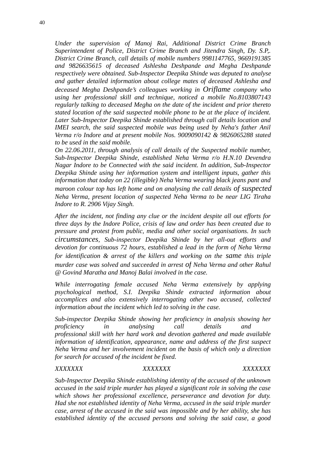*Under the supervision of Manoj Rai, Additional District Crime Branch Superintendent of Police, District Crime Branch and Jitendra Singh, Dy. S.P,. District Crime Branch, call details of mobile numbers 9981147765, 9669191385 and 9826635615 of deceased Ashlesha Deshpande and Megha Deshpande respectively were obtained. Sub-Inspector Deepika Shinde was deputed to analyse and gather detailed information about college mates of deceased Ashlesha and deceased Megha Deshpande's colleagues working in Oriflame company who using her professional skill and technique, noticed a mobile No.8103807143 regularly talking to deceased Megha on the date of the incident and prior thereto stated location of the said suspected mobile phone to be at the place of incident. Later Sub-Inspector Deepika Shinde established through call details location and IMEI search, the said suspected mobile was being used by Neha's father Anil Verma r/o Indore and at present mobile Nos. 9009090142 & 9826065288 stated to be used in the said mobile.* 

*On 22.06.2011, through analysis of call details of the Suspected mobile number, Sub-Inspector Deepika Shinde, established Neha Verma r/o H.N.10 Devendra Nagar Indore to be Connected with the said incident. In addition, Sub-Inspector Deepika Shinde using her information system and intelligent inputs, gather this information that today on 22 (illegible) Neha Verma wearing black jeans pant and maroon colour top has left home and on analysing the call details of suspected Neha Verma, present location of suspected Neha Verma to be near LIG Tiraha Indore to R. 2906 Vijay Singh.* 

*After the incident, not finding any clue or the incident despite all out efforts for three days by the Indore Police, crisis of law and order has been created due to pressure and protest from public, media and other social organisations. In such circumstances, Sub-inspector Deepika Shinde by her all-out efforts and devotion for continuous 72 hours, established a lead in the form of Neha Verma for identification & arrest of the killers and working on the same this triple murder case was solved and succeeded in arrest of Neha Verma and other Rahul @ Govind Maratha and Manoj Balai involved in the case.*

*While interrogating female accused Neha Verma extensively by applying psychological method, S.I. Deepika Shinde extracted information about accomplices and also extensively interrogating other two accused, collected information about the incident which led to solving in the case.*

*Sub-inspector Deepika Shinde showing her proficiency in analysis showing her proficiency in analysing call details and professional skill with her hard work and devotion gathered and made available information of identification, appearance, name and address of the first suspect Neha Verma and her involvement incident on the basis of which only a direction for search for accused of the incident be fixed.* 

#### *XXXXXXX XXXXXXX XXXXXXX*

*Sub-Inspector Deepika Shinde establishing identity of the accused of the unknown accused in the said triple murder has played a significant role in solving the case which shows her professional excellence, perseverance and devotion for duty. Had she not established identity of Neha Verma, accused in the said triple murder case, arrest of the accused in the said was impossible and by her ability, she has established identity of the accused persons and solving the said case, a good*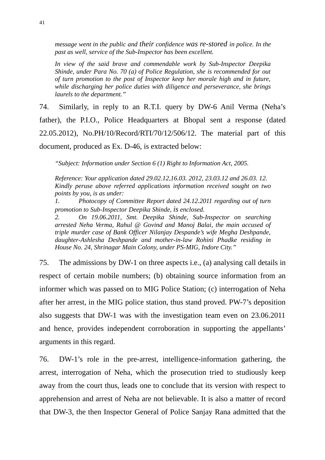*message went in the public and their confidence was re-stored in police. In the past as well, service of the Sub-Inspector has been excellent.* 

*In view of the said brave and commendable work by Sub-Inspector Deepika Shinde, under Para No. 70 (a) of Police Regulation, she is recommended for out of turn promotion to the post of Inspector keep her morale high and in future, while discharging her police duties with diligence and perseverance, she brings laurels to the department."*

74. Similarly, in reply to an R.T.I. query by DW-6 Anil Verma (Neha's father), the P.I.O., Police Headquarters at Bhopal sent a response (dated 22.05.2012), No.PH/10/Record/RTI/70/12/506/12. The material part of this document, produced as Ex. D-46, is extracted below:

*"Subject: Information under Section 6 (1) Right to Information Act, 2005.*

*Reference: Your application dated 29.02.12,16.03. 2012, 23.03.12 and 26.03. 12. Kindly peruse above referred applications information received sought on two points by you, is as under:*

*1. Photocopy of Committee Report dated 24.12.2011 regarding out of turn promotion to Sub-Inspector Deepika Shinde, is enclosed.*

*2. On 19.06.2011, Smt. Deepika Shinde, Sub-Inspector on searching arrested Neha Verma, Rahul @ Govind and Manoj Balai, the main accused of triple murder case of Bank Officer Nilanjay Despande's wife Megha Deshpande, daughter-Ashlesha Deshpande and mother-in-law Rohini Phadke residing in House No. 24, Shrinagar Main Colony, under PS-MIG, Indore City."*

75. The admissions by DW-1 on three aspects i.e., (a) analysing call details in respect of certain mobile numbers; (b) obtaining source information from an informer which was passed on to MIG Police Station; (c) interrogation of Neha after her arrest, in the MIG police station, thus stand proved. PW-7's deposition also suggests that DW-1 was with the investigation team even on 23.06.2011 and hence, provides independent corroboration in supporting the appellants' arguments in this regard.

76. DW-1's role in the pre-arrest, intelligence-information gathering, the arrest, interrogation of Neha, which the prosecution tried to studiously keep away from the court thus, leads one to conclude that its version with respect to apprehension and arrest of Neha are not believable. It is also a matter of record that DW-3, the then Inspector General of Police Sanjay Rana admitted that the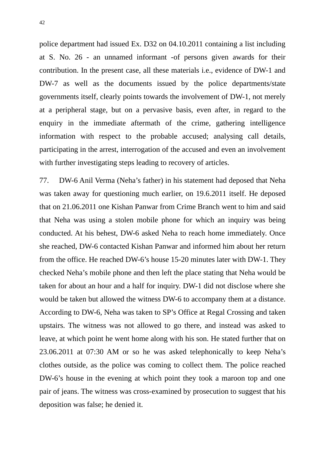police department had issued Ex. D32 on 04.10.2011 containing a list including at S. No. 26 - an unnamed informant -of persons given awards for their contribution. In the present case, all these materials i.e., evidence of DW-1 and DW-7 as well as the documents issued by the police departments/state governments itself, clearly points towards the involvement of DW-1, not merely at a peripheral stage, but on a pervasive basis, even after, in regard to the enquiry in the immediate aftermath of the crime, gathering intelligence information with respect to the probable accused; analysing call details, participating in the arrest, interrogation of the accused and even an involvement with further investigating steps leading to recovery of articles.

77. DW-6 Anil Verma (Neha's father) in his statement had deposed that Neha was taken away for questioning much earlier, on 19.6.2011 itself. He deposed that on 21.06.2011 one Kishan Panwar from Crime Branch went to him and said that Neha was using a stolen mobile phone for which an inquiry was being conducted. At his behest, DW-6 asked Neha to reach home immediately. Once she reached, DW-6 contacted Kishan Panwar and informed him about her return from the office. He reached DW-6's house 15-20 minutes later with DW-1. They checked Neha's mobile phone and then left the place stating that Neha would be taken for about an hour and a half for inquiry. DW-1 did not disclose where she would be taken but allowed the witness DW-6 to accompany them at a distance. According to DW-6, Neha was taken to SP's Office at Regal Crossing and taken upstairs. The witness was not allowed to go there, and instead was asked to leave, at which point he went home along with his son. He stated further that on 23.06.2011 at 07:30 AM or so he was asked telephonically to keep Neha's clothes outside, as the police was coming to collect them. The police reached DW-6's house in the evening at which point they took a maroon top and one pair of jeans. The witness was cross-examined by prosecution to suggest that his deposition was false; he denied it.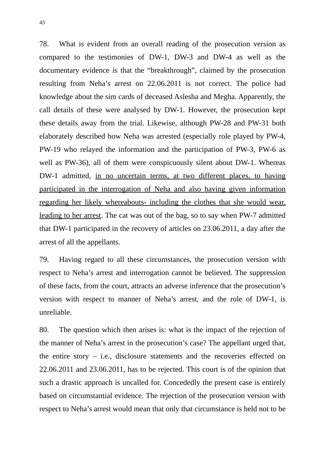78. What is evident from an overall reading of the prosecution version as compared to the testimonies of DW-1, DW-3 and DW-4 as well as the documentary evidence is that the "breakthrough", claimed by the prosecution resulting from Neha's arrest on 22.06.2011 is not correct. The police had knowledge about the sim cards of deceased Aslesha and Megha. Apparently, the call details of these were analysed by DW-1. However, the prosecution kept these details away from the trial. Likewise, although PW-28 and PW-31 both elaborately described how Neha was arrested (especially role played by PW-4, PW-19 who relayed the information and the participation of PW-3, PW-6 as well as PW-36), all of them were conspicuously silent about DW-1. Whereas DW-1 admitted, in no uncertain terms, at two different places, to having participated in the interrogation of Neha and also having given information regarding her likely whereabouts- including the clothes that she would wear, leading to her arrest. The cat was out of the bag, so to say when PW-7 admitted that DW-1 participated in the recovery of articles on 23.06.2011, a day after the arrest of all the appellants.

79. Having regard to all these circumstances, the prosecution version with respect to Neha's arrest and interrogation cannot be believed. The suppression of these facts, from the court, attracts an adverse inference that the prosecution's version with respect to manner of Neha's arrest, and the role of DW-1, is unreliable.

80. The question which then arises is: what is the impact of the rejection of the manner of Neha's arrest in the prosecution's case? The appellant urged that, the entire story  $-$  i.e., disclosure statements and the recoveries effected on 22.06.2011 and 23.06.2011, has to be rejected. This court is of the opinion that such a drastic approach is uncalled for. Concededly the present case is entirely based on circumstantial evidence. The rejection of the prosecution version with respect to Neha's arrest would mean that only that circumstance is held not to be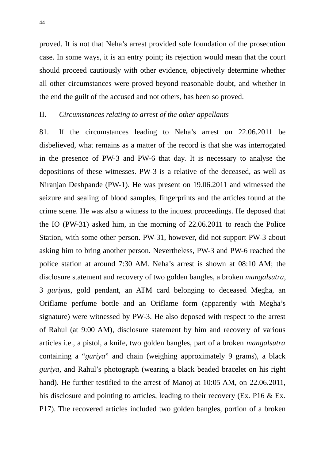proved. It is not that Neha's arrest provided sole foundation of the prosecution case. In some ways, it is an entry point; its rejection would mean that the court should proceed cautiously with other evidence, objectively determine whether all other circumstances were proved beyond reasonable doubt, and whether in the end the guilt of the accused and not others, has been so proved.

## II. *Circumstances relating to arrest of the other appellants*

81. If the circumstances leading to Neha's arrest on 22.06.2011 be disbelieved, what remains as a matter of the record is that she was interrogated in the presence of PW-3 and PW-6 that day. It is necessary to analyse the depositions of these witnesses. PW-3 is a relative of the deceased, as well as Niranjan Deshpande (PW-1). He was present on 19.06.2011 and witnessed the seizure and sealing of blood samples, fingerprints and the articles found at the crime scene. He was also a witness to the inquest proceedings. He deposed that the IO (PW-31) asked him, in the morning of 22.06.2011 to reach the Police Station, with some other person. PW-31, however, did not support PW-3 about asking him to bring another person. Nevertheless, PW-3 and PW-6 reached the police station at around 7:30 AM. Neha's arrest is shown at 08:10 AM; the disclosure statement and recovery of two golden bangles, a broken *mangalsutra*, 3 *guriyas*, gold pendant, an ATM card belonging to deceased Megha, an Oriflame perfume bottle and an Oriflame form (apparently with Megha's signature) were witnessed by PW-3. He also deposed with respect to the arrest of Rahul (at 9:00 AM), disclosure statement by him and recovery of various articles i.e., a pistol, a knife, two golden bangles, part of a broken *mangalsutra* containing a "*guriya*" and chain (weighing approximately 9 grams), a black *guriya*, and Rahul's photograph (wearing a black beaded bracelet on his right hand). He further testified to the arrest of Manoj at 10:05 AM, on 22.06.2011, his disclosure and pointing to articles, leading to their recovery (Ex. P16 & Ex. P17). The recovered articles included two golden bangles, portion of a broken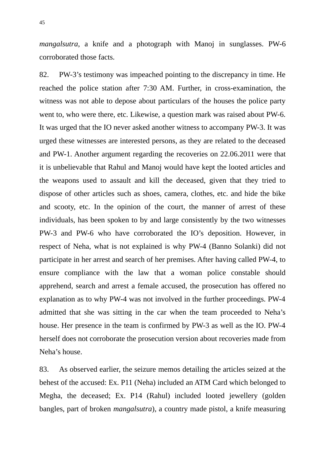*mangalsutra*, a knife and a photograph with Manoj in sunglasses. PW-6 corroborated those facts.

82. PW-3's testimony was impeached pointing to the discrepancy in time. He reached the police station after 7:30 AM. Further, in cross-examination, the witness was not able to depose about particulars of the houses the police party went to, who were there, etc. Likewise, a question mark was raised about PW-6. It was urged that the IO never asked another witness to accompany PW-3. It was urged these witnesses are interested persons, as they are related to the deceased and PW-1. Another argument regarding the recoveries on 22.06.2011 were that it is unbelievable that Rahul and Manoj would have kept the looted articles and the weapons used to assault and kill the deceased, given that they tried to dispose of other articles such as shoes, camera, clothes, etc. and hide the bike and scooty, etc. In the opinion of the court, the manner of arrest of these individuals, has been spoken to by and large consistently by the two witnesses PW-3 and PW-6 who have corroborated the IO's deposition. However, in respect of Neha, what is not explained is why PW-4 (Banno Solanki) did not participate in her arrest and search of her premises. After having called PW-4, to ensure compliance with the law that a woman police constable should apprehend, search and arrest a female accused, the prosecution has offered no explanation as to why PW-4 was not involved in the further proceedings. PW-4 admitted that she was sitting in the car when the team proceeded to Neha's house. Her presence in the team is confirmed by PW-3 as well as the IO. PW-4 herself does not corroborate the prosecution version about recoveries made from Neha's house.

83. As observed earlier, the seizure memos detailing the articles seized at the behest of the accused: Ex. P11 (Neha) included an ATM Card which belonged to Megha, the deceased; Ex. P14 (Rahul) included looted jewellery (golden bangles, part of broken *mangalsutra*), a country made pistol, a knife measuring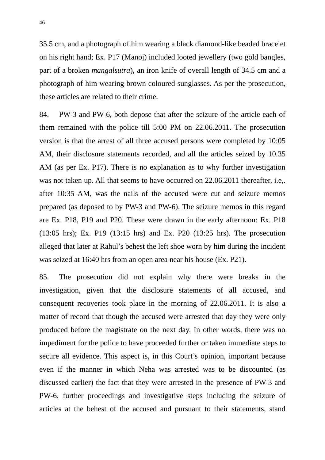35.5 cm, and a photograph of him wearing a black diamond-like beaded bracelet on his right hand; Ex. P17 (Manoj) included looted jewellery (two gold bangles, part of a broken *mangalsutra*), an iron knife of overall length of 34.5 cm and a photograph of him wearing brown coloured sunglasses. As per the prosecution, these articles are related to their crime.

84. PW-3 and PW-6, both depose that after the seizure of the article each of them remained with the police till 5:00 PM on 22.06.2011. The prosecution version is that the arrest of all three accused persons were completed by 10:05 AM, their disclosure statements recorded, and all the articles seized by 10.35 AM (as per Ex. P17). There is no explanation as to why further investigation was not taken up. All that seems to have occurred on 22.06.2011 thereafter, i.e,. after 10:35 AM, was the nails of the accused were cut and seizure memos prepared (as deposed to by PW-3 and PW-6). The seizure memos in this regard are Ex. P18, P19 and P20. These were drawn in the early afternoon: Ex. P18 (13:05 hrs); Ex. P19 (13:15 hrs) and Ex. P20 (13:25 hrs). The prosecution alleged that later at Rahul's behest the left shoe worn by him during the incident was seized at 16:40 hrs from an open area near his house (Ex. P21).

85. The prosecution did not explain why there were breaks in the investigation, given that the disclosure statements of all accused, and consequent recoveries took place in the morning of 22.06.2011. It is also a matter of record that though the accused were arrested that day they were only produced before the magistrate on the next day. In other words, there was no impediment for the police to have proceeded further or taken immediate steps to secure all evidence. This aspect is, in this Court's opinion, important because even if the manner in which Neha was arrested was to be discounted (as discussed earlier) the fact that they were arrested in the presence of PW-3 and PW-6, further proceedings and investigative steps including the seizure of articles at the behest of the accused and pursuant to their statements, stand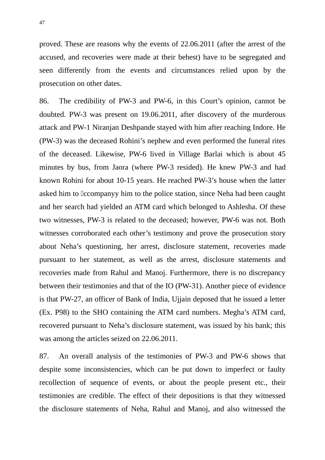proved. These are reasons why the events of 22.06.2011 (after the arrest of the accused, and recoveries were made at their behest) have to be segregated and seen differently from the events and circumstances relied upon by the prosecution on other dates.

86. The credibility of PW-3 and PW-6, in this Court's opinion, cannot be doubted. PW-3 was present on 19.06.2011, after discovery of the murderous attack and PW-1 Niranjan Deshpande stayed with him after reaching Indore. He (PW-3) was the deceased Rohini's nephew and even performed the funeral rites of the deceased. Likewise, PW-6 lived in Village Barlai which is about 45 minutes by bus, from Jaora (where PW-3 resided). He knew PW-3 and had known Rohini for about 10-15 years. He reached PW-3's house when the latter asked him to Iccompanyy him to the police station, since Neha had been caught and her search had yielded an ATM card which belonged to Ashlesha. Of these two witnesses, PW-3 is related to the deceased; however, PW-6 was not. Both witnesses corroborated each other's testimony and prove the prosecution story about Neha's questioning, her arrest, disclosure statement, recoveries made pursuant to her statement, as well as the arrest, disclosure statements and recoveries made from Rahul and Manoj. Furthermore, there is no discrepancy between their testimonies and that of the IO (PW-31). Another piece of evidence is that PW-27, an officer of Bank of India, Ujjain deposed that he issued a letter (Ex. P98) to the SHO containing the ATM card numbers. Megha's ATM card, recovered pursuant to Neha's disclosure statement, was issued by his bank; this was among the articles seized on 22.06.2011.

87. An overall analysis of the testimonies of PW-3 and PW-6 shows that despite some inconsistencies, which can be put down to imperfect or faulty recollection of sequence of events, or about the people present etc., their testimonies are credible. The effect of their depositions is that they witnessed the disclosure statements of Neha, Rahul and Manoj, and also witnessed the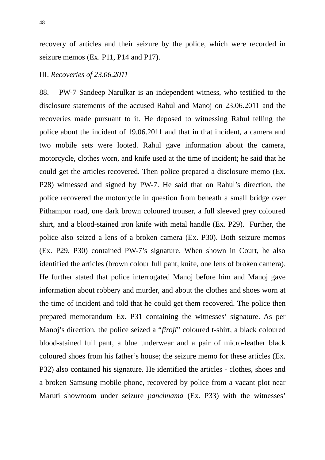recovery of articles and their seizure by the police, which were recorded in seizure memos (Ex. P11, P14 and P17).

## III. *Recoveries of 23.06.2011*

88. PW-7 Sandeep Narulkar is an independent witness, who testified to the disclosure statements of the accused Rahul and Manoj on 23.06.2011 and the recoveries made pursuant to it. He deposed to witnessing Rahul telling the police about the incident of 19.06.2011 and that in that incident, a camera and two mobile sets were looted. Rahul gave information about the camera, motorcycle, clothes worn, and knife used at the time of incident; he said that he could get the articles recovered. Then police prepared a disclosure memo (Ex. P28) witnessed and signed by PW-7. He said that on Rahul's direction, the police recovered the motorcycle in question from beneath a small bridge over Pithampur road, one dark brown coloured trouser, a full sleeved grey coloured shirt, and a blood-stained iron knife with metal handle (Ex. P29). Further, the police also seized a lens of a broken camera (Ex. P30). Both seizure memos (Ex. P29, P30) contained PW-7's signature. When shown in Court, he also identified the articles (brown colour full pant, knife, one lens of broken camera). He further stated that police interrogated Manoj before him and Manoj gave information about robbery and murder, and about the clothes and shoes worn at the time of incident and told that he could get them recovered. The police then prepared memorandum Ex. P31 containing the witnesses' signature. As per Manoj's direction, the police seized a "*firoji*" coloured t-shirt, a black coloured blood-stained full pant, a blue underwear and a pair of micro-leather black coloured shoes from his father's house; the seizure memo for these articles (Ex. P32) also contained his signature. He identified the articles - clothes, shoes and a broken Samsung mobile phone, recovered by police from a vacant plot near Maruti showroom under seizure *panchnama* (Ex. P33) with the witnesses'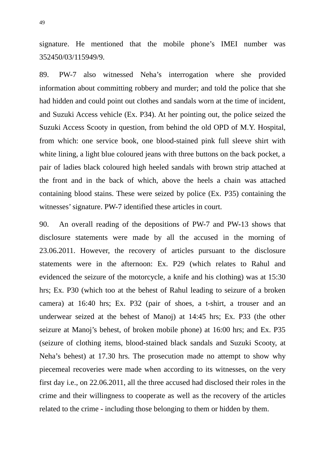signature. He mentioned that the mobile phone's IMEI number was 352450/03/115949/9.

89. PW-7 also witnessed Neha's interrogation where she provided information about committing robbery and murder; and told the police that she had hidden and could point out clothes and sandals worn at the time of incident, and Suzuki Access vehicle (Ex. P34). At her pointing out, the police seized the Suzuki Access Scooty in question, from behind the old OPD of M.Y. Hospital, from which: one service book, one blood-stained pink full sleeve shirt with white lining, a light blue coloured jeans with three buttons on the back pocket, a pair of ladies black coloured high heeled sandals with brown strip attached at the front and in the back of which, above the heels a chain was attached containing blood stains. These were seized by police (Ex. P35) containing the witnesses' signature. PW-7 identified these articles in court.

90. An overall reading of the depositions of PW-7 and PW-13 shows that disclosure statements were made by all the accused in the morning of 23.06.2011. However, the recovery of articles pursuant to the disclosure statements were in the afternoon: Ex. P29 (which relates to Rahul and evidenced the seizure of the motorcycle, a knife and his clothing) was at 15:30 hrs; Ex. P30 (which too at the behest of Rahul leading to seizure of a broken camera) at 16:40 hrs; Ex. P32 (pair of shoes, a t-shirt, a trouser and an underwear seized at the behest of Manoj) at 14:45 hrs; Ex. P33 (the other seizure at Manoj's behest, of broken mobile phone) at 16:00 hrs; and Ex. P35 (seizure of clothing items, blood-stained black sandals and Suzuki Scooty, at Neha's behest) at 17.30 hrs. The prosecution made no attempt to show why piecemeal recoveries were made when according to its witnesses, on the very first day i.e., on 22.06.2011, all the three accused had disclosed their roles in the crime and their willingness to cooperate as well as the recovery of the articles related to the crime - including those belonging to them or hidden by them.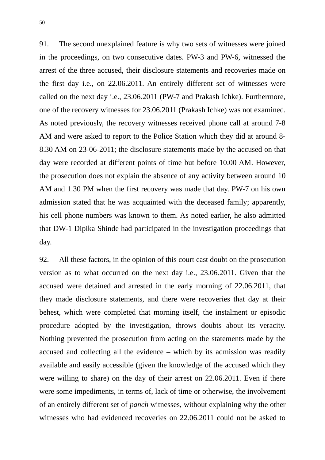91. The second unexplained feature is why two sets of witnesses were joined in the proceedings, on two consecutive dates. PW-3 and PW-6, witnessed the arrest of the three accused, their disclosure statements and recoveries made on the first day i.e., on 22.06.2011. An entirely different set of witnesses were called on the next day i.e., 23.06.2011 (PW-7 and Prakash Ichke). Furthermore, one of the recovery witnesses for 23.06.2011 (Prakash Ichke) was not examined. As noted previously, the recovery witnesses received phone call at around 7-8 AM and were asked to report to the Police Station which they did at around 8- 8.30 AM on 23-06-2011; the disclosure statements made by the accused on that day were recorded at different points of time but before 10.00 AM. However, the prosecution does not explain the absence of any activity between around 10 AM and 1.30 PM when the first recovery was made that day. PW-7 on his own admission stated that he was acquainted with the deceased family; apparently, his cell phone numbers was known to them. As noted earlier, he also admitted that DW-1 Dipika Shinde had participated in the investigation proceedings that day.

92. All these factors, in the opinion of this court cast doubt on the prosecution version as to what occurred on the next day i.e., 23.06.2011. Given that the accused were detained and arrested in the early morning of 22.06.2011, that they made disclosure statements, and there were recoveries that day at their behest, which were completed that morning itself, the instalment or episodic procedure adopted by the investigation, throws doubts about its veracity. Nothing prevented the prosecution from acting on the statements made by the accused and collecting all the evidence – which by its admission was readily available and easily accessible (given the knowledge of the accused which they were willing to share) on the day of their arrest on 22.06.2011. Even if there were some impediments, in terms of, lack of time or otherwise, the involvement of an entirely different set of *panch* witnesses, without explaining why the other witnesses who had evidenced recoveries on 22.06.2011 could not be asked to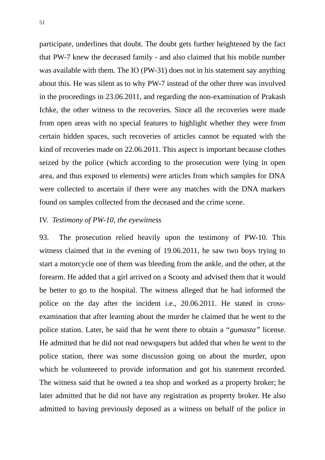participate, underlines that doubt. The doubt gets further heightened by the fact that PW-7 knew the deceased family - and also claimed that his mobile number was available with them. The IO (PW-31) does not in his statement say anything about this. He was silent as to why PW-7 instead of the other three was involved in the proceedings in 23.06.2011, and regarding the non-examination of Prakash Ichke, the other witness to the recoveries. Since all the recoveries were made from open areas with no special features to highlight whether they were from certain hidden spaces, such recoveries of articles cannot be equated with the kind of recoveries made on 22.06.2011. This aspect is important because clothes seized by the police (which according to the prosecution were lying in open area, and thus exposed to elements) were articles from which samples for DNA were collected to ascertain if there were any matches with the DNA markers found on samples collected from the deceased and the crime scene.

## IV. *Testimony of PW-10, the eyewitness*

93. The prosecution relied heavily upon the testimony of PW-10. This witness claimed that in the evening of 19.06.2011, he saw two boys trying to start a motorcycle one of them was bleeding from the ankle, and the other, at the forearm. He added that a girl arrived on a Scooty and advised them that it would be better to go to the hospital. The witness alleged that he had informed the police on the day after the incident i.e., 20.06.2011. He stated in crossexamination that after learning about the murder he claimed that he went to the police station. Later, he said that he went there to obtain a "*gumasta"* license. He admitted that he did not read newspapers but added that when he went to the police station, there was some discussion going on about the murder, upon which he volunteered to provide information and got his statement recorded. The witness said that he owned a tea shop and worked as a property broker; he later admitted that he did not have any registration as property broker. He also admitted to having previously deposed as a witness on behalf of the police in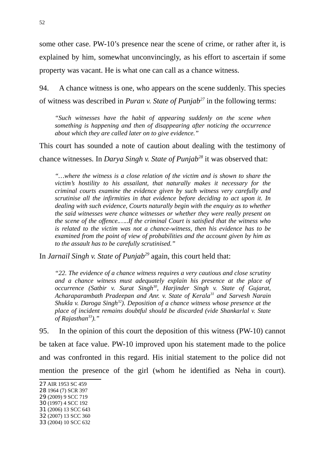some other case. PW-10's presence near the scene of crime, or rather after it, is explained by him, somewhat unconvincingly, as his effort to ascertain if some property was vacant. He is what one can call as a chance witness.

94. A chance witness is one, who appears on the scene suddenly. This species of witness was described in *Puran v. State of Punjab[27](#page-51-0)* in the following terms:

*"Such witnesses have the habit of appearing suddenly on the scene when something is happening and then of disappearing after noticing the occurrence about which they are called later on to give evidence."*

This court has sounded a note of caution about dealing with the testimony of

chance witnesses. In *Darya Singh v. State of Punjab[28](#page-51-1)* it was observed that:

*"…where the witness is a close relation of the victim and is shown to share the victim's hostility to his assailant, that naturally makes it necessary for the criminal courts examine the evidence given by such witness very carefully and scrutinise all the infirmities in that evidence before deciding to act upon it. In dealing with such evidence, Courts naturally begin with the enquiry as to whether the said witnesses were chance witnesses or whether they were really present on the scene of the offence.…..If the criminal Court is satisfied that the witness who is related to the victim was not a chance-witness, then his evidence has to be examined from the point of view of probabilities and the account given by him as to the assault has to be carefully scrutinised."*

In *Jarnail Singh v. State of Punjab[29](#page-51-2)* again, this court held that:

*"22. The evidence of a chance witness requires a very cautious and close scrutiny and a chance witness must adequately explain his presence at the place of occurrence (Satbir v. Surat Singh[30](#page-51-3), Harjinder Singh v. State of Gujarat, Acharaparambath Pradeepan and Anr. v. State of Kerala[31](#page-51-4) and Sarvesh Narain Shukla v. Daroga Singh[32](#page-51-5)). Deposition of a chance witness whose presence at the place of incident remains doubtful should be discarded (vide Shankarlal v. State of Rajasthan[33](#page-51-6))."*

95. In the opinion of this court the deposition of this witness (PW-10) cannot be taken at face value. PW-10 improved upon his statement made to the police and was confronted in this regard. His initial statement to the police did not mention the presence of the girl (whom he identified as Neha in court).

- <span id="page-51-2"></span>29 (2009) 9 SCC 719
- <span id="page-51-3"></span>30 (1997) 4 SCC 192
- <span id="page-51-4"></span>31 (2006) 13 SCC 643 32 (2007) 13 SCC 360

<span id="page-51-0"></span><sup>27</sup> AIR 1953 SC 459

<span id="page-51-1"></span><sup>28</sup> 1964 (7) SCR 397

<span id="page-51-6"></span><span id="page-51-5"></span><sup>33</sup> (2004) 10 SCC 632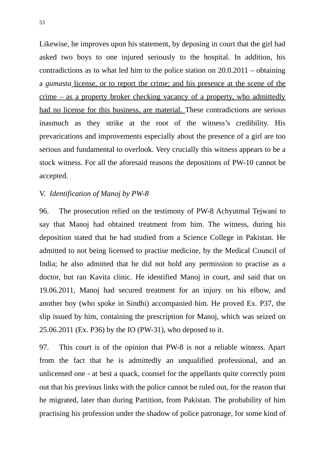Likewise, he improves upon his statement, by deposing in court that the girl had asked two boys to one injured seriously to the hospital. In addition, his contradictions as to what led him to the police station on 20.0.2011 – obtaining a *gumasta* license, or to report the crime; and his presence at the scene of the  $c$ rime – as a property broker checking vacancy of a property, who admittedly had no license for this business, are material. These contradictions are serious inasmuch as they strike at the root of the witness's credibility. His prevarications and improvements especially about the presence of a girl are too serious and fundamental to overlook. Very crucially this witness appears to be a stock witness. For all the aforesaid reasons the depositions of PW-10 cannot be accepted.

## V. *Identification of Manoj by PW-8*

96. The prosecution relied on the testimony of PW-8 Achyutmal Tejwani to say that Manoj had obtained treatment from him. The witness, during his deposition stated that he had studied from a Science College in Pakistan. He admitted to not being licensed to practise medicine, by the Medical Council of India; he also admitted that he did not hold any permission to practise as a doctor, but ran Kavita clinic. He identified Manoj in court, and said that on 19.06.2011, Manoj had secured treatment for an injury on his elbow, and another boy (who spoke in Sindhi) accompanied him. He proved Ex. P37, the slip issued by him, containing the prescription for Manoj, which was seized on 25.06.2011 (Ex. P36) by the IO (PW-31), who deposed to it.

97. This court is of the opinion that PW-8 is not a reliable witness. Apart from the fact that he is admittedly an unqualified professional, and an unlicensed one - at best a quack, counsel for the appellants quite correctly point out that his previous links with the police cannot be ruled out, for the reason that he migrated, later than during Partition, from Pakistan. The probability of him practising his profession under the shadow of police patronage, for some kind of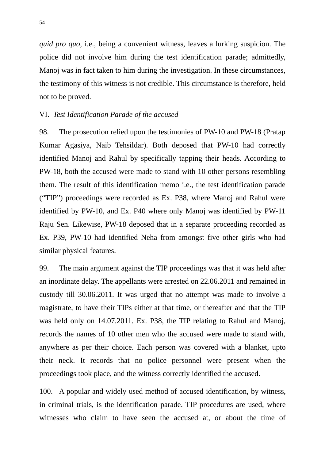*quid pro quo,* i.e., being a convenient witness, leaves a lurking suspicion. The police did not involve him during the test identification parade; admittedly, Manoj was in fact taken to him during the investigation. In these circumstances, the testimony of this witness is not credible. This circumstance is therefore, held not to be proved.

## VI. *Test Identification Parade of the accused*

98. The prosecution relied upon the testimonies of PW-10 and PW-18 (Pratap Kumar Agasiya, Naib Tehsildar). Both deposed that PW-10 had correctly identified Manoj and Rahul by specifically tapping their heads. According to PW-18, both the accused were made to stand with 10 other persons resembling them. The result of this identification memo i.e., the test identification parade ("TIP") proceedings were recorded as Ex. P38, where Manoj and Rahul were identified by PW-10, and Ex. P40 where only Manoj was identified by PW-11 Raju Sen. Likewise, PW-18 deposed that in a separate proceeding recorded as Ex. P39, PW-10 had identified Neha from amongst five other girls who had similar physical features.

99. The main argument against the TIP proceedings was that it was held after an inordinate delay. The appellants were arrested on 22.06.2011 and remained in custody till 30.06.2011. It was urged that no attempt was made to involve a magistrate, to have their TIPs either at that time, or thereafter and that the TIP was held only on 14.07.2011. Ex. P38, the TIP relating to Rahul and Manoj, records the names of 10 other men who the accused were made to stand with, anywhere as per their choice. Each person was covered with a blanket, upto their neck. It records that no police personnel were present when the proceedings took place, and the witness correctly identified the accused.

100. A popular and widely used method of accused identification, by witness, in criminal trials, is the identification parade. TIP procedures are used, where witnesses who claim to have seen the accused at, or about the time of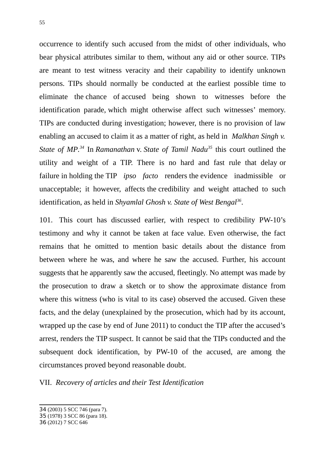occurrence to identify such accused from the midst of other individuals, who bear physical attributes similar to them, without any aid or other source. TIPs are meant to test witness veracity and their capability to identify unknown persons. TIPs should normally be conducted at the earliest possible time to eliminate the chance of accused being shown to witnesses before the identification parade, which might otherwise affect such witnesses' memory. TIPs are conducted during investigation; however, there is no provision of law enabling an accused to claim it as a matter of right, as held in *Malkhan Singh v. State of MP. [34](#page-54-0)* In *Ramanathan* v. *State of Tamil Nadu[35](#page-54-1)* this court outlined the utility and weight of a TIP. There is no hard and fast rule that delay or failure in holding the TIP *ipso facto* renders the evidence inadmissible or unacceptable; it however, affects the credibility and weight attached to such identification, as held in *Shyamlal Ghosh v. State of West Bengal[36](#page-54-2)* .

101. This court has discussed earlier, with respect to credibility PW-10's testimony and why it cannot be taken at face value. Even otherwise, the fact remains that he omitted to mention basic details about the distance from between where he was, and where he saw the accused. Further, his account suggests that he apparently saw the accused, fleetingly. No attempt was made by the prosecution to draw a sketch or to show the approximate distance from where this witness (who is vital to its case) observed the accused. Given these facts, and the delay (unexplained by the prosecution, which had by its account, wrapped up the case by end of June 2011) to conduct the TIP after the accused's arrest, renders the TIP suspect. It cannot be said that the TIPs conducted and the subsequent dock identification, by PW-10 of the accused, are among the circumstances proved beyond reasonable doubt.

VII. *Recovery of articles and their Test Identification*

<span id="page-54-0"></span><sup>34</sup> (2003) 5 SCC 746 (para 7).

<span id="page-54-1"></span><sup>35</sup> (1978) 3 SCC 86 (para 18).

<span id="page-54-2"></span><sup>36</sup> (2012) 7 SCC 646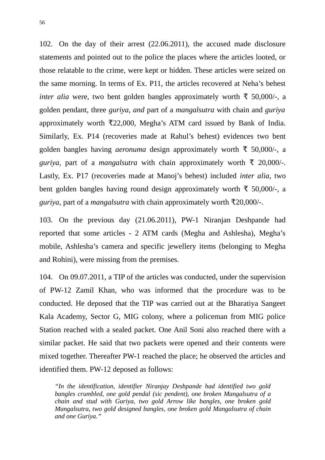102. On the day of their arrest (22.06.2011), the accused made disclosure statements and pointed out to the police the places where the articles looted, or those relatable to the crime, were kept or hidden. These articles were seized on the same morning. In terms of Ex. P11, the articles recovered at Neha's behest *inter alia* were, two bent golden bangles approximately worth  $\bar{\tau}$  50,000/-, a golden pendant, three *guriya, and* part of a *mangalsutra* with chain and *guriya* approximately worth  $\overline{2}22,000$ , Megha's ATM card issued by Bank of India. Similarly, Ex. P14 (recoveries made at Rahul's behest) evidences two bent golden bangles having *aeronuma* design approximately worth  $\bar{\tau}$  50,000/-, a *guriya*, part of a *mangalsutra* with chain approximately worth  $\bar{\tau}$  20,000/-. Lastly, Ex. P17 (recoveries made at Manoj's behest) included *inter alia,* two bent golden bangles having round design approximately worth  $\bar{\tau}$  50,000/-, a *guriya*, part of a *mangalsutra* with chain approximately worth ₹20,000/-.

103. On the previous day (21.06.2011), PW-1 Niranjan Deshpande had reported that some articles - 2 ATM cards (Megha and Ashlesha), Megha's mobile, Ashlesha's camera and specific jewellery items (belonging to Megha and Rohini), were missing from the premises.

104. On 09.07.2011, a TIP of the articles was conducted, under the supervision of PW-12 Zamil Khan, who was informed that the procedure was to be conducted. He deposed that the TIP was carried out at the Bharatiya Sangeet Kala Academy, Sector G, MIG colony, where a policeman from MIG police Station reached with a sealed packet. One Anil Soni also reached there with a similar packet. He said that two packets were opened and their contents were mixed together. Thereafter PW-1 reached the place; he observed the articles and identified them. PW-12 deposed as follows:

*"In the identification, identifier Niranjay Deshpande had identified two gold bangles crumbled, one gold pendal (sic pendent), one broken Mangalsutra of a chain and stud with Guriya, two gold Arrow like bangles, one broken gold Mangalsutra, two gold designed bangles, one broken gold Mangalsutra of chain and one Guriya."*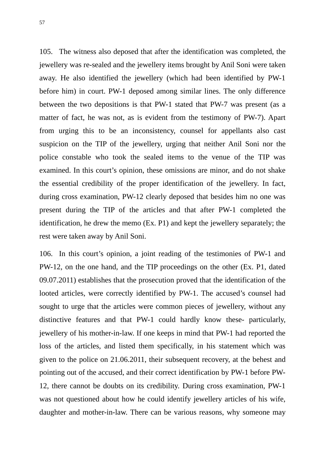105. The witness also deposed that after the identification was completed, the jewellery was re-sealed and the jewellery items brought by Anil Soni were taken away. He also identified the jewellery (which had been identified by PW-1 before him) in court. PW-1 deposed among similar lines. The only difference between the two depositions is that PW-1 stated that PW-7 was present (as a matter of fact, he was not, as is evident from the testimony of PW-7). Apart from urging this to be an inconsistency, counsel for appellants also cast suspicion on the TIP of the jewellery, urging that neither Anil Soni nor the police constable who took the sealed items to the venue of the TIP was examined. In this court's opinion, these omissions are minor, and do not shake the essential credibility of the proper identification of the jewellery. In fact, during cross examination, PW-12 clearly deposed that besides him no one was present during the TIP of the articles and that after PW-1 completed the identification, he drew the memo (Ex. P1) and kept the jewellery separately; the rest were taken away by Anil Soni.

106. In this court's opinion, a joint reading of the testimonies of PW-1 and PW-12, on the one hand, and the TIP proceedings on the other (Ex. P1, dated 09.07.2011) establishes that the prosecution proved that the identification of the looted articles, were correctly identified by PW-1. The accused's counsel had sought to urge that the articles were common pieces of jewellery, without any distinctive features and that PW-1 could hardly know these- particularly, jewellery of his mother-in-law. If one keeps in mind that PW-1 had reported the loss of the articles, and listed them specifically, in his statement which was given to the police on 21.06.2011, their subsequent recovery, at the behest and pointing out of the accused, and their correct identification by PW-1 before PW-12, there cannot be doubts on its credibility. During cross examination, PW-1 was not questioned about how he could identify jewellery articles of his wife, daughter and mother-in-law. There can be various reasons, why someone may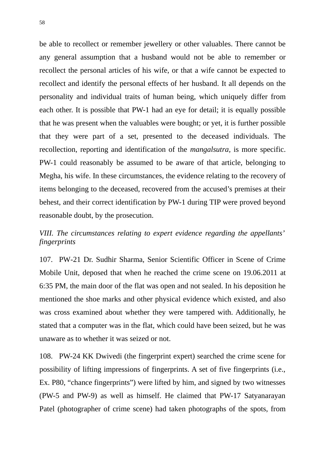be able to recollect or remember jewellery or other valuables. There cannot be any general assumption that a husband would not be able to remember or recollect the personal articles of his wife, or that a wife cannot be expected to recollect and identify the personal effects of her husband. It all depends on the personality and individual traits of human being, which uniquely differ from each other. It is possible that PW-1 had an eye for detail; it is equally possible that he was present when the valuables were bought; or yet, it is further possible that they were part of a set, presented to the deceased individuals. The recollection, reporting and identification of the *mangalsutra,* is more specific. PW-1 could reasonably be assumed to be aware of that article, belonging to Megha, his wife. In these circumstances, the evidence relating to the recovery of items belonging to the deceased, recovered from the accused's premises at their behest, and their correct identification by PW-1 during TIP were proved beyond reasonable doubt, by the prosecution.

# *VIII. The circumstances relating to expert evidence regarding the appellants' fingerprints*

107. PW-21 Dr. Sudhir Sharma, Senior Scientific Officer in Scene of Crime Mobile Unit, deposed that when he reached the crime scene on 19.06.2011 at 6:35 PM, the main door of the flat was open and not sealed. In his deposition he mentioned the shoe marks and other physical evidence which existed, and also was cross examined about whether they were tampered with. Additionally, he stated that a computer was in the flat, which could have been seized, but he was unaware as to whether it was seized or not.

108. PW-24 KK Dwivedi (the fingerprint expert) searched the crime scene for possibility of lifting impressions of fingerprints. A set of five fingerprints (i.e., Ex. P80, "chance fingerprints") were lifted by him, and signed by two witnesses (PW-5 and PW-9) as well as himself. He claimed that PW-17 Satyanarayan Patel (photographer of crime scene) had taken photographs of the spots, from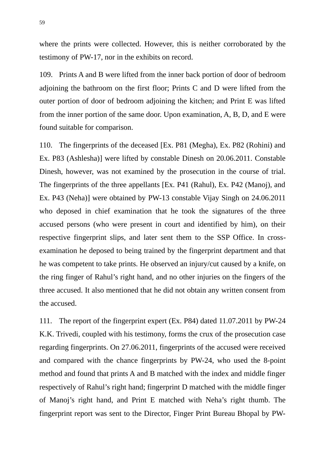where the prints were collected. However, this is neither corroborated by the testimony of PW-17, nor in the exhibits on record.

109. Prints A and B were lifted from the inner back portion of door of bedroom adjoining the bathroom on the first floor; Prints C and D were lifted from the outer portion of door of bedroom adjoining the kitchen; and Print E was lifted from the inner portion of the same door. Upon examination, A, B, D, and E were found suitable for comparison.

110. The fingerprints of the deceased [Ex. P81 (Megha), Ex. P82 (Rohini) and Ex. P83 (Ashlesha)] were lifted by constable Dinesh on 20.06.2011. Constable Dinesh, however, was not examined by the prosecution in the course of trial. The fingerprints of the three appellants [Ex. P41 (Rahul), Ex. P42 (Manoj), and Ex. P43 (Neha)] were obtained by PW-13 constable Vijay Singh on 24.06.2011 who deposed in chief examination that he took the signatures of the three accused persons (who were present in court and identified by him), on their respective fingerprint slips, and later sent them to the SSP Office. In crossexamination he deposed to being trained by the fingerprint department and that he was competent to take prints. He observed an injury/cut caused by a knife, on the ring finger of Rahul's right hand, and no other injuries on the fingers of the three accused. It also mentioned that he did not obtain any written consent from the accused.

111. The report of the fingerprint expert (Ex. P84) dated 11.07.2011 by PW-24 K.K. Trivedi, coupled with his testimony, forms the crux of the prosecution case regarding fingerprints. On 27.06.2011, fingerprints of the accused were received and compared with the chance fingerprints by PW-24, who used the 8-point method and found that prints A and B matched with the index and middle finger respectively of Rahul's right hand; fingerprint D matched with the middle finger of Manoj's right hand, and Print E matched with Neha's right thumb. The fingerprint report was sent to the Director, Finger Print Bureau Bhopal by PW-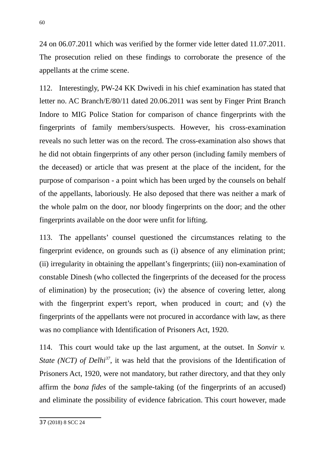24 on 06.07.2011 which was verified by the former vide letter dated 11.07.2011. The prosecution relied on these findings to corroborate the presence of the appellants at the crime scene.

112. Interestingly, PW-24 KK Dwivedi in his chief examination has stated that letter no. AC Branch/E/80/11 dated 20.06.2011 was sent by Finger Print Branch Indore to MIG Police Station for comparison of chance fingerprints with the fingerprints of family members/suspects. However, his cross-examination reveals no such letter was on the record. The cross-examination also shows that he did not obtain fingerprints of any other person (including family members of the deceased) or article that was present at the place of the incident, for the purpose of comparison - a point which has been urged by the counsels on behalf of the appellants, laboriously. He also deposed that there was neither a mark of the whole palm on the door, nor bloody fingerprints on the door; and the other fingerprints available on the door were unfit for lifting.

113. The appellants' counsel questioned the circumstances relating to the fingerprint evidence, on grounds such as (i) absence of any elimination print; (ii) irregularity in obtaining the appellant's fingerprints; (iii) non-examination of constable Dinesh (who collected the fingerprints of the deceased for the process of elimination) by the prosecution; (iv) the absence of covering letter, along with the fingerprint expert's report, when produced in court; and (v) the fingerprints of the appellants were not procured in accordance with law, as there was no compliance with Identification of Prisoners Act, 1920.

114. This court would take up the last argument, at the outset. In *Sonvir v. State (NCT) of Delhi[37](#page-59-0)*, it was held that the provisions of the Identification of Prisoners Act, 1920, were not mandatory, but rather directory, and that they only affirm the *bona fides* of the sample-taking (of the fingerprints of an accused) and eliminate the possibility of evidence fabrication. This court however, made

<span id="page-59-0"></span><sup>37</sup> (2018) 8 SCC 24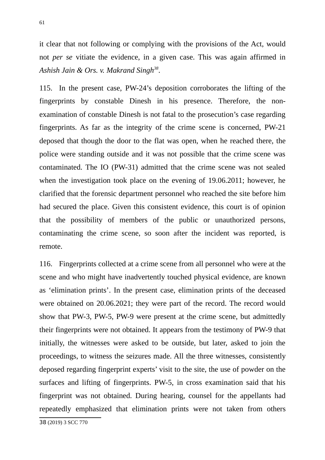it clear that not following or complying with the provisions of the Act, would not *per se* vitiate the evidence, in a given case. This was again affirmed in *Ashish Jain & Ors. v. Makrand Singh[38](#page-60-0)* .

115. In the present case, PW-24's deposition corroborates the lifting of the fingerprints by constable Dinesh in his presence. Therefore, the nonexamination of constable Dinesh is not fatal to the prosecution's case regarding fingerprints. As far as the integrity of the crime scene is concerned, PW-21 deposed that though the door to the flat was open, when he reached there, the police were standing outside and it was not possible that the crime scene was contaminated. The IO (PW-31) admitted that the crime scene was not sealed when the investigation took place on the evening of 19.06.2011; however, he clarified that the forensic department personnel who reached the site before him had secured the place. Given this consistent evidence, this court is of opinion that the possibility of members of the public or unauthorized persons, contaminating the crime scene, so soon after the incident was reported, is remote.

<span id="page-60-0"></span>116. Fingerprints collected at a crime scene from all personnel who were at the scene and who might have inadvertently touched physical evidence, are known as 'elimination prints'. In the present case, elimination prints of the deceased were obtained on 20.06.2021; they were part of the record. The record would show that PW-3, PW-5, PW-9 were present at the crime scene, but admittedly their fingerprints were not obtained. It appears from the testimony of PW-9 that initially, the witnesses were asked to be outside, but later, asked to join the proceedings, to witness the seizures made. All the three witnesses, consistently deposed regarding fingerprint experts' visit to the site, the use of powder on the surfaces and lifting of fingerprints. PW-5, in cross examination said that his fingerprint was not obtained. During hearing, counsel for the appellants had repeatedly emphasized that elimination prints were not taken from others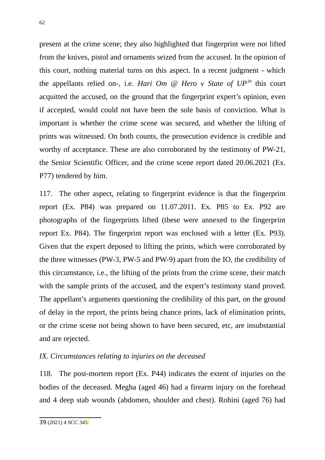present at the crime scene; they also highlighted that fingerprint were not lifted from the knives, pistol and ornaments seized from the accused. In the opinion of this court, nothing material turns on this aspect. In a recent judgment - which the appellants relied on-, i.e. *Hari Om @ Hero v State of UP[39](#page-61-0)* this court acquitted the accused, on the ground that the fingerprint expert's opinion, even if accepted, would could not have been the sole basis of conviction. What is important is whether the crime scene was secured, and whether the lifting of prints was witnessed. On both counts, the prosecution evidence is credible and worthy of acceptance. These are also corroborated by the testimony of PW-21, the Senior Scientific Officer, and the crime scene report dated 20.06.2021 (Ex. P77) tendered by him.

117. The other aspect, relating to fingerprint evidence is that the fingerprint report (Ex. P84) was prepared on 11.07.2011. Ex. P85 to Ex. P92 are photographs of the fingerprints lifted (these were annexed to the fingerprint report Ex. P84). The fingerprint report was enclosed with a letter (Ex. P93). Given that the expert deposed to lifting the prints, which were corroborated by the three witnesses (PW-3, PW-5 and PW-9) apart from the IO, the credibility of this circumstance, i.e., the lifting of the prints from the crime scene, their match with the sample prints of the accused, and the expert's testimony stand proved. The appellant's arguments questioning the credibility of this part, on the ground of delay in the report, the prints being chance prints, lack of elimination prints, or the crime scene not being shown to have been secured, etc, are insubstantial and are rejected.

## *IX. Circumstances relating to injuries on the deceased*

<span id="page-61-0"></span>118. The post-mortem report (Ex. P44) indicates the extent of injuries on the bodies of the deceased. Megha (aged 46) had a firearm injury on the forehead and 4 deep stab wounds (abdomen, shoulder and chest). Rohini (aged 76) had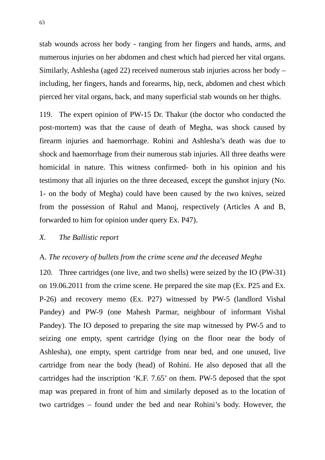stab wounds across her body - ranging from her fingers and hands, arms, and numerous injuries on her abdomen and chest which had pierced her vital organs. Similarly, Ashlesha (aged 22) received numerous stab injuries across her body – including, her fingers, hands and forearms, hip, neck, abdomen and chest which pierced her vital organs, back, and many superficial stab wounds on her thighs.

119. The expert opinion of PW-15 Dr. Thakur (the doctor who conducted the post-mortem) was that the cause of death of Megha, was shock caused by firearm injuries and haemorrhage. Rohini and Ashlesha's death was due to shock and haemorrhage from their numerous stab injuries. All three deaths were homicidal in nature. This witness confirmed- both in his opinion and his testimony that all injuries on the three deceased, except the gunshot injury (No. 1- on the body of Megha) could have been caused by the two knives, seized from the possession of Rahul and Manoj, respectively (Articles A and B, forwarded to him for opinion under query Ex. P47).

## *X. The Ballistic report*

## A. *The recovery of bullets from the crime scene and the deceased Megha*

120. Three cartridges (one live, and two shells) were seized by the IO (PW-31) on 19.06.2011 from the crime scene. He prepared the site map (Ex. P25 and Ex. P-26) and recovery memo (Ex. P27) witnessed by PW-5 (landlord Vishal Pandey) and PW-9 (one Mahesh Parmar, neighbour of informant Vishal Pandey). The IO deposed to preparing the site map witnessed by PW-5 and to seizing one empty, spent cartridge (lying on the floor near the body of Ashlesha), one empty, spent cartridge from near bed, and one unused, live cartridge from near the body (head) of Rohini. He also deposed that all the cartridges had the inscription 'K.F. 7.65' on them. PW-5 deposed that the spot map was prepared in front of him and similarly deposed as to the location of two cartridges – found under the bed and near Rohini's body. However, the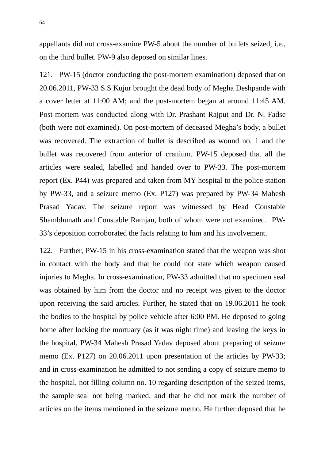appellants did not cross-examine PW-5 about the number of bullets seized, i.e., on the third bullet. PW-9 also deposed on similar lines.

121. PW-15 (doctor conducting the post-mortem examination) deposed that on 20.06.2011, PW-33 S.S Kujur brought the dead body of Megha Deshpande with a cover letter at 11:00 AM; and the post-mortem began at around 11:45 AM. Post-mortem was conducted along with Dr. Prashant Rajput and Dr. N. Fadse (both were not examined). On post-mortem of deceased Megha's body, a bullet was recovered. The extraction of bullet is described as wound no. 1 and the bullet was recovered from anterior of cranium. PW-15 deposed that all the articles were sealed, labelled and handed over to PW-33. The post-mortem report (Ex. P44) was prepared and taken from MY hospital to the police station by PW-33, and a seizure memo (Ex. P127) was prepared by PW-34 Mahesh Prasad Yadav. The seizure report was witnessed by Head Constable Shambhunath and Constable Ramjan, both of whom were not examined. PW-33's deposition corroborated the facts relating to him and his involvement.

122. Further, PW-15 in his cross-examination stated that the weapon was shot in contact with the body and that he could not state which weapon caused injuries to Megha. In cross-examination, PW-33 admitted that no specimen seal was obtained by him from the doctor and no receipt was given to the doctor upon receiving the said articles. Further, he stated that on 19.06.2011 he took the bodies to the hospital by police vehicle after 6:00 PM. He deposed to going home after locking the mortuary (as it was night time) and leaving the keys in the hospital. PW-34 Mahesh Prasad Yadav deposed about preparing of seizure memo (Ex. P127) on 20.06.2011 upon presentation of the articles by PW-33; and in cross-examination he admitted to not sending a copy of seizure memo to the hospital, not filling column no. 10 regarding description of the seized items, the sample seal not being marked, and that he did not mark the number of articles on the items mentioned in the seizure memo. He further deposed that he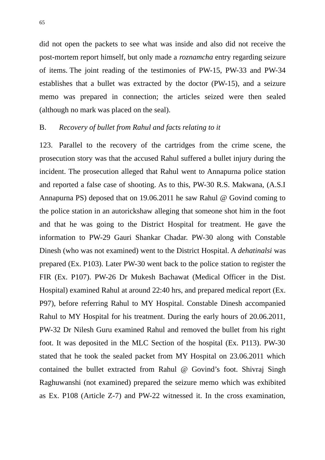did not open the packets to see what was inside and also did not receive the post-mortem report himself, but only made a *roznamcha* entry regarding seizure of items. The joint reading of the testimonies of PW-15, PW-33 and PW-34 establishes that a bullet was extracted by the doctor (PW-15), and a seizure memo was prepared in connection; the articles seized were then sealed (although no mark was placed on the seal).

## B. *Recovery of bullet from Rahul and facts relating to it*

123. Parallel to the recovery of the cartridges from the crime scene, the prosecution story was that the accused Rahul suffered a bullet injury during the incident. The prosecution alleged that Rahul went to Annapurna police station and reported a false case of shooting. As to this, PW-30 R.S. Makwana, (A.S.I Annapurna PS) deposed that on 19.06.2011 he saw Rahul  $\omega$  Govind coming to the police station in an autorickshaw alleging that someone shot him in the foot and that he was going to the District Hospital for treatment. He gave the information to PW-29 Gauri Shankar Chadar. PW-30 along with Constable Dinesh (who was not examined) went to the District Hospital. A *dehatinalsi* was prepared (Ex. P103). Later PW-30 went back to the police station to register the FIR (Ex. P107). PW-26 Dr Mukesh Bachawat (Medical Officer in the Dist. Hospital) examined Rahul at around 22:40 hrs, and prepared medical report (Ex. P97), before referring Rahul to MY Hospital. Constable Dinesh accompanied Rahul to MY Hospital for his treatment. During the early hours of 20.06.2011, PW-32 Dr Nilesh Guru examined Rahul and removed the bullet from his right foot. It was deposited in the MLC Section of the hospital (Ex. P113). PW-30 stated that he took the sealed packet from MY Hospital on 23.06.2011 which contained the bullet extracted from Rahul  $\omega$  Govind's foot. Shivraj Singh Raghuwanshi (not examined) prepared the seizure memo which was exhibited as Ex. P108 (Article Z-7) and PW-22 witnessed it. In the cross examination,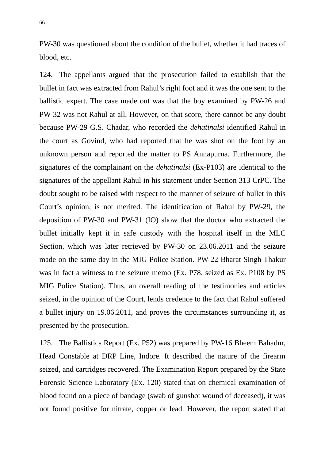PW-30 was questioned about the condition of the bullet, whether it had traces of blood, etc.

124. The appellants argued that the prosecution failed to establish that the bullet in fact was extracted from Rahul's right foot and it was the one sent to the ballistic expert. The case made out was that the boy examined by PW-26 and PW-32 was not Rahul at all. However, on that score, there cannot be any doubt because PW-29 G.S. Chadar, who recorded the *dehatinalsi* identified Rahul in the court as Govind, who had reported that he was shot on the foot by an unknown person and reported the matter to PS Annapurna. Furthermore, the signatures of the complainant on the *dehatinalsi* (Ex-P103) are identical to the signatures of the appellant Rahul in his statement under Section 313 CrPC. The doubt sought to be raised with respect to the manner of seizure of bullet in this Court's opinion, is not merited. The identification of Rahul by PW-29, the deposition of PW-30 and PW-31 (IO) show that the doctor who extracted the bullet initially kept it in safe custody with the hospital itself in the MLC Section, which was later retrieved by PW-30 on 23.06.2011 and the seizure made on the same day in the MIG Police Station. PW-22 Bharat Singh Thakur was in fact a witness to the seizure memo (Ex. P78, seized as Ex. P108 by PS MIG Police Station). Thus, an overall reading of the testimonies and articles seized, in the opinion of the Court, lends credence to the fact that Rahul suffered a bullet injury on 19.06.2011, and proves the circumstances surrounding it, as presented by the prosecution.

125. The Ballistics Report (Ex. P52) was prepared by PW-16 Bheem Bahadur, Head Constable at DRP Line, Indore. It described the nature of the firearm seized, and cartridges recovered. The Examination Report prepared by the State Forensic Science Laboratory (Ex. 120) stated that on chemical examination of blood found on a piece of bandage (swab of gunshot wound of deceased), it was not found positive for nitrate, copper or lead. However, the report stated that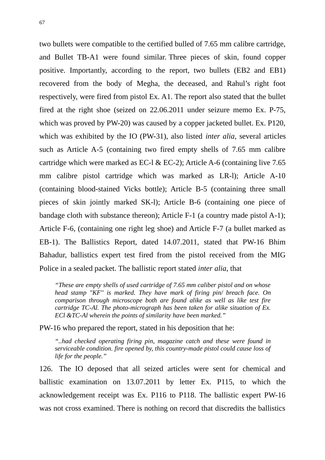two bullets were compatible to the certified bulled of 7.65 mm calibre cartridge, and Bullet TB-A1 were found similar. Three pieces of skin, found copper positive. Importantly, according to the report, two bullets (EB2 and EB1) recovered from the body of Megha, the deceased, and Rahul's right foot respectively, were fired from pistol Ex. A1. The report also stated that the bullet fired at the right shoe (seized on 22.06.2011 under seizure memo Ex. P-75, which was proved by PW-20) was caused by a copper jacketed bullet. Ex. P120, which was exhibited by the IO (PW-31), also listed *inter alia,* several articles such as Article A-5 (containing two fired empty shells of 7.65 mm calibre cartridge which were marked as EC-l & EC-2); Article A-6 (containing live 7.65 mm calibre pistol cartridge which was marked as LR-l); Article A-10 (containing blood-stained Vicks bottle); Article B-5 (containing three small pieces of skin jointly marked SK-l); Article B-6 (containing one piece of bandage cloth with substance thereon); Article F-1 (a country made pistol A-1); Article F-6, (containing one right leg shoe) and Article F-7 (a bullet marked as EB-1). The Ballistics Report, dated 14.07.2011, stated that PW-16 Bhim Bahadur, ballistics expert test fired from the pistol received from the MIG Police in a sealed packet. The ballistic report stated *inter alia*, that

*"These are empty shells of used cartridge of 7.65 mm caliber pistol and on whose head stamp ''KF'' is marked. They have mark of firing pin/ breach face. On comparison through microscope both are found alike as well as like test fire cartridge TC-Al. The photo-micrograph has been taken for alike situation of Ex. ECl &TC-Al wherein the points of similarity have been marked."*

PW-16 who prepared the report, stated in his deposition that he:

*"..had checked operating firing pin, magazine catch and these were found in serviceable condition. fire opened by, this country-made pistol could cause loss of life for the people."*

126. The IO deposed that all seized articles were sent for chemical and ballistic examination on 13.07.2011 by letter Ex. P115, to which the acknowledgement receipt was Ex. P116 to P118. The ballistic expert PW-16 was not cross examined. There is nothing on record that discredits the ballistics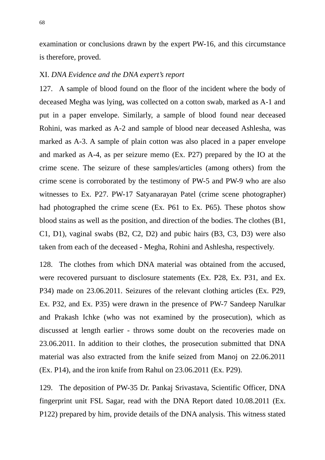examination or conclusions drawn by the expert PW-16, and this circumstance is therefore, proved.

#### XI. *DNA Evidence and the DNA expert's report*

127. A sample of blood found on the floor of the incident where the body of deceased Megha was lying, was collected on a cotton swab, marked as A-1 and put in a paper envelope. Similarly, a sample of blood found near deceased Rohini, was marked as A-2 and sample of blood near deceased Ashlesha, was marked as A-3. A sample of plain cotton was also placed in a paper envelope and marked as A-4, as per seizure memo (Ex. P27) prepared by the IO at the crime scene. The seizure of these samples/articles (among others) from the crime scene is corroborated by the testimony of PW-5 and PW-9 who are also witnesses to Ex. P27. PW-17 Satyanarayan Patel (crime scene photographer) had photographed the crime scene (Ex. P61 to Ex. P65). These photos show blood stains as well as the position, and direction of the bodies. The clothes (B1, C1, D1), vaginal swabs (B2, C2, D2) and pubic hairs (B3, C3, D3) were also taken from each of the deceased - Megha, Rohini and Ashlesha, respectively.

128. The clothes from which DNA material was obtained from the accused, were recovered pursuant to disclosure statements (Ex. P28, Ex. P31, and Ex. P34) made on 23.06.2011. Seizures of the relevant clothing articles (Ex. P29, Ex. P32, and Ex. P35) were drawn in the presence of PW-7 Sandeep Narulkar and Prakash Ichke (who was not examined by the prosecution), which as discussed at length earlier - throws some doubt on the recoveries made on 23.06.2011. In addition to their clothes, the prosecution submitted that DNA material was also extracted from the knife seized from Manoj on 22.06.2011 (Ex. P14), and the iron knife from Rahul on 23.06.2011 (Ex. P29).

129. The deposition of PW-35 Dr. Pankaj Srivastava, Scientific Officer, DNA fingerprint unit FSL Sagar, read with the DNA Report dated 10.08.2011 (Ex. P122) prepared by him, provide details of the DNA analysis. This witness stated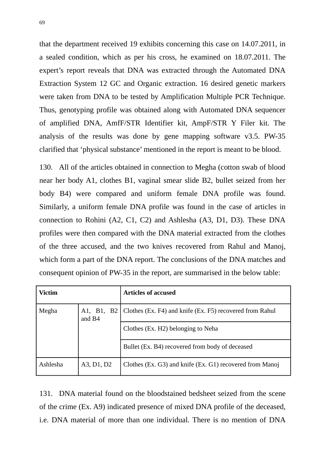that the department received 19 exhibits concerning this case on 14.07.2011, in a sealed condition, which as per his cross, he examined on 18.07.2011. The expert's report reveals that DNA was extracted through the Automated DNA Extraction System 12 GC and Organic extraction. 16 desired genetic markers were taken from DNA to be tested by Amplification Multiple PCR Technique. Thus, genotyping profile was obtained along with Automated DNA sequencer of amplified DNA, AmfF/STR Identifier kit, AmpF/STR Y Filer kit. The analysis of the results was done by gene mapping software v3.5. PW-35 clarified that 'physical substance' mentioned in the report is meant to be blood.

130. All of the articles obtained in connection to Megha (cotton swab of blood near her body A1, clothes B1, vaginal smear slide B2, bullet seized from her body B4) were compared and uniform female DNA profile was found. Similarly, a uniform female DNA profile was found in the case of articles in connection to Rohini (A2, C1, C2) and Ashlesha (A3, D1, D3). These DNA profiles were then compared with the DNA material extracted from the clothes of the three accused, and the two knives recovered from Rahul and Manoj, which form a part of the DNA report. The conclusions of the DNA matches and consequent opinion of PW-35 in the report, are summarised in the below table:

| <b>Victim</b> |            | <b>Articles of accused</b>                                            |
|---------------|------------|-----------------------------------------------------------------------|
| Megha         | and B4     | A1, B1, B2   Clothes (Ex. F4) and knife (Ex. F5) recovered from Rahul |
|               |            | Clothes (Ex. H2) belonging to Neha                                    |
|               |            | Bullet (Ex. B4) recovered from body of deceased                       |
| Ashlesha      | A3, D1, D2 | Clothes (Ex. G3) and knife (Ex. G1) recovered from Manoj              |

131. DNA material found on the bloodstained bedsheet seized from the scene of the crime (Ex. A9) indicated presence of mixed DNA profile of the deceased, i.e. DNA material of more than one individual. There is no mention of DNA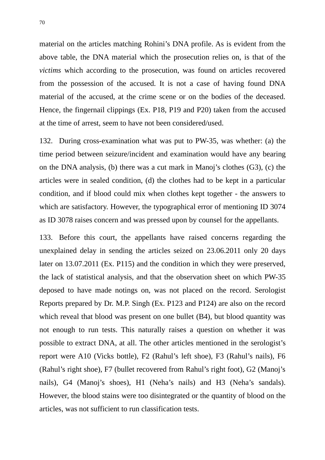material on the articles matching Rohini's DNA profile. As is evident from the above table, the DNA material which the prosecution relies on, is that of the *victims* which according to the prosecution, was found on articles recovered from the possession of the accused. It is not a case of having found DNA material of the accused, at the crime scene or on the bodies of the deceased. Hence, the fingernail clippings (Ex. P18, P19 and P20) taken from the accused at the time of arrest, seem to have not been considered/used.

132. During cross-examination what was put to PW-35, was whether: (a) the time period between seizure/incident and examination would have any bearing on the DNA analysis, (b) there was a cut mark in Manoj's clothes (G3), (c) the articles were in sealed condition, (d) the clothes had to be kept in a particular condition, and if blood could mix when clothes kept together - the answers to which are satisfactory. However, the typographical error of mentioning ID 3074 as ID 3078 raises concern and was pressed upon by counsel for the appellants.

133. Before this court, the appellants have raised concerns regarding the unexplained delay in sending the articles seized on 23.06.2011 only 20 days later on 13.07.2011 (Ex. P115) and the condition in which they were preserved, the lack of statistical analysis, and that the observation sheet on which PW-35 deposed to have made notings on, was not placed on the record. Serologist Reports prepared by Dr. M.P. Singh (Ex. P123 and P124) are also on the record which reveal that blood was present on one bullet (B4), but blood quantity was not enough to run tests. This naturally raises a question on whether it was possible to extract DNA, at all. The other articles mentioned in the serologist's report were A10 (Vicks bottle), F2 (Rahul's left shoe), F3 (Rahul's nails), F6 (Rahul's right shoe), F7 (bullet recovered from Rahul's right foot), G2 (Manoj's nails), G4 (Manoj's shoes), H1 (Neha's nails) and H3 (Neha's sandals). However, the blood stains were too disintegrated or the quantity of blood on the articles, was not sufficient to run classification tests.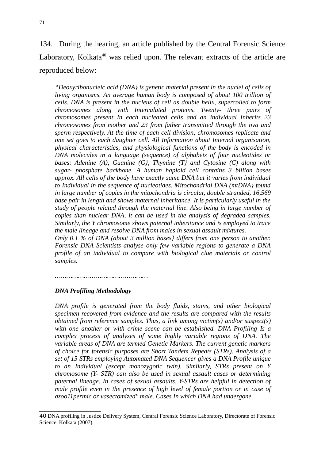134. During the hearing, an article published by the Central Forensic Science Laboratory, Kolkata<sup>[40](#page-70-0)</sup> was relied upon. The relevant extracts of the article are reproduced below:

*"Deoxyribonucleic acid (DNA} is genetic material present in the nuclei of cells of living organisms. An average human body is composed of about 100 trillion of cells. DNA is present in the nucleus of cell as double helix, supercoiled to form chromosomes along with Intercalated proteins. Twenty- three pairs of chromosomes present In each nucleated cells and an individual Inherits 23 chromosomes from mother and 23 from father transmitted through the ova and sperm respectively. At the time of each cell division, chromosomes replicate and one set goes to each daughter cell. All Information about Internal organisation, physical characteristics, and physiological functions of the body is encoded in DNA molecules in a language (sequence) of alphabets of four nucleotides or bases: Adenine (A), Guanine (G}, Thymine (T} and Cytosine (C) along with sugar- phosphate backbone. A human haploid cell contains 3 billion bases approx. All cells of the body have exactly same DNA but it varies from individual to Individual in the sequence of nucleotides. Mitochondrial DNA (mtDNA} found in large number of copies in the mitochondria is circular, double stranded, 16,569 base pair in length and shows maternal inheritance. It is particularly useful in the study of people related through the maternal line. Also being in large number of copies than nuclear DNA, it can be used in the analysis of degraded samples. Similarly, the Y chromosome shows paternal inheritance and is employed to trace the male lineage and resolve DNA from males in sexual assault mixtures.*

*Only 0.1 % of DNA (about 3 million bases} differs from one person to another. Forensic DNA Scientists analyse only few variable regions to generate a DNA profile of an individual to compare with biological clue materials or control samples.*

*…………………………………………*

### *DNA Profiling Methodology*

*DNA profile is generated from the body fluids, stains, and other biological specimen recovered from evidence and the results are compared with the results obtained from reference samples. Thus, a link among victim(s) and/or suspect(s) with one another or with crime scene can be established. DNA Profiling Is a complex process of analyses of some highly variable regions of DNA. The variable areas of DNA are termed Genetic Markers. The current genetic markers of choice for forensic purposes are Short Tandem Repeats (STRs). Analysis of a set of 15 STRs employing Automated DNA Sequencer gives a DNA Profile unique to an Individual (except monozygotic twin). Similarly, STRs present on Y chromosome (Y- STR) can also be used in sexual assault cases or determining paternal lineage. In cases of sexual assaults, Y-STRs are helpful in detection of male profile even in the presence of high level of female portion or in case of azoo11permic or vasectomized" male. Cases In which DNA had undergone*

<span id="page-70-0"></span><sup>40</sup> DNA profiling in Justice Delivery System, Central Forensic Science Laboratory, Directorate of Forensic Science, Kolkata (2007).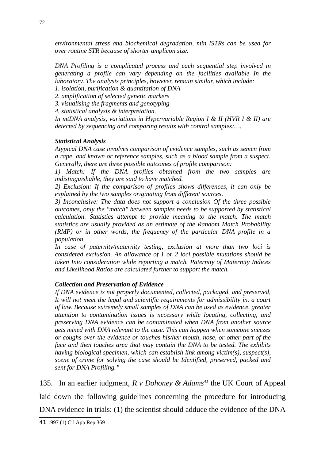*environmental stress and biochemical degradation, min lSTRs can be used for over routine STR because of shorter amplicon size.* 

*DNA Profiling is a complicated process and each sequential step involved in generating a profile can vary depending on the facilities available In the laboratory. The analysis principles, however, remain similar, which include:*

*1. isolation, purification & quantitation of DNA*

*2. amplification of selected genetic markers*

*3. visualising the fragments and genotyping*

*4. statistical analysis & interpretation.*

*In mtDNA analysis, variations in Hypervariable Region I & II (HVR I & II) are detected by sequencing and comparing results with control samples:….*

## *Statistical Analysis*

*Atypical DNA case involves comparison of evidence samples, such as semen from a rape, and known or reference samples, such as a blood sample from a suspect. Generally, there are three possible outcomes of profile comparison:* 

*1) Match: If the DNA profiles obtained from the two samples are indistinguishable, they are said to have matched.*

*2) Exclusion: If the comparison of profiles shows differences, it can only be explained by the two samples originating from different sources.*

*3) Inconclusive: The data does not support a conclusion Of the three possible outcomes, only the "match" between samples needs to be supported by statistical calculation. Statistics attempt to provide meaning to the match. The match statistics are usually provided as an estimate of the Random Match Probability (RMP) or in other words, the frequency of the particular DNA profile in a population.*

*In case of paternity/maternity testing, exclusion at more than two loci is considered exclusion. An allowance of 1 or 2 loci possible mutations should be taken Into consideration while reporting a match. Paternity of Maternity Indices and Likelihood Ratios are calculated further to support the match.*

## *Collection and Preservation of Evidence*

*If DNA evidence is not properly documented, collected, packaged, and preserved, It will not meet the legal and scientific requirements for admissibility in. a court of law. Because extremely small samples of DNA can be used as evidence, greater attention to contamination issues is necessary while locating, collecting, and preserving DNA evidence can be contaminated when DNA from another source gets mixed with DNA relevant to the case. This can happen when someone sneezes or coughs over the evidence or touches his/her mouth, nose, or other part of the face and then touches area that may contain the DNA to be tested. The exhibits having biological specimen, which can establish link among victim(s), suspect(s), scene of crime for solving the case should be Identified, preserved, packed and sent for DNA Profiling."*

<span id="page-71-0"></span>135. In an earlier judgment, *R v Dohoney & Adams[41](#page-71-0)* the UK Court of Appeal laid down the following guidelines concerning the procedure for introducing DNA evidence in trials: (1) the scientist should adduce the evidence of the DNA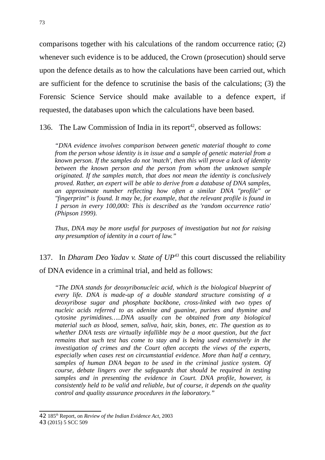comparisons together with his calculations of the random occurrence ratio; (2) whenever such evidence is to be adduced, the Crown (prosecution) should serve upon the defence details as to how the calculations have been carried out, which are sufficient for the defence to scrutinise the basis of the calculations; (3) the Forensic Science Service should make available to a defence expert, if requested, the databases upon which the calculations have been based.

136. The Law Commission of India in its report<sup>[42](#page-72-0)</sup>, observed as follows:

*"DNA evidence involves comparison between genetic material thought to come from the person whose identity is in issue and a sample of genetic material from a known person. If the samples do not 'match', then this will prove a lack of identity between the known person and the person from whom the unknown sample originated. If the samples match, that does not mean the identity is conclusively proved. Rather, an expert will be able to derive from a database of DNA samples, an approximate number reflecting how often a similar DNA "profile" or "fingerprint" is found. It may be, for example, that the relevant profile is found in 1 person in every 100,000: This is described as the 'random occurrence ratio' (Phipson 1999).*

*Thus, DNA may be more useful for purposes of investigation but not for raising any presumption of identity in a court of law."*

137. In *Dharam Deo Yadav v. State of UP[43](#page-72-1)* this court discussed the reliability of DNA evidence in a criminal trial, and held as follows:

*"The DNA stands for deoxyribonucleic acid, which is the biological blueprint of every life. DNA is made-up of a double standard structure consisting of a deoxyribose sugar and phosphate backbone, cross-linked with two types of nucleic acids referred to as adenine and guanine, purines and thymine and cytosine pyrimidines…..DNA usually can be obtained from any biological material such as blood, semen, saliva, hair, skin, bones, etc. The question as to whether DNA tests are virtually infallible may be a moot question, but the fact remains that such test has come to stay and is being used extensively in the investigation of crimes and the Court often accepts the views of the experts, especially when cases rest on circumstantial evidence. More than half a century, samples of human DNA began to be used in the criminal justice system. Of course, debate lingers over the safeguards that should be required in testing samples and in presenting the evidence in Court. DNA profile, however, is consistently held to be valid and reliable, but of course, it depends on the quality control and quality assurance procedures in the laboratory."*

<span id="page-72-0"></span><sup>42</sup> 185th Report, on *Review of the Indian Evidence Act,* 2003

<span id="page-72-1"></span><sup>43</sup> (2015) 5 SCC 509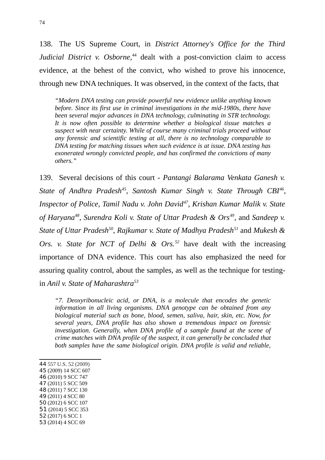138. The US Supreme Court, in *District Attorney's Office for the Third Judicial District v. Osborne*, [44](#page-73-0) dealt with a post-conviction claim to access evidence, at the behest of the convict, who wished to prove his innocence, through new DNA techniques. It was observed, in the context of the facts, that

*"Modern DNA testing can provide powerful new evidence unlike anything known before. Since its first use in criminal investigations in the mid-1980s, there have been several major advances in DNA technology, culminating in STR technology. It is now often possible to determine whether a biological tissue matches a suspect with near certainty. While of course many criminal trials proceed without any forensic and scientific testing at all, there is no technology comparable to DNA testing for matching tissues when such evidence is at issue. DNA testing has exonerated wrongly convicted people, and has confirmed the convictions of many others."*

139. Several decisions of this court - *Pantangi Balarama Venkata Ganesh v.* State of Andhra Pradesh<sup>[45](#page-73-1)</sup>, Santosh Kumar Singh v. State Through CBI<sup>[46](#page-73-2)</sup>, *Inspector of Police, Tamil Nadu v. John David[47](#page-73-3)* , *Krishan Kumar Malik v. State of Haryana[48](#page-73-4)* , *Surendra Koli v. State of Uttar Pradesh & Ors[49](#page-73-5)*, and *Sandeep v. State of Uttar Pradesh[50](#page-73-6) , Rajkumar v. State of Madhya Pradesh[51](#page-73-7)* and *Mukesh & Ors. v. State for NCT of Delhi & Ors.[52](#page-73-8)* have dealt with the increasing importance of DNA evidence. This court has also emphasized the need for assuring quality control, about the samples, as well as the technique for testingin *Anil v. State of Maharashtra[53](#page-73-9)*

*"7. Deoxyribonucleic acid, or DNA, is a molecule that encodes the genetic information in all living organisms. DNA genotype can be obtained from any biological material such as bone, blood, semen, saliva, hair, skin, etc. Now, for several years, DNA profile has also shown a tremendous impact on forensic investigation. Generally, when DNA profile of a sample found at the scene of crime matches with DNA profile of the suspect, it can generally be concluded that both samples have the same biological origin. DNA profile is valid and reliable,*

- <span id="page-73-0"></span>44 557 U.S. 52 (2009)
- <span id="page-73-1"></span>45 (2009) 14 SCC 607
- <span id="page-73-2"></span>46 (2010) 9 SCC 747
- <span id="page-73-3"></span>47 (2011) 5 SCC 509
- <span id="page-73-4"></span>48 (2011) 7 SCC 130
- <span id="page-73-5"></span>49 (2011) 4 SCC 80
- <span id="page-73-6"></span>50 (2012) 6 SCC 107
- <span id="page-73-7"></span>51 (2014) 5 SCC 353
- <span id="page-73-8"></span>52 (2017) 6 SCC 1
- <span id="page-73-9"></span>53 (2014) 4 SCC 69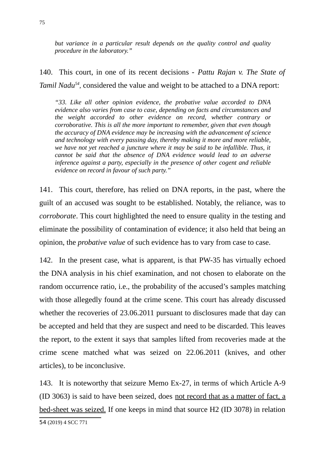*but variance in a particular result depends on the quality control and quality procedure in the laboratory."*

140. This court, in one of its recent decisions - *Pattu Rajan v. The State of Tamil Nadu[54](#page-74-0)* , considered the value and weight to be attached to a DNA report:

*"33. Like all other opinion evidence, the probative value accorded to DNA evidence also varies from case to case, depending on facts and circumstances and the weight accorded to other evidence on record, whether contrary or corroborative. This is all the more important to remember, given that even though the accuracy of DNA evidence may be increasing with the advancement of science and technology with every passing day, thereby making it more and more reliable, we have not yet reached a juncture where it may be said to be infallible. Thus, it cannot be said that the absence of DNA evidence would lead to an adverse inference against a party, especially in the presence of other cogent and reliable evidence on record in favour of such party."*

141. This court, therefore, has relied on DNA reports, in the past, where the guilt of an accused was sought to be established. Notably, the reliance, was to *corroborate*. This court highlighted the need to ensure quality in the testing and eliminate the possibility of contamination of evidence; it also held that being an opinion, the *probative value* of such evidence has to vary from case to case.

142. In the present case, what is apparent, is that PW-35 has virtually echoed the DNA analysis in his chief examination, and not chosen to elaborate on the random occurrence ratio, i.e., the probability of the accused's samples matching with those allegedly found at the crime scene. This court has already discussed whether the recoveries of 23.06.2011 pursuant to disclosures made that day can be accepted and held that they are suspect and need to be discarded. This leaves the report, to the extent it says that samples lifted from recoveries made at the crime scene matched what was seized on 22.06.2011 (knives, and other articles), to be inconclusive.

143. It is noteworthy that seizure Memo Ex-27, in terms of which Article A-9 (ID 3063) is said to have been seized, does not record that as a matter of fact, a bed-sheet was seized. If one keeps in mind that source H2 (ID 3078) in relation

<span id="page-74-0"></span>54 (2019) 4 SCC 771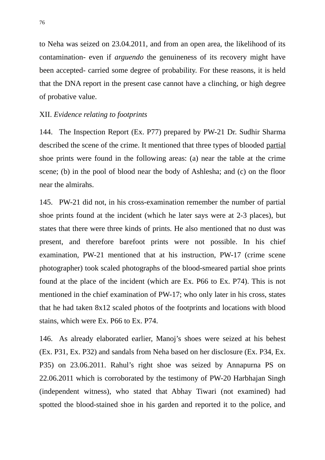to Neha was seized on 23.04.2011, and from an open area, the likelihood of its contamination- even if *arguendo* the genuineness of its recovery might have been accepted- carried some degree of probability. For these reasons, it is held that the DNA report in the present case cannot have a clinching, or high degree of probative value.

## XII. *Evidence relating to footprints*

144. The Inspection Report (Ex. P77) prepared by PW-21 Dr. Sudhir Sharma described the scene of the crime. It mentioned that three types of blooded partial shoe prints were found in the following areas: (a) near the table at the crime scene; (b) in the pool of blood near the body of Ashlesha; and (c) on the floor near the almirahs.

145. PW-21 did not, in his cross-examination remember the number of partial shoe prints found at the incident (which he later says were at 2-3 places), but states that there were three kinds of prints. He also mentioned that no dust was present, and therefore barefoot prints were not possible. In his chief examination, PW-21 mentioned that at his instruction, PW-17 (crime scene photographer) took scaled photographs of the blood-smeared partial shoe prints found at the place of the incident (which are Ex. P66 to Ex. P74). This is not mentioned in the chief examination of PW-17; who only later in his cross, states that he had taken 8x12 scaled photos of the footprints and locations with blood stains, which were Ex. P66 to Ex. P74.

146. As already elaborated earlier, Manoj's shoes were seized at his behest (Ex. P31, Ex. P32) and sandals from Neha based on her disclosure (Ex. P34, Ex. P35) on 23.06.2011. Rahul's right shoe was seized by Annapurna PS on 22.06.2011 which is corroborated by the testimony of PW-20 Harbhajan Singh (independent witness), who stated that Abhay Tiwari (not examined) had spotted the blood-stained shoe in his garden and reported it to the police, and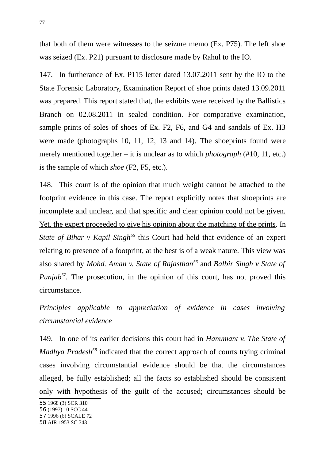that both of them were witnesses to the seizure memo (Ex. P75). The left shoe was seized (Ex. P21) pursuant to disclosure made by Rahul to the IO.

147. In furtherance of Ex. P115 letter dated 13.07.2011 sent by the IO to the State Forensic Laboratory, Examination Report of shoe prints dated 13.09.2011 was prepared. This report stated that, the exhibits were received by the Ballistics Branch on 02.08.2011 in sealed condition. For comparative examination, sample prints of soles of shoes of Ex. F2, F6, and G4 and sandals of Ex. H3 were made (photographs 10, 11, 12, 13 and 14). The shoeprints found were merely mentioned together – it is unclear as to which *photograph* (#10, 11, etc.) is the sample of which *shoe* (F2, F5, etc.).

148. This court is of the opinion that much weight cannot be attached to the footprint evidence in this case. The report explicitly notes that shoeprints are incomplete and unclear, and that specific and clear opinion could not be given. Yet, the expert proceeded to give his opinion about the matching of the prints. In *State of Bihar v Kapil Singh[55](#page-76-0)* this Court had held that evidence of an expert relating to presence of a footprint, at the best is of a weak nature. This view was also shared by *Mohd. Aman v. State of Rajasthan[56](#page-76-1)* and *Balbir Singh v State of Punjab[57](#page-76-2) .* The prosecution, in the opinion of this court, has not proved this circumstance.

*Principles applicable to appreciation of evidence in cases involving circumstantial evidence*

149. In one of its earlier decisions this court had in *Hanumant v. The State of Madhya Pradesh[58](#page-76-3)* indicated that the correct approach of courts trying criminal cases involving circumstantial evidence should be that the circumstances alleged, be fully established; all the facts so established should be consistent only with hypothesis of the guilt of the accused; circumstances should be

<span id="page-76-3"></span><span id="page-76-2"></span><span id="page-76-1"></span><span id="page-76-0"></span><sup>55</sup> 1968 (3) SCR 310 56 (1997) 10 SCC 44 57 1996 (6) SCALE 72 58 AIR 1953 SC 343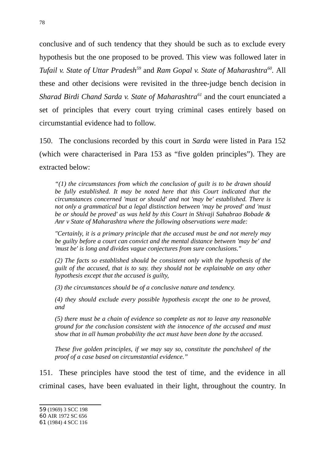conclusive and of such tendency that they should be such as to exclude every hypothesis but the one proposed to be proved. This view was followed later in *Tufail v. State of Uttar Pradesh[59](#page-77-0)* and *Ram Gopal v. State of Maharashtra[60](#page-77-1) .* All these and other decisions were revisited in the three-judge bench decision in *Sharad Birdi Chand Sarda v. State of Maharashtra[61](#page-77-2)* and the court enunciated a set of principles that every court trying criminal cases entirely based on circumstantial evidence had to follow.

150. The conclusions recorded by this court in *Sarda* were listed in Para 152 (which were characterised in Para 153 as "five golden principles"). They are extracted below:

*"(1) the circumstances from which the conclusion of guilt is to be drawn should be fully established. It may be noted here that this Court indicated that the circumstances concerned 'must or should' and not 'may be' established. There is not only a grammatical but a legal distinction between 'may be proved' and 'must be or should be proved' as was held by this Court in Shivaji Sahabrao Bobade & Anr v State of Maharashtra where the following observations were made:*

*"Certainly, it is a primary principle that the accused must be and not merely may be guilty before a court can convict and the mental distance between 'may be' and 'must be' is long and divides vague conjectures from sure conclusions."*

*(2) The facts so established should be consistent only with the hypothesis of the guilt of the accused, that is to say. they should not be explainable on any other hypothesis except that the accused is guilty,* 

*(3) the circumstances should be of a conclusive nature and tendency.*

*(4) they should exclude every possible hypothesis except the one to be proved, and*

*(5) there must be a chain of evidence so complete as not to leave any reasonable ground for the conclusion consistent with the innocence of the accused and must show that in all human probability the act must have been done by the accused.*

*These five golden principles, if we may say so, constitute the panchsheel of the proof of a case based on circumstantial evidence."*

151. These principles have stood the test of time, and the evidence in all criminal cases, have been evaluated in their light, throughout the country. In

<span id="page-77-2"></span><span id="page-77-1"></span><span id="page-77-0"></span><sup>61</sup> (1984) 4 SCC 116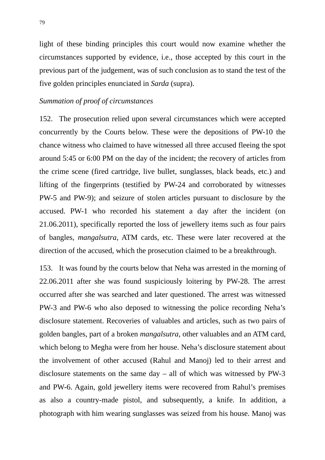light of these binding principles this court would now examine whether the circumstances supported by evidence, i.e., those accepted by this court in the previous part of the judgement, was of such conclusion as to stand the test of the five golden principles enunciated in *Sarda* (supra).

# *Summation of proof of circumstances*

152. The prosecution relied upon several circumstances which were accepted concurrently by the Courts below. These were the depositions of PW-10 the chance witness who claimed to have witnessed all three accused fleeing the spot around 5:45 or 6:00 PM on the day of the incident; the recovery of articles from the crime scene (fired cartridge, live bullet, sunglasses, black beads, etc.) and lifting of the fingerprints (testified by PW-24 and corroborated by witnesses PW-5 and PW-9); and seizure of stolen articles pursuant to disclosure by the accused. PW-1 who recorded his statement a day after the incident (on 21.06.2011), specifically reported the loss of jewellery items such as four pairs of bangles, *mangalsutra*, ATM cards, etc. These were later recovered at the direction of the accused, which the prosecution claimed to be a breakthrough.

153. It was found by the courts below that Neha was arrested in the morning of 22.06.2011 after she was found suspiciously loitering by PW-28. The arrest occurred after she was searched and later questioned. The arrest was witnessed PW-3 and PW-6 who also deposed to witnessing the police recording Neha's disclosure statement. Recoveries of valuables and articles, such as two pairs of golden bangles, part of a broken *mangalsutra*, other valuables and an ATM card, which belong to Megha were from her house. Neha's disclosure statement about the involvement of other accused (Rahul and Manoj) led to their arrest and disclosure statements on the same day  $-$  all of which was witnessed by PW-3 and PW-6. Again, gold jewellery items were recovered from Rahul's premises as also a country-made pistol, and subsequently, a knife. In addition, a photograph with him wearing sunglasses was seized from his house. Manoj was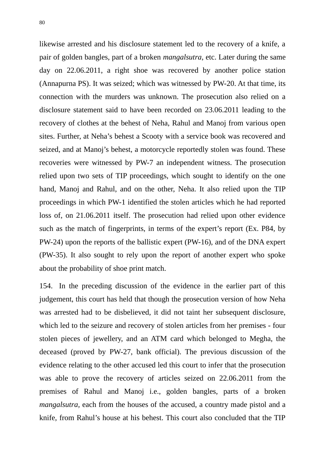likewise arrested and his disclosure statement led to the recovery of a knife, a pair of golden bangles, part of a broken *mangalsutra*, etc. Later during the same day on 22.06.2011, a right shoe was recovered by another police station (Annapurna PS). It was seized; which was witnessed by PW-20. At that time, its connection with the murders was unknown. The prosecution also relied on a disclosure statement said to have been recorded on 23.06.2011 leading to the recovery of clothes at the behest of Neha, Rahul and Manoj from various open sites. Further, at Neha's behest a Scooty with a service book was recovered and seized, and at Manoj's behest, a motorcycle reportedly stolen was found. These recoveries were witnessed by PW-7 an independent witness. The prosecution relied upon two sets of TIP proceedings, which sought to identify on the one hand, Manoj and Rahul, and on the other, Neha. It also relied upon the TIP proceedings in which PW-1 identified the stolen articles which he had reported loss of, on 21.06.2011 itself. The prosecution had relied upon other evidence such as the match of fingerprints, in terms of the expert's report (Ex. P84, by PW-24) upon the reports of the ballistic expert (PW-16), and of the DNA expert (PW-35). It also sought to rely upon the report of another expert who spoke about the probability of shoe print match.

154. In the preceding discussion of the evidence in the earlier part of this judgement, this court has held that though the prosecution version of how Neha was arrested had to be disbelieved, it did not taint her subsequent disclosure, which led to the seizure and recovery of stolen articles from her premises - four stolen pieces of jewellery, and an ATM card which belonged to Megha, the deceased (proved by PW-27, bank official). The previous discussion of the evidence relating to the other accused led this court to infer that the prosecution was able to prove the recovery of articles seized on 22.06.2011 from the premises of Rahul and Manoj i.e., golden bangles, parts of a broken *mangalsutra,* each from the houses of the accused, a country made pistol and a knife, from Rahul's house at his behest. This court also concluded that the TIP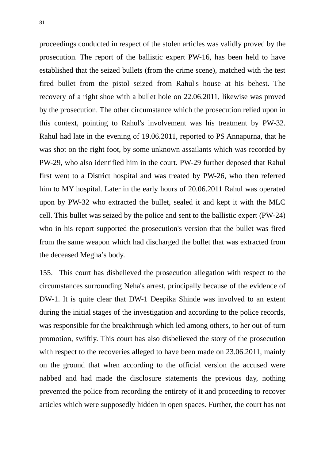proceedings conducted in respect of the stolen articles was validly proved by the prosecution. The report of the ballistic expert PW-16, has been held to have established that the seized bullets (from the crime scene), matched with the test fired bullet from the pistol seized from Rahul's house at his behest. The recovery of a right shoe with a bullet hole on 22.06.2011, likewise was proved by the prosecution. The other circumstance which the prosecution relied upon in this context, pointing to Rahul's involvement was his treatment by PW-32. Rahul had late in the evening of 19.06.2011, reported to PS Annapurna, that he was shot on the right foot, by some unknown assailants which was recorded by PW-29, who also identified him in the court. PW-29 further deposed that Rahul first went to a District hospital and was treated by PW-26, who then referred him to MY hospital. Later in the early hours of 20.06.2011 Rahul was operated upon by PW-32 who extracted the bullet, sealed it and kept it with the MLC cell. This bullet was seized by the police and sent to the ballistic expert (PW-24) who in his report supported the prosecution's version that the bullet was fired from the same weapon which had discharged the bullet that was extracted from the deceased Megha's body.

155. This court has disbelieved the prosecution allegation with respect to the circumstances surrounding Neha's arrest, principally because of the evidence of DW-1. It is quite clear that DW-1 Deepika Shinde was involved to an extent during the initial stages of the investigation and according to the police records, was responsible for the breakthrough which led among others, to her out-of-turn promotion, swiftly. This court has also disbelieved the story of the prosecution with respect to the recoveries alleged to have been made on 23.06.2011, mainly on the ground that when according to the official version the accused were nabbed and had made the disclosure statements the previous day, nothing prevented the police from recording the entirety of it and proceeding to recover articles which were supposedly hidden in open spaces. Further, the court has not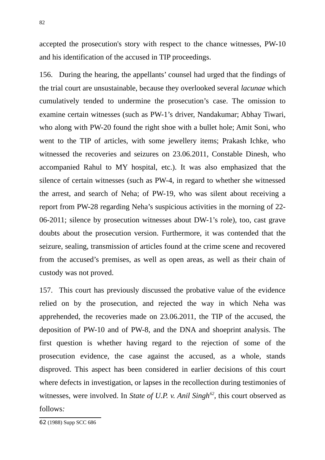accepted the prosecution's story with respect to the chance witnesses, PW-10 and his identification of the accused in TIP proceedings.

156. During the hearing, the appellants' counsel had urged that the findings of the trial court are unsustainable, because they overlooked several *lacunae* which cumulatively tended to undermine the prosecution's case. The omission to examine certain witnesses (such as PW-1's driver, Nandakumar; Abhay Tiwari, who along with PW-20 found the right shoe with a bullet hole; Amit Soni, who went to the TIP of articles, with some jewellery items; Prakash Ichke, who witnessed the recoveries and seizures on 23.06.2011, Constable Dinesh, who accompanied Rahul to MY hospital, etc.). It was also emphasized that the silence of certain witnesses (such as PW-4, in regard to whether she witnessed the arrest, and search of Neha; of PW-19, who was silent about receiving a report from PW-28 regarding Neha's suspicious activities in the morning of 22- 06-2011; silence by prosecution witnesses about DW-1's role), too, cast grave doubts about the prosecution version. Furthermore, it was contended that the seizure, sealing, transmission of articles found at the crime scene and recovered from the accused's premises, as well as open areas, as well as their chain of custody was not proved.

157. This court has previously discussed the probative value of the evidence relied on by the prosecution, and rejected the way in which Neha was apprehended, the recoveries made on 23.06.2011, the TIP of the accused, the deposition of PW-10 and of PW-8, and the DNA and shoeprint analysis. The first question is whether having regard to the rejection of some of the prosecution evidence, the case against the accused, as a whole, stands disproved. This aspect has been considered in earlier decisions of this court where defects in investigation, or lapses in the recollection during testimonies of witnesses, were involved. In *State of U.P. v. Anil Singh<sup>[62](#page-81-0)</sup>*, this court observed as follows*:*

<span id="page-81-0"></span><sup>62</sup> (1988) Supp SCC 686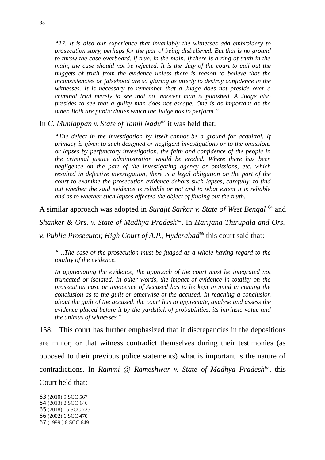*"17. It is also our experience that invariably the witnesses add embroidery to prosecution story, perhaps for the fear of being disbelieved. But that is no ground to throw the case overboard, if true, in the main. If there is a ring of truth in the main, the case should not be rejected. It is the duty of the court to cull out the nuggets of truth from the evidence unless there is reason to believe that the inconsistencies or falsehood are so glaring as utterly to destroy confidence in the witnesses. It is necessary to remember that a Judge does not preside over a criminal trial merely to see that no innocent man is punished. A Judge also presides to see that a guilty man does not escape. One is as important as the other. Both are public duties which the Judge has to perform."*

In *C. Muniappan v. State of Tamil Nadu[63](#page-82-0)* it was held that:

*"The defect in the investigation by itself cannot be a ground for acquittal. If primacy is given to such designed or negligent investigations or to the omissions or lapses by perfunctory investigation, the faith and confidence of the people in the criminal justice administration would be eroded. Where there has been negligence on the part of the investigating agency or omissions, etc. which resulted in defective investigation, there is a legal obligation on the part of the court to examine the prosecution evidence dehors such lapses, carefully, to find out whether the said evidence is reliable or not and to what extent it is reliable and as to whether such lapses affected the object of finding out the truth.*

A similar approach was adopted in *Surajit Sarkar v. State of West Bengal* [64](#page-82-1) and

*Shanker & Ors. v. State of Madhya Pradesh[65](#page-82-2)*. In *Harijana Thirupala and Ors.*

*v. Public Prosecutor, High Court of A.P., Hyderabad[66](#page-82-3)* this court said that:

*"…The case of the prosecution must be judged as a whole having regard to the totality of the evidence.*

*In appreciating the evidence, the approach of the court must be integrated not truncated or isolated. In other words, the impact of evidence in totality on the prosecution case or innocence of Accused has to be kept in mind in coming the conclusion as to the guilt or otherwise of the accused. In reaching a conclusion about the guilt of the accused, the court has to appreciate, analyse and assess the evidence placed before it by the yardstick of probabilities, its intrinsic value and the animus of witnesses."*

158. This court has further emphasized that if discrepancies in the depositions are minor, or that witness contradict themselves during their testimonies (as opposed to their previous police statements) what is important is the nature of contradictions. In *Rammi @ Rameshwar v. State of Madhya Pradesh[67](#page-82-4)*, this Court held that:

<span id="page-82-2"></span>65 (2018) 15 SCC 725

<span id="page-82-0"></span><sup>63</sup> (2010) 9 SCC 567

<span id="page-82-1"></span><sup>64</sup> (2013) 2 SCC 146

<span id="page-82-3"></span><sup>66</sup> (2002) 6 SCC 470

<span id="page-82-4"></span><sup>67</sup> (1999 ) 8 SCC 649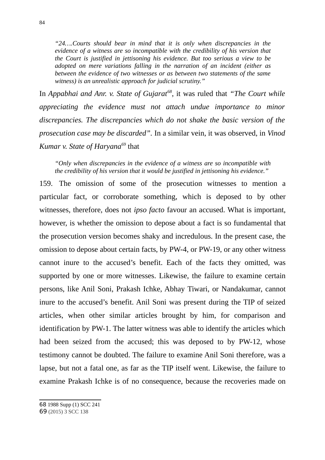*"24….Courts should bear in mind that it is only when discrepancies in the evidence of a witness are so incompatible with the credibility of his version that the Court is justified in jettisoning his evidence. But too serious a view to be adopted on mere variations falling in the narration of an incident (either as between the evidence of two witnesses or as between two statements of the same witness) is an unrealistic approach for judicial scrutiny."*

In *Appabhai and Anr. v. State of Gujarat[68](#page-83-0)*, it was ruled that *"The Court while appreciating the evidence must not attach undue importance to minor discrepancies. The discrepancies which do not shake the basic version of the prosecution case may be discarded".* In a similar vein, it was observed, in *Vinod Kumar v. State of Haryana[69](#page-83-1)* that

*"Only when discrepancies in the evidence of a witness are so incompatible with the credibility of his version that it would be justified in jettisoning his evidence."*

159. The omission of some of the prosecution witnesses to mention a particular fact, or corroborate something, which is deposed to by other witnesses, therefore, does not *ipso facto* favour an accused. What is important, however, is whether the omission to depose about a fact is so fundamental that the prosecution version becomes shaky and incredulous. In the present case, the omission to depose about certain facts, by PW-4, or PW-19, or any other witness cannot inure to the accused's benefit. Each of the facts they omitted, was supported by one or more witnesses. Likewise, the failure to examine certain persons, like Anil Soni, Prakash Ichke, Abhay Tiwari, or Nandakumar, cannot inure to the accused's benefit. Anil Soni was present during the TIP of seized articles, when other similar articles brought by him, for comparison and identification by PW-1. The latter witness was able to identify the articles which had been seized from the accused; this was deposed to by PW-12, whose testimony cannot be doubted. The failure to examine Anil Soni therefore, was a lapse, but not a fatal one, as far as the TIP itself went. Likewise, the failure to examine Prakash Ichke is of no consequence, because the recoveries made on

<span id="page-83-0"></span><sup>68</sup> 1988 Supp (1) SCC 241

<span id="page-83-1"></span><sup>69</sup> (2015) 3 SCC 138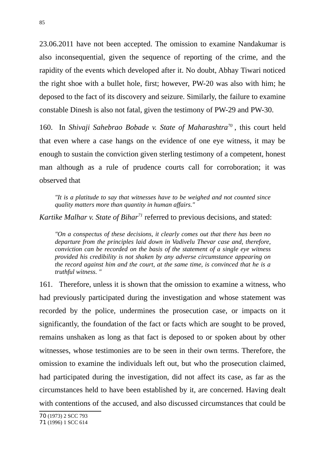23.06.2011 have not been accepted. The omission to examine Nandakumar is also inconsequential, given the sequence of reporting of the crime, and the rapidity of the events which developed after it. No doubt, Abhay Tiwari noticed the right shoe with a bullet hole, first; however, PW-20 was also with him; he deposed to the fact of its discovery and seizure. Similarly, the failure to examine constable Dinesh is also not fatal, given the testimony of PW-29 and PW-30.

160. In *Shivaji Sahebrao Bobade v. State of Maharashtra[70](#page-84-0)* , this court held that even where a case hangs on the evidence of one eye witness, it may be enough to sustain the conviction given sterling testimony of a competent, honest man although as a rule of prudence courts call for corroboration; it was observed that

*"It is a platitude to say that witnesses have to be weighed and not counted since quality matters more than quantity in human affairs."*

*Kartike Malhar v. State of Bihar[71](#page-84-1)* referred to previous decisions, and stated:

*"On a conspectus of these decisions, it clearly comes out that there has been no departure from the principles laid down in Vadivelu Thevar case and, therefore, conviction can be recorded on the basis of the statement of a single eye witness provided his credibility is not shaken by any adverse circumstance appearing on the record against him and the court, at the same time, is convinced that he is a truthful witness. "*

161. Therefore, unless it is shown that the omission to examine a witness, who had previously participated during the investigation and whose statement was recorded by the police, undermines the prosecution case, or impacts on it significantly, the foundation of the fact or facts which are sought to be proved, remains unshaken as long as that fact is deposed to or spoken about by other witnesses, whose testimonies are to be seen in their own terms. Therefore, the omission to examine the individuals left out, but who the prosecution claimed, had participated during the investigation, did not affect its case, as far as the circumstances held to have been established by it, are concerned. Having dealt with contentions of the accused, and also discussed circumstances that could be

<span id="page-84-1"></span><span id="page-84-0"></span><sup>70</sup> (1973) 2 SCC 793 71 (1996) 1 SCC 614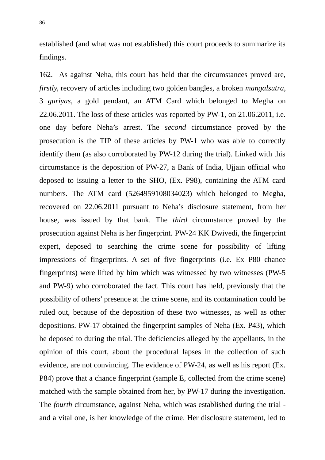86

established (and what was not established) this court proceeds to summarize its findings.

162. As against Neha, this court has held that the circumstances proved are, *firstly,* recovery of articles including two golden bangles, a broken *mangalsutra*, 3 *guriyas*, a gold pendant, an ATM Card which belonged to Megha on 22.06.2011. The loss of these articles was reported by PW-1, on 21.06.2011, i.e. one day before Neha's arrest. The *second* circumstance proved by the prosecution is the TIP of these articles by PW-1 who was able to correctly identify them (as also corroborated by PW-12 during the trial). Linked with this circumstance is the deposition of PW-27, a Bank of India, Ujjain official who deposed to issuing a letter to the SHO, (Ex. P98), containing the ATM card numbers. The ATM card (5264959108034023) which belonged to Megha, recovered on 22.06.2011 pursuant to Neha's disclosure statement, from her house, was issued by that bank. The *third* circumstance proved by the prosecution against Neha is her fingerprint. PW-24 KK Dwivedi, the fingerprint expert, deposed to searching the crime scene for possibility of lifting impressions of fingerprints. A set of five fingerprints (i.e. Ex P80 chance fingerprints) were lifted by him which was witnessed by two witnesses (PW-5 and PW-9) who corroborated the fact. This court has held, previously that the possibility of others' presence at the crime scene, and its contamination could be ruled out, because of the deposition of these two witnesses, as well as other depositions. PW-17 obtained the fingerprint samples of Neha (Ex. P43), which he deposed to during the trial. The deficiencies alleged by the appellants, in the opinion of this court, about the procedural lapses in the collection of such evidence, are not convincing. The evidence of PW-24, as well as his report (Ex. P84) prove that a chance fingerprint (sample E, collected from the crime scene) matched with the sample obtained from her, by PW-17 during the investigation. The *fourth* circumstance, against Neha, which was established during the trial and a vital one, is her knowledge of the crime. Her disclosure statement, led to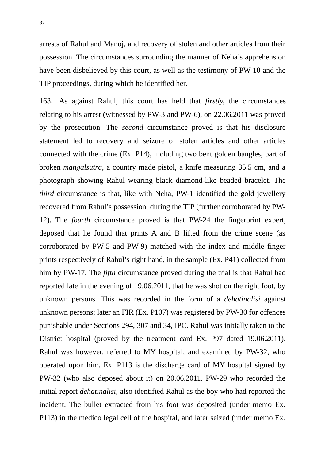arrests of Rahul and Manoj, and recovery of stolen and other articles from their possession. The circumstances surrounding the manner of Neha's apprehension have been disbelieved by this court, as well as the testimony of PW-10 and the TIP proceedings, during which he identified her.

163. As against Rahul, this court has held that *firstly,* the circumstances relating to his arrest (witnessed by PW-3 and PW-6), on 22.06.2011 was proved by the prosecution. The *second* circumstance proved is that his disclosure statement led to recovery and seizure of stolen articles and other articles connected with the crime (Ex. P14), including two bent golden bangles, part of broken *mangalsutra*, a country made pistol, a knife measuring 35.5 cm, and a photograph showing Rahul wearing black diamond-like beaded bracelet. The *third* circumstance is that, like with Neha, PW-1 identified the gold jewellery recovered from Rahul's possession, during the TIP (further corroborated by PW-12). The *fourth* circumstance proved is that PW-24 the fingerprint expert, deposed that he found that prints A and B lifted from the crime scene (as corroborated by PW-5 and PW-9) matched with the index and middle finger prints respectively of Rahul's right hand, in the sample (Ex. P41) collected from him by PW-17. The *fifth* circumstance proved during the trial is that Rahul had reported late in the evening of 19.06.2011, that he was shot on the right foot, by unknown persons. This was recorded in the form of a *dehatinalisi* against unknown persons; later an FIR (Ex. P107) was registered by PW-30 for offences punishable under Sections 294, 307 and 34, IPC. Rahul was initially taken to the District hospital (proved by the treatment card Ex. P97 dated 19.06.2011). Rahul was however, referred to MY hospital, and examined by PW-32, who operated upon him. Ex. P113 is the discharge card of MY hospital signed by PW-32 (who also deposed about it) on 20.06.2011. PW-29 who recorded the initial report *dehatinalisi,* also identified Rahul as the boy who had reported the incident. The bullet extracted from his foot was deposited (under memo Ex. P113) in the medico legal cell of the hospital, and later seized (under memo Ex.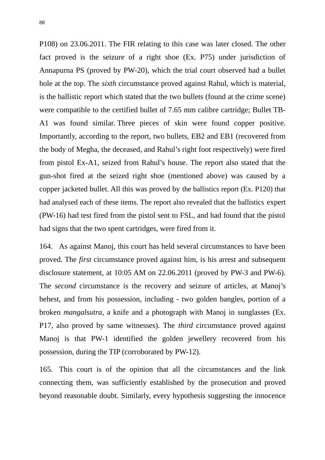88

P108) on 23.06.2011. The FIR relating to this case was later closed. The other fact proved is the seizure of a right shoe (Ex. P75) under jurisdiction of Annapurna PS (proved by PW-20), which the trial court observed had a bullet hole at the top. The *sixth* circumstance proved against Rahul, which is material, is the ballistic report which stated that the two bullets (found at the crime scene) were compatible to the certified bullet of 7.65 mm calibre cartridge; Bullet TB-A1 was found similar. Three pieces of skin were found copper positive. Importantly, according to the report, two bullets, EB2 and EB1 (recovered from the body of Megha, the deceased, and Rahul's right foot respectively) were fired from pistol Ex-A1, seized from Rahul's house. The report also stated that the gun-shot fired at the seized right shoe (mentioned above) was caused by a copper jacketed bullet. All this was proved by the ballistics report (Ex. P120) that had analysed each of these items. The report also revealed that the ballistics expert (PW-16) had test fired from the pistol sent to FSL, and had found that the pistol had signs that the two spent cartridges, were fired from it.

164. As against Manoj, this court has held several circumstances to have been proved. The *first* circumstance proved against him, is his arrest and subsequent disclosure statement, at 10:05 AM on 22.06.2011 (proved by PW-3 and PW-6). The *second* circumstance is the recovery and seizure of articles, at Manoj's behest, and from his possession, including - two golden bangles, portion of a broken *mangalsutra*, a knife and a photograph with Manoj in sunglasses (Ex. P17, also proved by same witnesses). The *third* circumstance proved against Manoj is that PW-1 identified the golden jewellery recovered from his possession, during the TIP (corroborated by PW-12).

165. This court is of the opinion that all the circumstances and the link connecting them, was sufficiently established by the prosecution and proved beyond reasonable doubt. Similarly, every hypothesis suggesting the innocence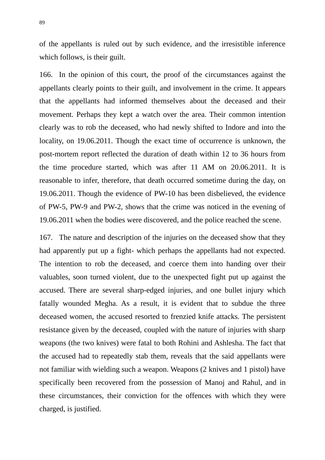of the appellants is ruled out by such evidence, and the irresistible inference which follows, is their guilt.

166. In the opinion of this court, the proof of the circumstances against the appellants clearly points to their guilt, and involvement in the crime. It appears that the appellants had informed themselves about the deceased and their movement. Perhaps they kept a watch over the area. Their common intention clearly was to rob the deceased, who had newly shifted to Indore and into the locality, on 19.06.2011. Though the exact time of occurrence is unknown, the post-mortem report reflected the duration of death within 12 to 36 hours from the time procedure started, which was after 11 AM on 20.06.2011. It is reasonable to infer, therefore, that death occurred sometime during the day, on 19.06.2011. Though the evidence of PW-10 has been disbelieved, the evidence of PW-5, PW-9 and PW-2, shows that the crime was noticed in the evening of 19.06.2011 when the bodies were discovered, and the police reached the scene.

167. The nature and description of the injuries on the deceased show that they had apparently put up a fight- which perhaps the appellants had not expected. The intention to rob the deceased, and coerce them into handing over their valuables, soon turned violent, due to the unexpected fight put up against the accused. There are several sharp-edged injuries, and one bullet injury which fatally wounded Megha. As a result, it is evident that to subdue the three deceased women, the accused resorted to frenzied knife attacks. The persistent resistance given by the deceased, coupled with the nature of injuries with sharp weapons (the two knives) were fatal to both Rohini and Ashlesha. The fact that the accused had to repeatedly stab them, reveals that the said appellants were not familiar with wielding such a weapon. Weapons (2 knives and 1 pistol) have specifically been recovered from the possession of Manoj and Rahul, and in these circumstances, their conviction for the offences with which they were charged, is justified.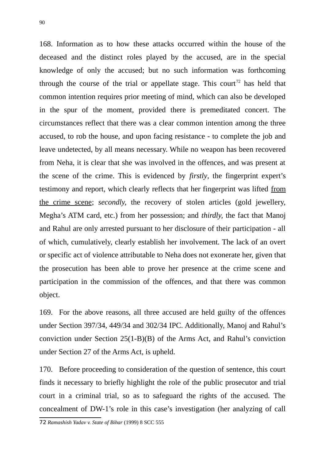168. Information as to how these attacks occurred within the house of the deceased and the distinct roles played by the accused, are in the special knowledge of only the accused; but no such information was forthcoming through the course of the trial or appellate stage. This court<sup>[72](#page-89-0)</sup> has held that common intention requires prior meeting of mind, which can also be developed in the spur of the moment, provided there is premeditated concert. The circumstances reflect that there was a clear common intention among the three accused, to rob the house, and upon facing resistance - to complete the job and leave undetected, by all means necessary. While no weapon has been recovered from Neha, it is clear that she was involved in the offences, and was present at the scene of the crime. This is evidenced by *firstly*, the fingerprint expert's testimony and report, which clearly reflects that her fingerprint was lifted from the crime scene; *secondly,* the recovery of stolen articles (gold jewellery, Megha's ATM card, etc.) from her possession; and *thirdly,* the fact that Manoj and Rahul are only arrested pursuant to her disclosure of their participation - all of which, cumulatively, clearly establish her involvement. The lack of an overt or specific act of violence attributable to Neha does not exonerate her, given that the prosecution has been able to prove her presence at the crime scene and participation in the commission of the offences, and that there was common object.

169. For the above reasons, all three accused are held guilty of the offences under Section 397/34, 449/34 and 302/34 IPC. Additionally, Manoj and Rahul's conviction under Section 25(1-B)(B) of the Arms Act, and Rahul's conviction under Section 27 of the Arms Act, is upheld.

170. Before proceeding to consideration of the question of sentence, this court finds it necessary to briefly highlight the role of the public prosecutor and trial court in a criminal trial, so as to safeguard the rights of the accused. The concealment of DW-1's role in this case's investigation (her analyzing of call

<span id="page-89-0"></span><sup>72</sup> *Ramashish Yadav v. State of Bihar* (1999) 8 SCC 555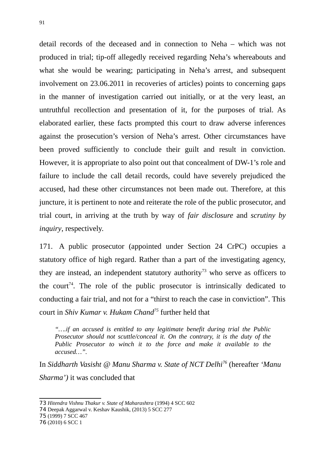detail records of the deceased and in connection to Neha – which was not produced in trial; tip-off allegedly received regarding Neha's whereabouts and what she would be wearing; participating in Neha's arrest, and subsequent involvement on 23.06.2011 in recoveries of articles) points to concerning gaps in the manner of investigation carried out initially, or at the very least, an untruthful recollection and presentation of it, for the purposes of trial. As elaborated earlier, these facts prompted this court to draw adverse inferences against the prosecution's version of Neha's arrest. Other circumstances have been proved sufficiently to conclude their guilt and result in conviction. However, it is appropriate to also point out that concealment of DW-1's role and failure to include the call detail records, could have severely prejudiced the accused, had these other circumstances not been made out. Therefore, at this juncture, it is pertinent to note and reiterate the role of the public prosecutor, and trial court, in arriving at the truth by way of *fair disclosure* and *scrutiny by inquiry*, respectively.

171. A public prosecutor (appointed under Section 24 CrPC) occupies a statutory office of high regard. Rather than a part of the investigating agency, they are instead, an independent statutory authority<sup>[73](#page-90-0)</sup> who serve as officers to the court<sup>[74](#page-90-1)</sup>. The role of the public prosecutor is intrinsically dedicated to conducting a fair trial, and not for a "thirst to reach the case in conviction". This court in *Shiv Kumar v. Hukam Chand[75](#page-90-2)* further held that

*"….if an accused is entitled to any legitimate benefit during trial the Public Prosecutor should not scuttle/conceal it. On the contrary, it is the duty of the Public Prosecutor to winch it to the force and make it available to the accused…".* 

In *Siddharth Vasisht @ Manu Sharma v. State of NCT Delhi[76](#page-90-3)* (hereafter *'Manu Sharma')* it was concluded that

<span id="page-90-2"></span>75 (1999) 7 SCC 467

<span id="page-90-0"></span><sup>73</sup> *Hitendra Vishnu Thakur v. State of Maharashtra* (1994) 4 SCC 602

<span id="page-90-1"></span><sup>74</sup> Deepak Aggarwal v. Keshav Kaushik, (2013) 5 SCC 277

<span id="page-90-3"></span><sup>76</sup> (2010) 6 SCC 1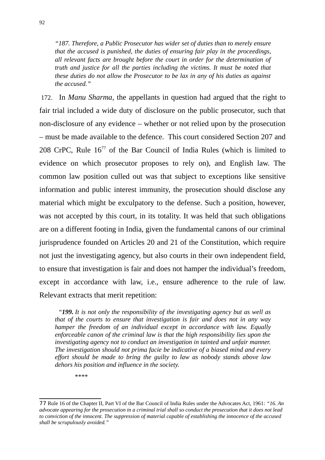*"187. Therefore, a Public Prosecutor has wider set of duties than to merely ensure that the accused is punished, the duties of ensuring fair play in the proceedings, all relevant facts are brought before the court in order for the determination of truth and justice for all the parties including the victims. It must be noted that these duties do not allow the Prosecutor to be lax in any of his duties as against the accused."*

 172. In *Manu Sharma*, the appellants in question had argued that the right to fair trial included a wide duty of disclosure on the public prosecutor, such that non-disclosure of any evidence – whether or not relied upon by the prosecution – must be made available to the defence. This court considered Section 207 and 208 CrPC, Rule 16[77](#page-91-0) of the Bar Council of India Rules (which is limited to evidence on which prosecutor proposes to rely on), and English law. The common law position culled out was that subject to exceptions like sensitive information and public interest immunity, the prosecution should disclose any material which might be exculpatory to the defense. Such a position, however, was not accepted by this court, in its totality. It was held that such obligations are on a different footing in India, given the fundamental canons of our criminal jurisprudence founded on Articles 20 and 21 of the Constitution, which require not just the investigating agency, but also courts in their own independent field, to ensure that investigation is fair and does not hamper the individual's freedom, except in accordance with law, i.e., ensure adherence to the rule of law. Relevant extracts that merit repetition:

"*199. It is not only the responsibility of the investigating agency but as well as that of the courts to ensure that investigation is fair and does not in any way hamper the freedom of an individual except in accordance with law. Equally enforceable canon of the criminal law is that the high responsibility lies upon the investigating agency not to conduct an investigation in tainted and unfair manner. The investigation should not prima facie be indicative of a biased mind and every effort should be made to bring the guilty to law as nobody stands above law dehors his position and influence in the society.*

*\*\*\*\**

<span id="page-91-0"></span><sup>77</sup> Rule 16 of the Chapter II, Part VI of the Bar Council of India Rules under the Advocates Act, 1961: *"16. An advocate appearing for the prosecution in a criminal trial shall so conduct the prosecution that it does not lead to conviction of the innocent. The suppression of material capable of establishing the innocence of the accused shall be scrupulously avoided."*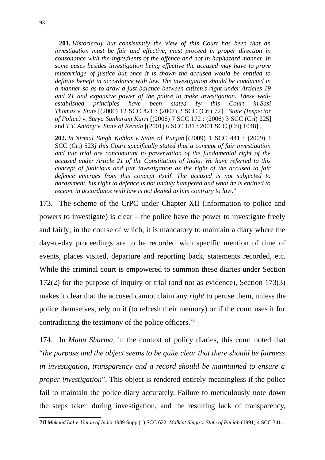**201.** *Historically but consistently the view of this Court has been that an investigation must be fair and effective, must proceed in proper direction in consonance with the ingredients of the offence and not in haphazard manner. In some cases besides investigation being effective the accused may have to prove miscarriage of justice but once it is shown the accused would be entitled to definite benefit in accordance with law. The investigation should be conducted in a manner so as to draw a just balance between citizen's right under Articles 19 and 21 and expansive power of the police to make investigation. These wellestablished principles have been stated by this Court in Sasi Thomas* v. *State* [(2006) 12 SCC 421 : (2007) 2 SCC (Cri) 72] , *State (Inspector of Police)* v. *Surya Sankaram Karri* [(2006) 7 SCC 172 : (2006) 3 SCC (Cri) 225] and *T.T. Antony* v. *State of Kerala* [(2001) 6 SCC 181 : 2001 SCC (Cri) 1048] .

**202.** *In Nirmal Singh Kahlon v. State of Punjab* [(2009) 1 SCC 441 : (2009) 1 SCC (Cri) 523*] this Court specifically stated that a concept of fair investigation and fair trial are concomitant to preservation of the fundamental right of the accused under Article 21 of the Constitution of India. We have referred to this concept of judicious and fair investigation as the right of the accused to fair defence emerges from this concept itself. The accused is not subjected to harassment, his right to defence is not unduly hampered and what he is entitled to receive in accordance with law is not denied to him contrary to law*."

173. The scheme of the CrPC under Chapter XII (information to police and powers to investigate) is clear – the police have the power to investigate freely and fairly; in the course of which, it is mandatory to maintain a diary where the day-to-day proceedings are to be recorded with specific mention of time of events, places visited, departure and reporting back, statements recorded, etc. While the criminal court is empowered to summon these diaries under Section 172(2) for the purpose of inquiry or trial (and not as evidence), Section 173(3) makes it clear that the accused cannot claim any *right* to peruse them, unless the police themselves, rely on it (to refresh their memory) or if the court uses it for contradicting the testimony of the police officers.<sup>[78](#page-92-0)</sup>

174. In *Manu Sharma*, in the context of policy diaries, this court noted that "*the purpose and the object seems to be quite clear that there should be fairness in investigation, transparency and a record should be maintained to ensure a proper investigation*". This object is rendered entirely meaningless if the police fail to maintain the police diary accurately. Failure to meticulously note down the steps taken during investigation, and the resulting lack of transparency,

<span id="page-92-0"></span><sup>78</sup> *Mukund Lal v. Union of India* 1989 Supp (1) SCC 622, *Malkiat Singh v. State of Punjab* (1991) 4 SCC 341.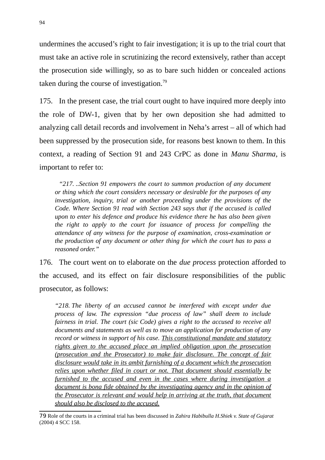undermines the accused's right to fair investigation; it is up to the trial court that must take an active role in scrutinizing the record extensively, rather than accept the prosecution side willingly, so as to bare such hidden or concealed actions taken during the course of investigation.<sup>[79](#page-93-0)</sup>

175. In the present case, the trial court ought to have inquired more deeply into the role of DW-1, given that by her own deposition she had admitted to analyzing call detail records and involvement in Neha's arrest – all of which had been suppressed by the prosecution side, for reasons best known to them. In this context, a reading of Section 91 and 243 CrPC as done in *Manu Sharma*, is important to refer to:

*"217. ..Section 91 empowers the court to summon production of any document or thing which the court considers necessary or desirable for the purposes of any investigation, inquiry, trial or another proceeding under the provisions of the Code. Where Section 91 read with Section 243 says that if the accused is called upon to enter his defence and produce his evidence there he has also been given the right to apply to the court for issuance of process for compelling the attendance of any witness for the purpose of examination, cross-examination or the production of any document or other thing for which the court has to pass a reasoned order."*

176. The court went on to elaborate on the *due process* protection afforded to the accused, and its effect on fair disclosure responsibilities of the public prosecutor, as follows:

*"218. The liberty of an accused cannot be interfered with except under due process of law. The expression "due process of law" shall deem to include fairness in trial. The court (sic Code) gives a right to the accused to receive all documents and statements as well as to move an application for production of any record or witness in support of his case. This constitutional mandate and statutory rights given to the accused place an implied obligation upon the prosecution (prosecution and the Prosecutor) to make fair disclosure. The concept of fair disclosure would take in its ambit furnishing of a document which the prosecution relies upon whether filed in court or not. That document should essentially be furnished to the accused and even in the cases where during investigation a document is bona fide obtained by the investigating agency and in the opinion of the Prosecutor is relevant and would help in arriving at the truth, that document should also be disclosed to the accused.*

<span id="page-93-0"></span><sup>79</sup> Role of the courts in a criminal trial has been discussed in *Zahira Habibulla H.Shiek v. State of Gujarat* (2004) 4 SCC 158.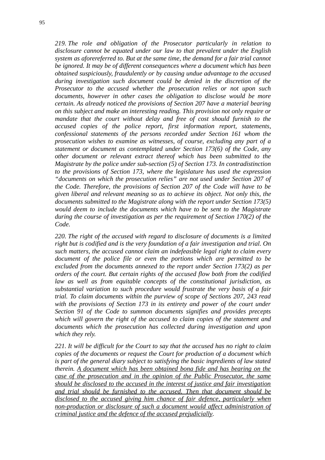*219. The role and obligation of the Prosecutor particularly in relation to disclosure cannot be equated under our law to that prevalent under the English system as aforereferred to. But at the same time, the demand for a fair trial cannot be ignored. It may be of different consequences where a document which has been obtained suspiciously, fraudulently or by causing undue advantage to the accused during investigation such document could be denied in the discretion of the Prosecutor to the accused whether the prosecution relies or not upon such documents, however in other cases the obligation to disclose would be more certain. As already noticed the provisions of Section 207 have a material bearing on this subject and make an interesting reading. This provision not only require or mandate that the court without delay and free of cost should furnish to the accused copies of the police report, first information report, statements, confessional statements of the persons recorded under Section 161 whom the prosecution wishes to examine as witnesses, of course, excluding any part of a statement or document as contemplated under Section 173(6) of the Code, any other document or relevant extract thereof which has been submitted to the Magistrate by the police under sub-section (5) of Section 173. In contradistinction to the provisions of Section 173, where the legislature has used the expression "documents on which the prosecution relies" are not used under Section 207 of the Code. Therefore, the provisions of Section 207 of the Code will have to be given liberal and relevant meaning so as to achieve its object. Not only this, the documents submitted to the Magistrate along with the report under Section 173(5) would deem to include the documents which have to be sent to the Magistrate during the course of investigation as per the requirement of Section 170(2) of the Code.*

*220. The right of the accused with regard to disclosure of documents is a limited right but is codified and is the very foundation of a fair investigation and trial. On such matters, the accused cannot claim an indefeasible legal right to claim every document of the police file or even the portions which are permitted to be excluded from the documents annexed to the report under Section 173(2) as per orders of the court. But certain rights of the accused flow both from the codified law as well as from equitable concepts of the constitutional jurisdiction, as substantial variation to such procedure would frustrate the very basis of a fair trial. To claim documents within the purview of scope of Sections 207, 243 read with the provisions of Section 173 in its entirety and power of the court under Section 91 of the Code to summon documents signifies and provides precepts which will govern the right of the accused to claim copies of the statement and documents which the prosecution has collected during investigation and upon which they rely.*

*221. It will be difficult for the Court to say that the accused has no right to claim copies of the documents or request the Court for production of a document which is part of the general diary subject to satisfying the basic ingredients of law stated therein. A document which has been obtained bona fide and has bearing on the case of the prosecution and in the opinion of the Public Prosecutor, the same should be disclosed to the accused in the interest of justice and fair investigation and trial should be furnished to the accused. Then that document should be disclosed to the accused giving him chance of fair defence, particularly when non-production or disclosure of such a document would affect administration of criminal justice and the defence of the accused prejudicially.*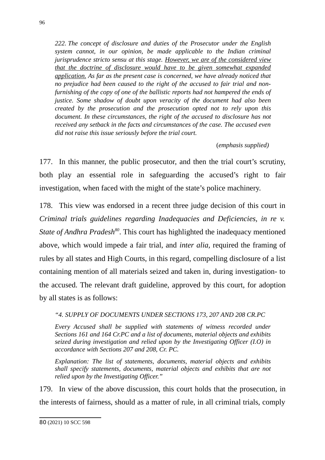*222. The concept of disclosure and duties of the Prosecutor under the English system cannot, in our opinion, be made applicable to the Indian criminal jurisprudence stricto sensu at this stage. However, we are of the considered view that the doctrine of disclosure would have to be given somewhat expanded application. As far as the present case is concerned, we have already noticed that no prejudice had been caused to the right of the accused to fair trial and nonfurnishing of the copy of one of the ballistic reports had not hampered the ends of justice. Some shadow of doubt upon veracity of the document had also been created by the prosecution and the prosecution opted not to rely upon this document. In these circumstances, the right of the accused to disclosure has not received any setback in the facts and circumstances of the case. The accused even did not raise this issue seriously before the trial court.*

(*emphasis supplied)*

177. In this manner, the public prosecutor, and then the trial court's scrutiny, both play an essential role in safeguarding the accused's right to fair investigation, when faced with the might of the state's police machinery.

178. This view was endorsed in a recent three judge decision of this court in *Criminal trials guidelines regarding Inadequacies and Deficiencies, in re v. State of Andhra Pradesh[80](#page-95-0)* . This court has highlighted the inadequacy mentioned above, which would impede a fair trial, and *inter alia,* required the framing of rules by all states and High Courts, in this regard, compelling disclosure of a list containing mention of all materials seized and taken in, during investigation- to the accused. The relevant draft guideline, approved by this court, for adoption by all states is as follows:

*"4. SUPPLY OF DOCUMENTS UNDER SECTIONS 173, 207 AND 208 CR.PC* 

*Every Accused shall be supplied with statements of witness recorded under Sections 161 and 164 Cr.PC and a list of documents, material objects and exhibits seized during investigation and relied upon by the Investigating Officer (I.O) in accordance with Sections 207 and 208, Cr. PC.* 

*Explanation: The list of statements, documents, material objects and exhibits shall specify statements, documents, material objects and exhibits that are not relied upon by the Investigating Officer."*

<span id="page-95-0"></span>179. In view of the above discussion, this court holds that the prosecution, in the interests of fairness, should as a matter of rule, in all criminal trials, comply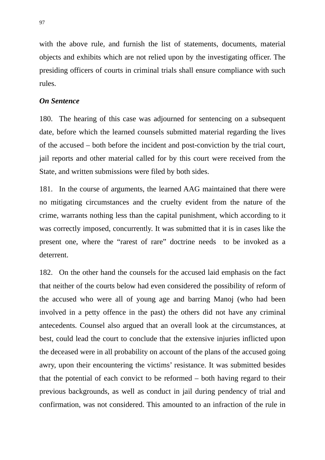with the above rule, and furnish the list of statements, documents, material objects and exhibits which are not relied upon by the investigating officer. The presiding officers of courts in criminal trials shall ensure compliance with such rules.

## *On Sentence*

180. The hearing of this case was adjourned for sentencing on a subsequent date, before which the learned counsels submitted material regarding the lives of the accused – both before the incident and post-conviction by the trial court, jail reports and other material called for by this court were received from the State, and written submissions were filed by both sides.

181. In the course of arguments, the learned AAG maintained that there were no mitigating circumstances and the cruelty evident from the nature of the crime, warrants nothing less than the capital punishment, which according to it was correctly imposed, concurrently. It was submitted that it is in cases like the present one, where the "rarest of rare" doctrine needs to be invoked as a deterrent.

182. On the other hand the counsels for the accused laid emphasis on the fact that neither of the courts below had even considered the possibility of reform of the accused who were all of young age and barring Manoj (who had been involved in a petty offence in the past) the others did not have any criminal antecedents. Counsel also argued that an overall look at the circumstances, at best, could lead the court to conclude that the extensive injuries inflicted upon the deceased were in all probability on account of the plans of the accused going awry, upon their encountering the victims' resistance. It was submitted besides that the potential of each convict to be reformed – both having regard to their previous backgrounds, as well as conduct in jail during pendency of trial and confirmation, was not considered. This amounted to an infraction of the rule in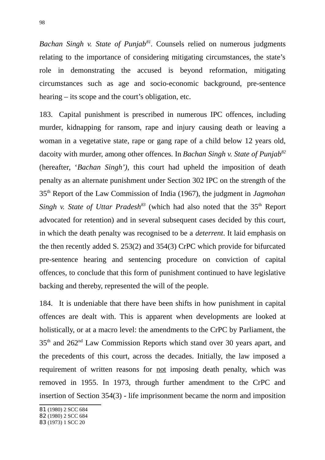*Bachan Singh v. State of Punjab[81](#page-97-0)*. Counsels relied on numerous judgments relating to the importance of considering mitigating circumstances, the state's role in demonstrating the accused is beyond reformation, mitigating circumstances such as age and socio-economic background, pre-sentence hearing – its scope and the court's obligation, etc.

183. Capital punishment is prescribed in numerous IPC offences, including murder, kidnapping for ransom, rape and injury causing death or leaving a woman in a vegetative state, rape or gang rape of a child below 12 years old, dacoity with murder, among other offences. In *Bachan Singh v. State of Punjab[82](#page-97-1)* (hereafter, '*Bachan Singh')*, this court had upheld the imposition of death penalty as an alternate punishment under Section 302 IPC on the strength of the 35th Report of the Law Commission of India (1967), the judgment in *Jagmohan Singh v. State of Uttar Pradesh<sup>[83](#page-97-2)</sup>* (which had also noted that the 35<sup>th</sup> Report advocated for retention) and in several subsequent cases decided by this court, in which the death penalty was recognised to be a *deterrent*. It laid emphasis on the then recently added S. 253(2) and 354(3) CrPC which provide for bifurcated pre-sentence hearing and sentencing procedure on conviction of capital offences, to conclude that this form of punishment continued to have legislative backing and thereby, represented the will of the people.

184. It is undeniable that there have been shifts in how punishment in capital offences are dealt with. This is apparent when developments are looked at holistically, or at a macro level: the amendments to the CrPC by Parliament, the 35<sup>th</sup> and 262<sup>nd</sup> Law Commission Reports which stand over 30 years apart, and the precedents of this court, across the decades. Initially, the law imposed a requirement of written reasons for not imposing death penalty, which was removed in 1955. In 1973, through further amendment to the CrPC and insertion of Section 354(3) - life imprisonment became the norm and imposition

<span id="page-97-2"></span><span id="page-97-1"></span><span id="page-97-0"></span>81 (1980) 2 SCC 684 82 (1980) 2 SCC 684 83 (1973) 1 SCC 20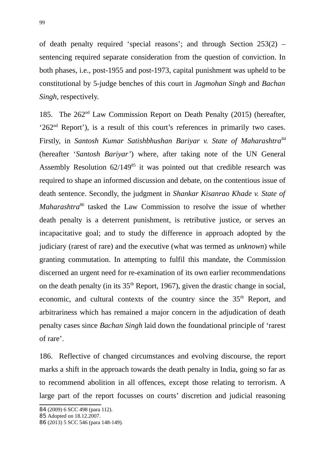of death penalty required 'special reasons'; and through Section 253(2) – sentencing required separate consideration from the question of conviction. In both phases, i.e., post-1955 and post-1973, capital punishment was upheld to be constitutional by 5-judge benches of this court in *Jagmohan Singh* and *Bachan Singh,* respectively.

185. The  $262<sup>nd</sup>$  Law Commission Report on Death Penalty (2015) (hereafter, '262nd Report'), is a result of this court's references in primarily two cases. Firstly, in *Santosh Kumar Satishbhushan Bariyar v. State of Maharashtra[84](#page-98-0)* (hereafter '*Santosh Bariyar'*) where, after taking note of the UN General Assembly Resolution  $62/149^{85}$  $62/149^{85}$  $62/149^{85}$  it was pointed out that credible research was required to shape an informed discussion and debate, on the contentious issue of death sentence. Secondly, the judgment in *Shankar Kisanrao Khade v. State of Maharashtra[86](#page-98-2)* tasked the Law Commission to resolve the issue of whether death penalty is a deterrent punishment, is retributive justice, or serves an incapacitative goal; and to study the difference in approach adopted by the judiciary (rarest of rare) and the executive (what was termed as *unknown*) while granting commutation. In attempting to fulfil this mandate, the Commission discerned an urgent need for re-examination of its own earlier recommendations on the death penalty (in its  $35<sup>th</sup>$  Report, 1967), given the drastic change in social, economic, and cultural contexts of the country since the 35<sup>th</sup> Report, and arbitrariness which has remained a major concern in the adjudication of death penalty cases since *Bachan Singh* laid down the foundational principle of 'rarest of rare'.

186. Reflective of changed circumstances and evolving discourse, the report marks a shift in the approach towards the death penalty in India, going so far as to recommend abolition in all offences, except those relating to terrorism. A large part of the report focusses on courts' discretion and judicial reasoning

<span id="page-98-1"></span>85 Adopted on 18.12.2007.

<span id="page-98-0"></span><sup>84</sup> (2009) 6 SCC 498 (para 112).

<span id="page-98-2"></span><sup>86</sup> (2013) 5 SCC 546 (para 148-149).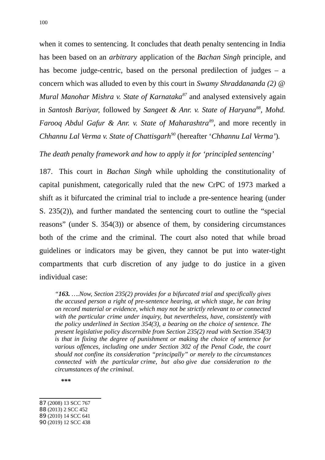when it comes to sentencing. It concludes that death penalty sentencing in India has been based on an *arbitrary* application of the *Bachan Singh* principle, and has become judge-centric, based on the personal predilection of judges  $-$  a concern which was alluded to even by this court in *Swamy Shraddananda (2) @ Mural Manohar Mishra v. State of Karnataka[87](#page-99-0)* and analysed extensively again in *Santosh Bariyar,* followed by *Sangeet & Anr. v. State of Haryana[88](#page-99-1), Mohd. Farooq Abdul Gafur & Anr. v. State of Maharashtra[89](#page-99-2) ,* and more recently in *Chhannu Lal Verma v. State of Chattisgarh[90](#page-99-3)* (hereafter '*Chhannu Lal Verma'*)*.* 

# *The death penalty framework and how to apply it for 'principled sentencing'*

187. This court in *Bachan Singh* while upholding the constitutionality of capital punishment, categorically ruled that the new CrPC of 1973 marked a shift as it bifurcated the criminal trial to include a pre-sentence hearing (under S. 235(2)), and further mandated the sentencing court to outline the "special reasons" (under S. 354(3)) or absence of them, by considering circumstances both of the crime and the criminal. The court also noted that while broad guidelines or indicators may be given, they cannot be put into water-tight compartments that curb discretion of any judge to do justice in a given individual case:

*"163. ….Now, Section 235(2) provides for a bifurcated trial and specifically gives the accused person a right of pre-sentence hearing, at which stage, he can bring on record material or evidence, which may not be strictly relevant to or connected with the particular crime under inquiry, but nevertheless, have, consistently with the policy underlined in Section 354(3), a bearing on the choice of sentence. The present legislative policy discernible from Section 235(2) read with Section 354(3) is that in fixing the degree of punishment or making the choice of sentence for various offences, including one under Section 302 of the Penal Code, the court should not confine its consideration "principally" or merely to the circumstances connected with the particular crime, but also give due consideration to the circumstances of the criminal.*

<span id="page-99-0"></span><sup>87</sup> (2008) 13 SCC 767

<span id="page-99-1"></span><sup>88</sup> (2013) 2 SCC 452

<span id="page-99-2"></span><sup>89</sup> (2010) 14 SCC 641

<span id="page-99-3"></span><sup>90</sup> (2019) 12 SCC 438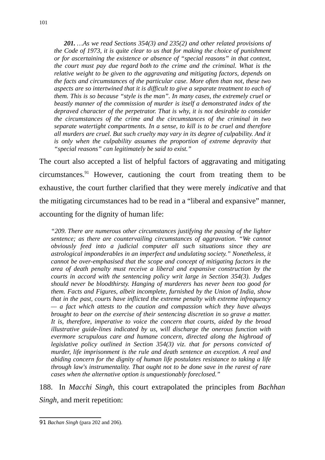*201. …As we read Sections 354(3) and 235(2) and other related provisions of the Code of 1973, it is quite clear to us that for making the choice of punishment or for ascertaining the existence or absence of "special reasons" in that context, the court must pay due regard both to the crime and the criminal. What is the relative weight to be given to the aggravating and mitigating factors, depends on the facts and circumstances of the particular case. More often than not, these two aspects are so intertwined that it is difficult to give a separate treatment to each of them. This is so because "style is the man". In many cases, the extremely cruel or beastly manner of the commission of murder is itself a demonstrated index of the depraved character of the perpetrator. That is why, it is not desirable to consider the circumstances of the crime and the circumstances of the criminal in two separate watertight compartments. In a sense, to kill is to be cruel and therefore all murders are cruel. But such cruelty may vary in its degree of culpability. And it is only when the culpability assumes the proportion of extreme depravity that "special reasons" can legitimately be said to exist."*

The court also accepted a list of helpful factors of aggravating and mitigating circumstances.<sup>[91](#page-100-0)</sup> However, cautioning the court from treating them to be exhaustive, the court further clarified that they were merely *indicative* and that the mitigating circumstances had to be read in a "liberal and expansive" manner, accounting for the dignity of human life:

*"209. There are numerous other circumstances justifying the passing of the lighter sentence; as there are countervailing circumstances of aggravation. "We cannot obviously feed into a judicial computer all such situations since they are astrological imponderables in an imperfect and undulating society." Nonetheless, it cannot be over-emphasised that the scope and concept of mitigating factors in the area of death penalty must receive a liberal and expansive construction by the courts in accord with the sentencing policy writ large in Section 354(3). Judges should never be bloodthirsty. Hanging of murderers has never been too good for them. Facts and Figures, albeit incomplete, furnished by the Union of India, show that in the past, courts have inflicted the extreme penalty with extreme infrequency — a fact which attests to the caution and compassion which they have always brought to bear on the exercise of their sentencing discretion in so grave a matter. It is, therefore, imperative to voice the concern that courts, aided by the broad illustrative guide-lines indicated by us, will discharge the onerous function with evermore scrupulous care and humane concern, directed along the highroad of legislative policy outlined in Section 354(3) viz. that for persons convicted of murder, life imprisonment is the rule and death sentence an exception. A real and abiding concern for the dignity of human life postulates resistance to taking a life through law's instrumentality. That ought not to be done save in the rarest of rare cases when the alternative option is unquestionably foreclosed."*

188. In *Macchi Singh*, this court extrapolated the principles from *Bachhan Singh*, and merit repetition:

<sup>101</sup>

<span id="page-100-0"></span><sup>91</sup> *Bachan Singh* (para 202 and 206).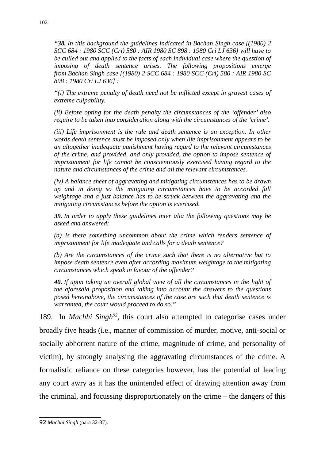*"38. In this background the guidelines indicated in Bachan Singh case [(1980) 2 SCC 684 : 1980 SCC (Cri) 580 : AIR 1980 SC 898 : 1980 Cri LJ 636] will have to be culled out and applied to the facts of each individual case where the question of imposing of death sentence arises. The following propositions emerge from Bachan Singh case [(1980) 2 SCC 684 : 1980 SCC (Cri) 580 : AIR 1980 SC 898 : 1980 Cri LJ 636] :*

*"(i) The extreme penalty of death need not be inflicted except in gravest cases of extreme culpability.*

*(ii) Before opting for the death penalty the circumstances of the 'offender' also require to be taken into consideration along with the circumstances of the 'crime'.*

*(iii) Life imprisonment is the rule and death sentence is an exception. In other words death sentence must be imposed only when life imprisonment appears to be an altogether inadequate punishment having regard to the relevant circumstances of the crime, and provided, and only provided, the option to impose sentence of imprisonment for life cannot be conscientiously exercised having regard to the nature and circumstances of the crime and all the relevant circumstances.*

*(iv) A balance sheet of aggravating and mitigating circumstances has to be drawn up and in doing so the mitigating circumstances have to be accorded full weightage and a just balance has to be struck between the aggravating and the mitigating circumstances before the option is exercised.*

*39. In order to apply these guidelines inter alia the following questions may be asked and answered:*

*(a) Is there something uncommon about the crime which renders sentence of imprisonment for life inadequate and calls for a death sentence?*

*(b) Are the circumstances of the crime such that there is no alternative but to impose death sentence even after according maximum weightage to the mitigating circumstances which speak in favour of the offender?*

*40. If upon taking an overall global view of all the circumstances in the light of the aforesaid proposition and taking into account the answers to the questions posed hereinabove, the circumstances of the case are such that death sentence is warranted, the court would proceed to do so."*

189. In *Machhi Singh<sup>[92](#page-101-0)</sup>*, this court also attempted to categorise cases under broadly five heads (i.e., manner of commission of murder, motive, anti-social or socially abhorrent nature of the crime, magnitude of crime, and personality of victim), by strongly analysing the aggravating circumstances of the crime. A formalistic reliance on these categories however, has the potential of leading any court awry as it has the unintended effect of drawing attention away from the criminal, and focussing disproportionately on the crime – the dangers of this

<span id="page-101-0"></span><sup>92</sup> *Machhi Singh* (para 32-37).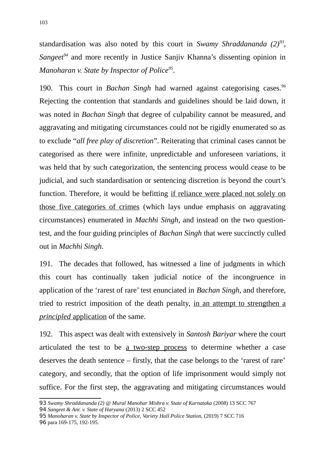standardisation was also noted by this court in *Swamy Shraddananda (2)[93](#page-102-0)* , *Sangeet[94](#page-102-1)* and more recently in Justice Sanjiv Khanna's dissenting opinion in *Manoharan v. State by Inspector of Police[95](#page-102-2)* .

190. This court in *Bachan Singh* had warned against categorising cases.<sup>[96](#page-102-3)</sup> Rejecting the contention that standards and guidelines should be laid down, it was noted in *Bachan Singh* that degree of culpability cannot be measured, and aggravating and mitigating circumstances could not be rigidly enumerated so as to exclude "*all free play of discretion*". Reiterating that criminal cases cannot be categorised as there were infinite, unpredictable and unforeseen variations, it was held that by such categorization, the sentencing process would cease to be judicial, and such standardisation or sentencing discretion is beyond the court's function. Therefore, it would be befitting <u>if reliance were placed not solely on</u> those five categories of crimes (which lays undue emphasis on aggravating circumstances) enumerated in *Machhi Singh*, and instead on the two questiontest, and the four guiding principles of *Bachan Singh* that were succinctly culled out in *Machhi Singh*.

191. The decades that followed, has witnessed a line of judgments in which this court has continually taken judicial notice of the incongruence in application of the 'rarest of rare' test enunciated in *Bachan Singh*, and therefore, tried to restrict imposition of the death penalty, in an attempt to strengthen a  *principled* application of the same.

192. This aspect was dealt with extensively in *Santosh Bariyar* where the court articulated the test to be a two-step process to determine whether a case deserves the death sentence – firstly, that the case belongs to the 'rarest of rare' category, and secondly, that the option of life imprisonment would simply not suffice. For the first step, the aggravating and mitigating circumstances would

<span id="page-102-1"></span>94 *Sangeet & Anr. v. State of Haryana* (2013) 2 SCC 452

<span id="page-102-0"></span><sup>93</sup> *Swamy Shraddananda (2) @ Mural Manohar Mishra v. State of Karnataka* (2008) 13 SCC 767

<span id="page-102-3"></span><span id="page-102-2"></span><sup>95</sup> *Manoharan v. State by Inspector of Police, Variety Hall Police Station,* (2019) 7 SCC 716 96 para 169-175, 192-195.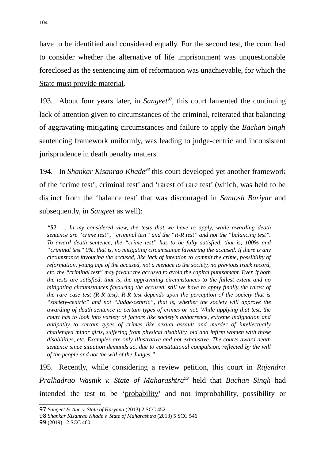have to be identified and considered equally. For the second test, the court had to consider whether the alternative of life imprisonment was unquestionable foreclosed as the sentencing aim of reformation was unachievable, for which the State must provide material.

193. About four years later, in *Sangeet[97](#page-103-0)*, this court lamented the continuing lack of attention given to circumstances of the criminal, reiterated that balancing of aggravating-mitigating circumstances and failure to apply the *Bachan Singh* sentencing framework uniformly, was leading to judge-centric and inconsistent jurisprudence in death penalty matters.

194. In *Shankar Kisanrao Khade[98](#page-103-1)* this court developed yet another framework of the 'crime test', criminal test' and 'rarest of rare test' (which, was held to be distinct from the 'balance test' that was discouraged in *Santosh Bariyar* and subsequently, in *Sangeet* as well):

*"52. …. In my considered view, the tests that we have to apply, while awarding death sentence are "crime test", "criminal test" and the "R-R test" and not the "balancing test". To award death sentence, the "crime test" has to be fully satisfied, that is, 100% and "criminal test" 0%, that is, no mitigating circumstance favouring the accused. If there is any circumstance favouring the accused, like lack of intention to commit the crime, possibility of reformation, young age of the accused, not a menace to the society, no previous track record, etc. the "criminal test" may favour the accused to avoid the capital punishment. Even if both the tests are satisfied, that is, the aggravating circumstances to the fullest extent and no mitigating circumstances favouring the accused, still we have to apply finally the rarest of the rare case test (R-R test). R-R test depends upon the perception of the society that is "society-centric" and not "Judge-centric", that is, whether the society will approve the awarding of death sentence to certain types of crimes or not. While applying that test, the court has to look into variety of factors like society's abhorrence, extreme indignation and antipathy to certain types of crimes like sexual assault and murder of intellectually challenged minor girls, suffering from physical disability, old and infirm women with those disabilities, etc. Examples are only illustrative and not exhaustive. The courts award death sentence since situation demands so, due to constitutional compulsion, reflected by the will of the people and not the will of the Judges."*

195. Recently, while considering a review petition, this court in *Rajendra Pralhadrao Wasnik v. State of Maharashtra[99](#page-103-2)* held that *Bachan Singh* had intended the test to be 'probability' and not improbability, possibility or

<span id="page-103-0"></span><sup>97</sup> *Sangeet & Anr. v. State of Haryana* (2013) 2 SCC 452

<span id="page-103-1"></span><sup>98</sup> *Shankar Kisanrao Khade v. State of Maharashtra* (2013) 5 SCC 546

<span id="page-103-2"></span><sup>99</sup> (2019) 12 SCC 460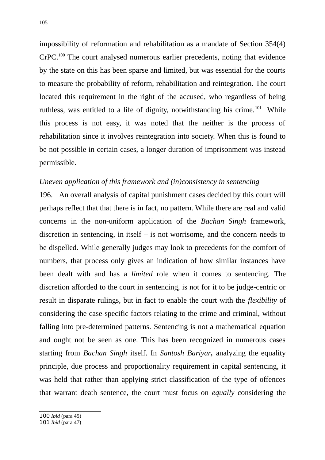impossibility of reformation and rehabilitation as a mandate of Section 354(4) CrPC.[100](#page-104-0) The court analysed numerous earlier precedents, noting that evidence by the state on this has been sparse and limited, but was essential for the courts to measure the probability of reform, rehabilitation and reintegration. The court located this requirement in the right of the accused, who regardless of being ruthless, was entitled to a life of dignity, notwithstanding his crime.<sup>[101](#page-104-1)</sup> While this process is not easy, it was noted that the neither is the process of rehabilitation since it involves reintegration into society. When this is found to be not possible in certain cases, a longer duration of imprisonment was instead permissible.

# *Uneven application of this framework and (in)consistency in sentencing*

196. An overall analysis of capital punishment cases decided by this court will perhaps reflect that that there is in fact, no pattern. While there are real and valid concerns in the non-uniform application of the *Bachan Singh* framework, discretion in sentencing, in itself – is not worrisome, and the concern needs to be dispelled. While generally judges may look to precedents for the comfort of numbers, that process only gives an indication of how similar instances have been dealt with and has a *limited* role when it comes to sentencing. The discretion afforded to the court in sentencing, is not for it to be judge-centric or result in disparate rulings, but in fact to enable the court with the *flexibility* of considering the case-specific factors relating to the crime and criminal, without falling into pre-determined patterns. Sentencing is not a mathematical equation and ought not be seen as one. This has been recognized in numerous cases starting from *Bachan Singh* itself. In *Santosh Bariyar,* analyzing the equality principle, due process and proportionality requirement in capital sentencing, it was held that rather than applying strict classification of the type of offences that warrant death sentence, the court must focus on *equally* considering the

<span id="page-104-0"></span><sup>100</sup> *Ibid* (para 45)

<span id="page-104-1"></span><sup>101</sup> *Ibid* (para 47)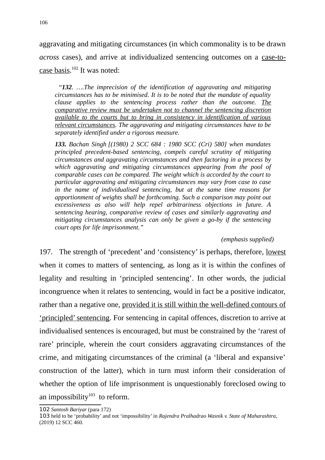aggravating and mitigating circumstances (in which commonality is to be drawn *across* cases), and arrive at individualized sentencing outcomes on a case-tocase basis. [102](#page-105-0) It was noted:

"*132. ….The imprecision of the identification of aggravating and mitigating circumstances has to be minimised. It is to be noted that the mandate of equality clause applies to the sentencing process rather than the outcome. The comparative review must be undertaken not to channel the sentencing discretion available to the courts but to bring in consistency in identification of various relevant circumstances. The aggravating and mitigating circumstances have to be separately identified under a rigorous measure.*

*133. Bachan Singh [(1980) 2 SCC 684 : 1980 SCC (Cri) 580] when mandates principled precedent-based sentencing, compels careful scrutiny of mitigating circumstances and aggravating circumstances and then factoring in a process by which aggravating and mitigating circumstances appearing from the pool of comparable cases can be compared. The weight which is accorded by the court to particular aggravating and mitigating circumstances may vary from case to case in the name of individualised sentencing, but at the same time reasons for apportionment of weights shall be forthcoming. Such a comparison may point out excessiveness as also will help repel arbitrariness objections in future. A sentencing hearing, comparative review of cases and similarly aggravating and mitigating circumstances analysis can only be given a go-by if the sentencing court opts for life imprisonment."*

#### *(emphasis supplied)*

197. The strength of 'precedent' and 'consistency' is perhaps, therefore, lowest when it comes to matters of sentencing, as long as it is within the confines of legality and resulting in 'principled sentencing'. In other words, the judicial incongruence when it relates to sentencing, would in fact be a positive indicator, rather than a negative one, provided it is still within the well-defined contours of 'principled' sentencing. For sentencing in capital offences, discretion to arrive at individualised sentences is encouraged, but must be constrained by the 'rarest of rare' principle, wherein the court considers aggravating circumstances of the crime, and mitigating circumstances of the criminal (a 'liberal and expansive' construction of the latter), which in turn must inform their consideration of whether the option of life imprisonment is unquestionably foreclosed owing to an impossibility<sup>[103](#page-105-1)</sup> to reform.

<span id="page-105-0"></span><sup>102</sup> *Santosh Bariyar* (para 172)

<span id="page-105-1"></span><sup>103</sup> held to be 'probability' and not 'impossibility' in *Rajendra Pralhadrao Wasnik v. State of Maharashtra*, (2019) 12 SCC 460.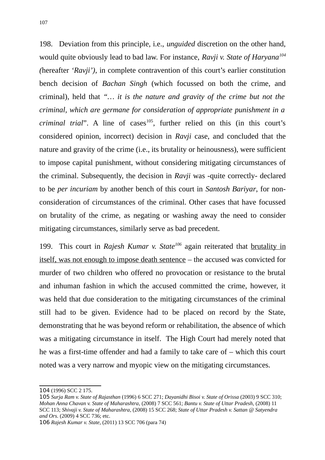198. Deviation from this principle, i.e., *unguided* discretion on the other hand, would quite obviously lead to bad law. For instance, *Ravji v. State of Haryana[104](#page-106-0) (*hereafter *'Ravji')*, in complete contravention of this court's earlier constitution bench decision of *Bachan Singh* (which focussed on both the crime, and criminal)*,* held that *"… it is the nature and gravity of the crime but not the criminal, which are germane for consideration of appropriate punishment in a criminal trial*". A line of cases<sup>[105](#page-106-1)</sup>, further relied on this (in this court's considered opinion, incorrect) decision in *Ravji* case, and concluded that the nature and gravity of the crime (i.e., its brutality or heinousness), were sufficient to impose capital punishment, without considering mitigating circumstances of the criminal. Subsequently, the decision in *Ravji* was -quite correctly- declared to be *per incuriam* by another bench of this court in *Santosh Bariyar*, for nonconsideration of circumstances of the criminal. Other cases that have focussed on brutality of the crime, as negating or washing away the need to consider mitigating circumstances, similarly serve as bad precedent.

199. This court in *Rajesh Kumar v. State[106](#page-106-2)* again reiterated that brutality in itself, was not enough to impose death sentence – the accused was convicted for murder of two children who offered no provocation or resistance to the brutal and inhuman fashion in which the accused committed the crime, however, it was held that due consideration to the mitigating circumstances of the criminal still had to be given. Evidence had to be placed on record by the State, demonstrating that he was beyond reform or rehabilitation, the absence of which was a mitigating circumstance in itself. The High Court had merely noted that he was a first-time offender and had a family to take care of – which this court noted was a very narrow and myopic view on the mitigating circumstances.

<span id="page-106-0"></span><sup>104</sup> (1996) SCC 2 175.

<span id="page-106-1"></span><sup>105</sup> *Surja Ram v. State of Rajasthan* (1996) 6 SCC 271; *Dayanidhi Bisoi v. State of Orissa* (2003) 9 SCC 310; *Mohan Anna Chavan v. State of Maharashtra*, (2008) 7 SCC 561; *Bantu v. State of Uttar Pradesh*, (2008) 11 SCC 113; *Shivaji v. State of Maharashtra*, (2008) 15 SCC 268; *State of Uttar Pradesh v. Sattan @ Satyendra and Ors.* (2009) 4 SCC 736; etc.

<span id="page-106-2"></span><sup>106</sup> *Rajesh Kumar v. State*, (2011) 13 SCC 706 (para 74)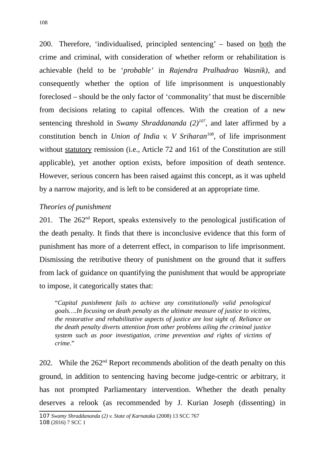200. Therefore, 'individualised, principled sentencing'  $-$  based on both the crime and criminal, with consideration of whether reform or rehabilitation is achievable (held to be '*probable'* in *Rajendra Pralhadrao Wasnik)*, and consequently whether the option of life imprisonment is unquestionably foreclosed – should be the only factor of 'commonality' that must be discernible from decisions relating to capital offences. With the creation of a new sentencing threshold in *Swamy Shraddananda (2)[107](#page-107-0) ,* and later affirmed by a constitution bench in *Union of India v. V Sriharan[108](#page-107-1)*, of life imprisonment without statutory remission (i.e., Article 72 and 161 of the Constitution are still applicable), yet another option exists, before imposition of death sentence. However, serious concern has been raised against this concept, as it was upheld by a narrow majority, and is left to be considered at an appropriate time.

## *Theories of punishment*

201. The  $262<sup>nd</sup>$  Report, speaks extensively to the penological justification of the death penalty. It finds that there is inconclusive evidence that this form of punishment has more of a deterrent effect, in comparison to life imprisonment. Dismissing the retributive theory of punishment on the ground that it suffers from lack of guidance on quantifying the punishment that would be appropriate to impose, it categorically states that:

"*Capital punishment fails to achieve any constitutionally valid penological goals….In focusing on death penalty as the ultimate measure of justice to victims, the restorative and rehabilitative aspects of justice are lost sight of. Reliance on the death penalty diverts attention from other problems ailing the criminal justice system such as poor investigation, crime prevention and rights of victims of crime*."

202. While the  $262<sup>nd</sup>$  Report recommends abolition of the death penalty on this ground, in addition to sentencing having become judge-centric or arbitrary, it has not prompted Parliamentary intervention. Whether the death penalty deserves a relook (as recommended by J. Kurian Joseph (dissenting) in

<span id="page-107-1"></span><span id="page-107-0"></span><sup>107</sup> *Swamy Shraddananda (2) v. State of Karnataka* (2008) 13 SCC 767 108 (2016) 7 SCC 1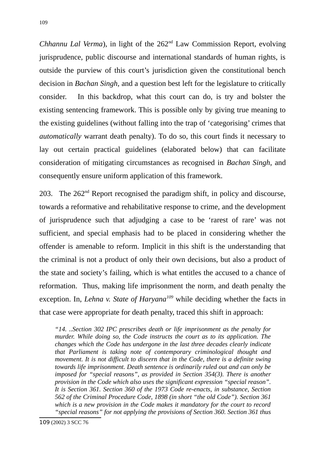*Chhannu Lal Verma*), in light of the 262<sup>nd</sup> Law Commission Report, evolving jurisprudence, public discourse and international standards of human rights, is outside the purview of this court's jurisdiction given the constitutional bench decision in *Bachan Singh,* and a question best left for the legislature to critically consider. In this backdrop, what this court can do, is try and bolster the existing sentencing framework. This is possible only by giving true meaning to the existing guidelines (without falling into the trap of 'categorising' crimes that *automatically* warrant death penalty). To do so, this court finds it necessary to lay out certain practical guidelines (elaborated below) that can facilitate consideration of mitigating circumstances as recognised in *Bachan Singh*, and consequently ensure uniform application of this framework.

203. The  $262<sup>nd</sup>$  Report recognised the paradigm shift, in policy and discourse, towards a reformative and rehabilitative response to crime, and the development of jurisprudence such that adjudging a case to be 'rarest of rare' was not sufficient, and special emphasis had to be placed in considering whether the offender is amenable to reform. Implicit in this shift is the understanding that the criminal is not a product of only their own decisions, but also a product of the state and society's failing, which is what entitles the accused to a chance of reformation. Thus, making life imprisonment the norm, and death penalty the exception. In, *Lehna v. State of Haryana[109](#page-108-0)* while deciding whether the facts in that case were appropriate for death penalty, traced this shift in approach:

<span id="page-108-0"></span>*"14. ..Section 302 IPC prescribes death or life imprisonment as the penalty for murder. While doing so, the Code instructs the court as to its application. The changes which the Code has undergone in the last three decades clearly indicate that Parliament is taking note of contemporary criminological thought and movement. It is not difficult to discern that in the Code, there is a definite swing towards life imprisonment. Death sentence is ordinarily ruled out and can only be imposed for "special reasons", as provided in Section 354(3). There is another provision in the Code which also uses the significant expression "special reason". It is Section 361. Section 360 of the 1973 Code re-enacts, in substance, Section 562 of the Criminal Procedure Code, 1898 (in short "the old Code"). Section 361 which is a new provision in the Code makes it mandatory for the court to record "special reasons" for not applying the provisions of Section 360. Section 361 thus*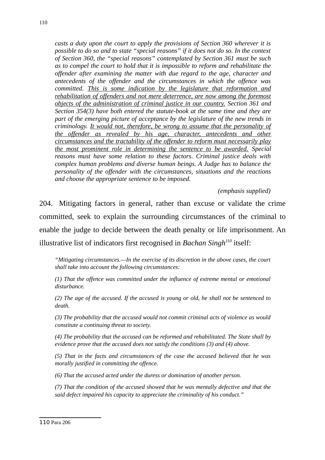*casts a duty upon the court to apply the provisions of Section 360 wherever it is possible to do so and to state "special reasons" if it does not do so. In the context of Section 360, the "special reasons" contemplated by Section 361 must be such as to compel the court to hold that it is impossible to reform and rehabilitate the offender after examining the matter with due regard to the age, character and antecedents of the offender and the circumstances in which the offence was committed. This is some indication by the legislature that reformation and rehabilitation of offenders and not mere deterrence, are now among the foremost objects of the administration of criminal justice in our country. Section 361 and Section 354(3) have both entered the statute-book at the same time and they are part of the emerging picture of acceptance by the legislature of the new trends in criminology. It would not, therefore, be wrong to assume that the personality of the offender as revealed by his age, character, antecedents and other circumstances and the tractability of the offender to reform must necessarily play the most prominent role in determining the sentence to be awarded. Special reasons must have some relation to these factors. Criminal justice deals with complex human problems and diverse human beings. A Judge has to balance the personality of the offender with the circumstances, situations and the reactions and choose the appropriate sentence to be imposed.*

*(emphasis supplied)*

204. Mitigating factors in general, rather than excuse or validate the crime committed, seek to explain the surrounding circumstances of the criminal to enable the judge to decide between the death penalty or life imprisonment. An illustrative list of indicators first recognised in *Bachan Singh[110](#page-109-0)* itself:

*"Mitigating circumstances.—In the exercise of its discretion in the above cases, the court shall take into account the following circumstances:*

*(1) That the offence was committed under the influence of extreme mental or emotional disturbance.*

*(2) The age of the accused. If the accused is young or old, he shall not be sentenced to death.*

*(3) The probability that the accused would not commit criminal acts of violence as would constitute a continuing threat to society.*

*(4) The probability that the accused can be reformed and rehabilitated. The State shall by evidence prove that the accused does not satisfy the conditions (3) and (4) above.*

*(5) That in the facts and circumstances of the case the accused believed that he was morally justified in committing the offence.*

*(6) That the accused acted under the duress or domination of another person.*

<span id="page-109-0"></span>*(7) That the condition of the accused showed that he was mentally defective and that the said defect impaired his capacity to appreciate the criminality of his conduct."*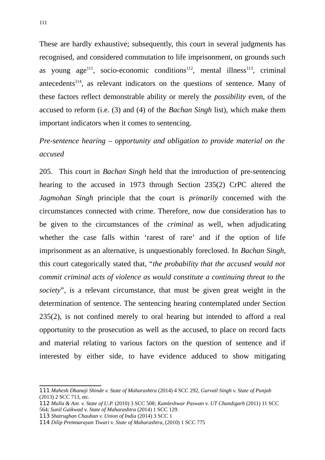These are hardly exhaustive; subsequently, this court in several judgments has recognised, and considered commutation to life imprisonment, on grounds such as young age<sup>[111](#page-110-0)</sup>, socio-economic conditions<sup>[112](#page-110-1)</sup>, mental illness<sup>[113](#page-110-2)</sup>, criminal antecedents $114$ , as relevant indicators on the questions of sentence. Many of these factors reflect demonstrable ability or merely the *possibility* even, of the accused to reform (i.e. (3) and (4) of the *Bachan Singh* list), which make them important indicators when it comes to sentencing.

# *Pre-sentence hearing – opportunity and obligation to provide material on the accused*

205. This court in *Bachan Singh* held that the introduction of pre-sentencing hearing to the accused in 1973 through Section 235(2) CrPC altered the *Jagmohan Singh* principle that the court is *primarily* concerned with the circumstances connected with crime. Therefore, now due consideration has to be given to the circumstances of the *criminal* as well, when adjudicating whether the case falls within 'rarest of rare' and if the option of life imprisonment as an alternative, is unquestionably foreclosed. In *Bachan Singh*, this court categorically stated that, "*the probability that the accused would not commit criminal acts of violence as would constitute a continuing threat to the society*", is a relevant circumstance, that must be given great weight in the determination of sentence. The sentencing hearing contemplated under Section 235(2), is not confined merely to oral hearing but intended to afford a real opportunity to the prosecution as well as the accused, to place on record facts and material relating to various factors on the question of sentence and if interested by either side, to have evidence adduced to show mitigating

<span id="page-110-0"></span><sup>111</sup> *Mahesh Dhanaji Shinde v. State of Maharashtra* (2014) 4 SCC 292, *Gurvail Singh v. State of Punjab* (2013) 2 SCC 713, etc.

<span id="page-110-1"></span><sup>112</sup> *Mulla & Anr. v. State of U.P.* (2010) 3 SCC 508; *Kamleshwar Paswan* v. *UT Chandigarh* (2011) 11 SCC 564; *Sunil Gaikwad* v. *State of Maharashtra* (2014) 1 SCC 129.

<span id="page-110-2"></span><sup>113</sup> *Shatrughan Chauhan v. Union of India* (2014) 3 SCC 1

<span id="page-110-3"></span><sup>114</sup> *Dilip Premnarayan Tiwari* v. *State of Maharashtra*, (2010) 1 SCC 775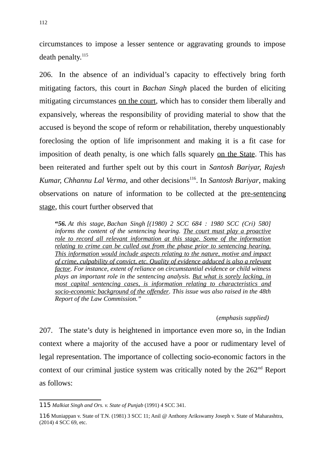circumstances to impose a lesser sentence or aggravating grounds to impose death penalty.<sup>[115](#page-111-0)</sup>

206. In the absence of an individual's capacity to effectively bring forth mitigating factors, this court in *Bachan Singh* placed the burden of eliciting mitigating circumstances on the court, which has to consider them liberally and expansively, whereas the responsibility of providing material to show that the accused is beyond the scope of reform or rehabilitation, thereby unquestionably foreclosing the option of life imprisonment and making it is a fit case for imposition of death penalty, is one which falls squarely on the State. This has been reiterated and further spelt out by this court in *Santosh Bariyar, Rajesh Kumar, Chhannu Lal Verma, and other decisions*<sup>[116](#page-111-1)</sup>. In *Santosh Bariyar*, making observations on nature of information to be collected at the pre-sentencing stage, this court further observed that

**"***56. At this stage, Bachan Singh [(1980) 2 SCC 684 : 1980 SCC (Cri) 580] informs the content of the sentencing hearing. The court must play a proactive role to record all relevant information at this stage. Some of the information relating to crime can be culled out from the phase prior to sentencing hearing. This information would include aspects relating to the nature, motive and impact of crime, culpability of convict, etc. Quality of evidence adduced is also a relevant factor. For instance, extent of reliance on circumstantial evidence or child witness plays an important role in the sentencing analysis. But what is sorely lacking, in most capital sentencing cases, is information relating to characteristics and socio-economic background of the offender. This issue was also raised in the 48th Report of the Law Commission."*

#### (*emphasis supplied)*

207. The state's duty is heightened in importance even more so, in the Indian context where a majority of the accused have a poor or rudimentary level of legal representation. The importance of collecting socio-economic factors in the context of our criminal justice system was critically noted by the 262<sup>nd</sup> Report as follows:

<span id="page-111-0"></span><sup>115</sup> *Malkiat Singh and Ors. v. State of Punjab* (1991) 4 SCC 341.

<span id="page-111-1"></span><sup>116</sup> Muniappan v. State of T.N. (1981) 3 SCC 11; Anil @ Anthony Arikswamy Joseph v. State of Maharashtra, (2014) 4 SCC 69, etc.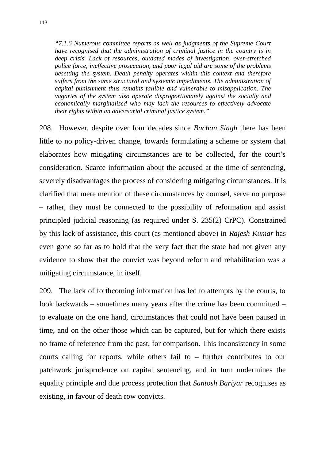*"7.1.6 Numerous committee reports as well as judgments of the Supreme Court have recognised that the administration of criminal justice in the country is in deep crisis. Lack of resources, outdated modes of investigation, over-stretched police force, ineffective prosecution, and poor legal aid are some of the problems besetting the system. Death penalty operates within this context and therefore suffers from the same structural and systemic impediments. The administration of capital punishment thus remains fallible and vulnerable to misapplication. The vagaries of the system also operate disproportionately against the socially and economically marginalised who may lack the resources to effectively advocate their rights within an adversarial criminal justice system."*

208. However, despite over four decades since *Bachan Singh* there has been little to no policy-driven change, towards formulating a scheme or system that elaborates how mitigating circumstances are to be collected, for the court's consideration. Scarce information about the accused at the time of sentencing, severely disadvantages the process of considering mitigating circumstances. It is clarified that mere mention of these circumstances by counsel, serve no purpose – rather, they must be connected to the possibility of reformation and assist principled judicial reasoning (as required under S. 235(2) CrPC). Constrained by this lack of assistance, this court (as mentioned above) in *Rajesh Kumar* has even gone so far as to hold that the very fact that the state had not given any evidence to show that the convict was beyond reform and rehabilitation was a mitigating circumstance, in itself.

209. The lack of forthcoming information has led to attempts by the courts, to look backwards – sometimes many years after the crime has been committed – to evaluate on the one hand, circumstances that could not have been paused in time, and on the other those which can be captured, but for which there exists no frame of reference from the past, for comparison. This inconsistency in some courts calling for reports, while others fail to – further contributes to our patchwork jurisprudence on capital sentencing, and in turn undermines the equality principle and due process protection that *Santosh Bariyar* recognises as existing, in favour of death row convicts.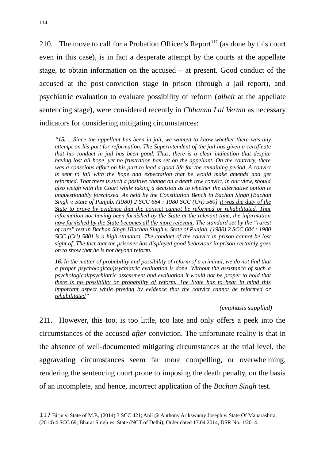210. The move to call for a Probation Officer's Report<sup>[117](#page-113-0)</sup> (as done by this court even in this case), is in fact a desperate attempt by the courts at the appellate stage, to obtain information on the accused – at present. Good conduct of the accused at the post-conviction stage in prison (through a jail report), and psychiatric evaluation to evaluate possibility of reform (*albeit* at the appellate sentencing stage), were considered recently in *Chhannu Lal Verma* as necessary indicators for considering mitigating circumstances:

*"15. …Since the appellant has been in jail, we wanted to know whether there was any attempt on his part for reformation. The Superintendent of the jail has given a certificate that his conduct in jail has been good. Thus, there is a clear indication that despite having lost all hope, yet no frustration has set on the appellant. On the contrary, there was a conscious effort on his part to lead a good life for the remaining period. A convict is sent to jail with the hope and expectation that he would make amends and get reformed. That there is such a positive change on a death row convict, in our view, should also weigh with the Court while taking a decision as to whether the alternative option is unquestionably foreclosed. As held by the Constitution Bench in Bachan Singh [Bachan Singh v. State of Punjab, (1980) 2 SCC 684 : 1980 SCC (Cri) 580] it was the duty of the State to prove by evidence that the convict cannot be reformed or rehabilitated. That information not having been furnished by the State at the relevant time, the information now furnished by the State becomes all the more relevant. The standard set by the "rarest of rare" test in Bachan Singh [Bachan Singh v. State of Punjab, (1980) 2 SCC 684 : 1980 SCC (Cri) 580] is a high standard. The conduct of the convict in prison cannot be lost sight of. The fact that the prisoner has displayed good behaviour in prison certainly goes on to show that he is not beyond reform.*

*16. In the matter of probability and possibility of reform of a criminal, we do not find that a proper psychological/psychiatric evaluation is done. Without the assistance of such a psychological/psychiatric assessment and evaluation it would not be proper to hold that there is no possibility or probability of reform. The State has to bear in mind this important aspect while proving by evidence that the convict cannot be reformed or rehabilitated"*

#### *(emphasis supplied)*

211. However, this too, is too little, too late and only offers a peek into the circumstances of the accused *after* conviction. The unfortunate reality is that in the absence of well-documented mitigating circumstances at the trial level, the aggravating circumstances seem far more compelling, or overwhelming, rendering the sentencing court prone to imposing the death penalty, on the basis of an incomplete, and hence, incorrect application of the *Bachan Singh* test.

<span id="page-113-0"></span><sup>117</sup> Birju v. State of M.P., (2014) 3 SCC 421; Anil @ Anthony Arikswamy Joseph v. State Of Maharashtra, (2014) 4 SCC 69; Bharat Singh vs. State (NCT of Delhi), Order dated 17.04.2014, DSR No. 1/2014.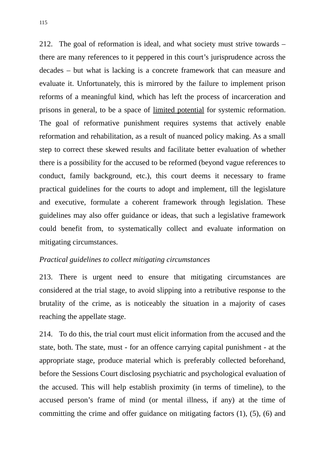212. The goal of reformation is ideal, and what society must strive towards – there are many references to it peppered in this court's jurisprudence across the decades – but what is lacking is a concrete framework that can measure and evaluate it. Unfortunately, this is mirrored by the failure to implement prison reforms of a meaningful kind, which has left the process of incarceration and prisons in general, to be a space of limited potential for systemic reformation. The goal of reformative punishment requires systems that actively enable reformation and rehabilitation, as a result of nuanced policy making. As a small step to correct these skewed results and facilitate better evaluation of whether there is a possibility for the accused to be reformed (beyond vague references to conduct, family background, etc.), this court deems it necessary to frame practical guidelines for the courts to adopt and implement, till the legislature and executive, formulate a coherent framework through legislation. These guidelines may also offer guidance or ideas, that such a legislative framework could benefit from, to systematically collect and evaluate information on mitigating circumstances.

# *Practical guidelines to collect mitigating circumstances*

213. There is urgent need to ensure that mitigating circumstances are considered at the trial stage, to avoid slipping into a retributive response to the brutality of the crime, as is noticeably the situation in a majority of cases reaching the appellate stage.

214. To do this, the trial court must elicit information from the accused and the state, both. The state, must - for an offence carrying capital punishment - at the appropriate stage, produce material which is preferably collected beforehand, before the Sessions Court disclosing psychiatric and psychological evaluation of the accused. This will help establish proximity (in terms of timeline), to the accused person's frame of mind (or mental illness, if any) at the time of committing the crime and offer guidance on mitigating factors (1), (5), (6) and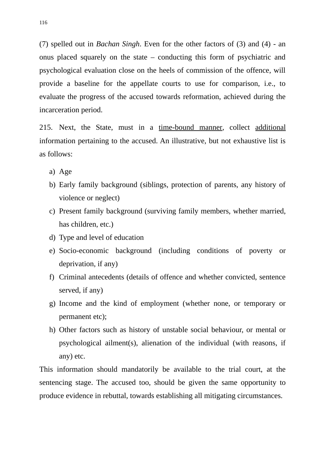(7) spelled out in *Bachan Singh*. Even for the other factors of (3) and (4) - an onus placed squarely on the state – conducting this form of psychiatric and psychological evaluation close on the heels of commission of the offence, will provide a baseline for the appellate courts to use for comparison, i.e., to evaluate the progress of the accused towards reformation, achieved during the incarceration period.

215. Next, the State, must in a time-bound manner, collect additional information pertaining to the accused. An illustrative, but not exhaustive list is as follows:

- a) Age
- b) Early family background (siblings, protection of parents, any history of violence or neglect)
- c) Present family background (surviving family members, whether married, has children, etc.)
- d) Type and level of education
- e) Socio-economic background (including conditions of poverty or deprivation, if any)
- f) Criminal antecedents (details of offence and whether convicted, sentence served, if any)
- g) Income and the kind of employment (whether none, or temporary or permanent etc);
- h) Other factors such as history of unstable social behaviour, or mental or psychological ailment(s), alienation of the individual (with reasons, if any) etc.

This information should mandatorily be available to the trial court, at the sentencing stage. The accused too, should be given the same opportunity to produce evidence in rebuttal, towards establishing all mitigating circumstances.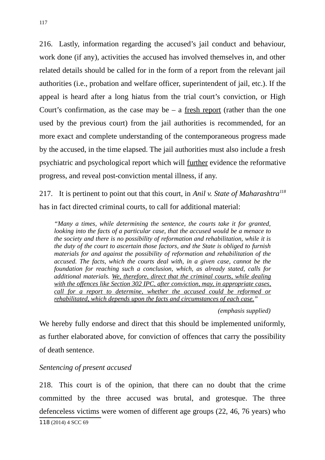216. Lastly, information regarding the accused's jail conduct and behaviour, work done (if any), activities the accused has involved themselves in, and other related details should be called for in the form of a report from the relevant jail authorities (i.e., probation and welfare officer, superintendent of jail, etc.). If the appeal is heard after a long hiatus from the trial court's conviction, or High Court's confirmation, as the case may be  $-$  a <u>fresh report</u> (rather than the one used by the previous court) from the jail authorities is recommended, for an more exact and complete understanding of the contemporaneous progress made by the accused, in the time elapsed. The jail authorities must also include a fresh psychiatric and psychological report which will further evidence the reformative progress, and reveal post-conviction mental illness, if any.

217. It is pertinent to point out that this court, in *Anil v. State of Maharashtra[118](#page-116-0)* has in fact directed criminal courts, to call for additional material:

*"Many a times, while determining the sentence, the courts take it for granted, looking into the facts of a particular case, that the accused would be a menace to the society and there is no possibility of reformation and rehabilitation, while it is the duty of the court to ascertain those factors, and the State is obliged to furnish materials for and against the possibility of reformation and rehabilitation of the accused. The facts, which the courts deal with, in a given case, cannot be the foundation for reaching such a conclusion, which, as already stated, calls for additional materials. We, therefore, direct that the criminal courts, while dealing with the offences like Section 302 IPC, after conviction, may, in appropriate cases, call for a report to determine, whether the accused could be reformed or rehabilitated, which depends upon the facts and circumstances of each case."* 

## *(emphasis supplied)*

We hereby fully endorse and direct that this should be implemented uniformly, as further elaborated above, for conviction of offences that carry the possibility of death sentence.

# *Sentencing of present accused*

<span id="page-116-0"></span>218. This court is of the opinion, that there can no doubt that the crime committed by the three accused was brutal, and grotesque. The three defenceless victims were women of different age groups (22, 46, 76 years) who 118 (2014) 4 SCC 69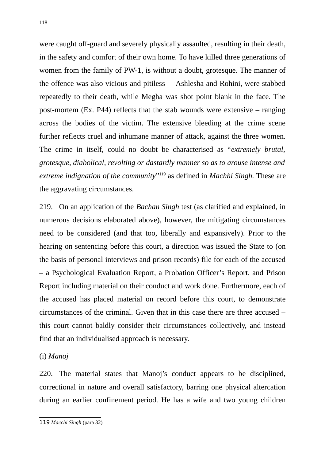were caught off-guard and severely physically assaulted, resulting in their death, in the safety and comfort of their own home. To have killed three generations of women from the family of PW-1, is without a doubt, grotesque. The manner of the offence was also vicious and pitiless – Ashlesha and Rohini, were stabbed repeatedly to their death, while Megha was shot point blank in the face. The post-mortem (Ex. P44) reflects that the stab wounds were extensive  $-$  ranging across the bodies of the victim. The extensive bleeding at the crime scene further reflects cruel and inhumane manner of attack, against the three women. The crime in itself, could no doubt be characterised as "*extremely brutal, grotesque, diabolical, revolting or dastardly manner so as to arouse intense and extreme indignation of the community*" [119](#page-117-0) as defined in *Machhi Singh.* These are the aggravating circumstances.

219. On an application of the *Bachan Singh* test (as clarified and explained, in numerous decisions elaborated above), however, the mitigating circumstances need to be considered (and that too, liberally and expansively). Prior to the hearing on sentencing before this court, a direction was issued the State to (on the basis of personal interviews and prison records) file for each of the accused – a Psychological Evaluation Report, a Probation Officer's Report, and Prison Report including material on their conduct and work done. Furthermore, each of the accused has placed material on record before this court, to demonstrate circumstances of the criminal. Given that in this case there are three accused – this court cannot baldly consider their circumstances collectively, and instead find that an individualised approach is necessary.

# (i) *Manoj*

220. The material states that Manoj's conduct appears to be disciplined, correctional in nature and overall satisfactory, barring one physical altercation during an earlier confinement period. He has a wife and two young children

<span id="page-117-0"></span><sup>119</sup> *Macchi Singh* (para 32)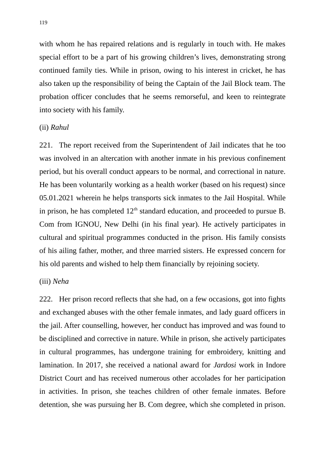with whom he has repaired relations and is regularly in touch with. He makes special effort to be a part of his growing children's lives, demonstrating strong continued family ties. While in prison, owing to his interest in cricket, he has also taken up the responsibility of being the Captain of the Jail Block team. The probation officer concludes that he seems remorseful, and keen to reintegrate into society with his family.

## (ii) *Rahul*

221. The report received from the Superintendent of Jail indicates that he too was involved in an altercation with another inmate in his previous confinement period, but his overall conduct appears to be normal, and correctional in nature. He has been voluntarily working as a health worker (based on his request) since 05.01.2021 wherein he helps transports sick inmates to the Jail Hospital. While in prison, he has completed  $12<sup>th</sup>$  standard education, and proceeded to pursue B. Com from IGNOU, New Delhi (in his final year). He actively participates in cultural and spiritual programmes conducted in the prison. His family consists of his ailing father, mother, and three married sisters. He expressed concern for his old parents and wished to help them financially by rejoining society.

#### (iii) *Neha*

222. Her prison record reflects that she had, on a few occasions, got into fights and exchanged abuses with the other female inmates, and lady guard officers in the jail. After counselling, however, her conduct has improved and was found to be disciplined and corrective in nature. While in prison, she actively participates in cultural programmes, has undergone training for embroidery, knitting and lamination. In 2017, she received a national award for *Jardosi* work in Indore District Court and has received numerous other accolades for her participation in activities. In prison, she teaches children of other female inmates. Before detention, she was pursuing her B. Com degree, which she completed in prison.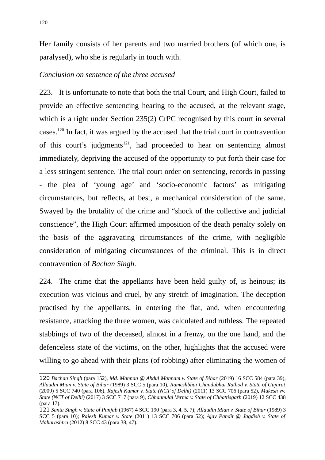Her family consists of her parents and two married brothers (of which one, is paralysed), who she is regularly in touch with.

### *Conclusion on sentence of the three accused*

223. It is unfortunate to note that both the trial Court, and High Court, failed to provide an effective sentencing hearing to the accused, at the relevant stage, which is a right under Section 235(2) CrPC recognised by this court in several cases.[120](#page-119-0) In fact, it was argued by the accused that the trial court in contravention of this court's judgments<sup>[121](#page-119-1)</sup>, had proceeded to hear on sentencing almost immediately, depriving the accused of the opportunity to put forth their case for a less stringent sentence. The trial court order on sentencing, records in passing - the plea of 'young age' and 'socio-economic factors' as mitigating circumstances, but reflects, at best, a mechanical consideration of the same. Swayed by the brutality of the crime and "shock of the collective and judicial conscience", the High Court affirmed imposition of the death penalty solely on the basis of the aggravating circumstances of the crime, with negligible consideration of mitigating circumstances of the criminal. This is in direct contravention of *Bachan Singh*.

224. The crime that the appellants have been held guilty of, is heinous; its execution was vicious and cruel, by any stretch of imagination. The deception practised by the appellants, in entering the flat, and, when encountering resistance, attacking the three women, was calculated and ruthless. The repeated stabbings of two of the deceased, almost in a frenzy, on the one hand, and the defenceless state of the victims, on the other, highlights that the accused were willing to go ahead with their plans (of robbing) after eliminating the women of

<span id="page-119-0"></span><sup>120</sup> *Bachan Singh* (para 152), *Md. Mannan @ Abdul Mannam v. State of Bihar* (2019) 16 SCC 584 (para 39), *Allaudin Mian v. State of Bihar* (1989) 3 SCC 5 (para 10), *Rameshbhai Chandubhai Rathod v. State of Gujarat* (2009) 5 SCC 740 (para 106), *Rajesh Kumar v. State (NCT of Delhi)* (2011) 13 SCC 706 (para 52), *Mukesh vv. State (NCT of Delhi)* (2017) 3 SCC 717 (para 9), *Chhannulal Verma v. State of Chhattisgarh* (2019) 12 SCC 438 (para 17).

<span id="page-119-1"></span><sup>121</sup> *Santa Singh v. State of Punjab* (1967) 4 SCC 190 (para 3, 4, 5, 7); *Allaudin Mian v. State of Bihar* (1989) 3 SCC 5 (para 10); *Rajesh Kumar v. State* (2011) 13 SCC 706 (para 52); *Ajay Pandit @ Jagdish v. State of Maharashtra* (2012) 8 SCC 43 (para 38, 47).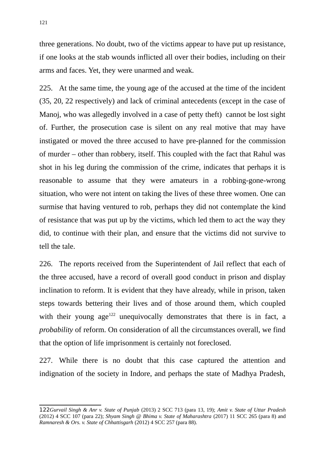three generations. No doubt, two of the victims appear to have put up resistance, if one looks at the stab wounds inflicted all over their bodies, including on their arms and faces. Yet, they were unarmed and weak.

225. At the same time, the young age of the accused at the time of the incident (35, 20, 22 respectively) and lack of criminal antecedents (except in the case of Manoj, who was allegedly involved in a case of petty theft) cannot be lost sight of. Further, the prosecution case is silent on any real motive that may have instigated or moved the three accused to have pre-planned for the commission of murder – other than robbery, itself. This coupled with the fact that Rahul was shot in his leg during the commission of the crime, indicates that perhaps it is reasonable to assume that they were amateurs in a robbing-gone-wrong situation, who were not intent on taking the lives of these three women. One can surmise that having ventured to rob, perhaps they did not contemplate the kind of resistance that was put up by the victims, which led them to act the way they did, to continue with their plan, and ensure that the victims did not survive to tell the tale.

226. The reports received from the Superintendent of Jail reflect that each of the three accused, have a record of overall good conduct in prison and display inclination to reform. It is evident that they have already, while in prison, taken steps towards bettering their lives and of those around them, which coupled with their young age<sup>[122](#page-120-0)</sup> unequivocally demonstrates that there is in fact, a *probability* of reform. On consideration of all the circumstances overall, we find that the option of life imprisonment is certainly not foreclosed.

227. While there is no doubt that this case captured the attention and indignation of the society in Indore, and perhaps the state of Madhya Pradesh,

<span id="page-120-0"></span><sup>122</sup>*Gurvail Singh & Anr v. State of Punjab* (2013) 2 SCC 713 (para 13, 19); *Amit v. State of Uttar Pradesh* (2012) 4 SCC 107 (para 22); *Shyam Singh @ Bhima v. State of Maharashtra* (2017) 11 SCC 265 (para 8) and *Ramnaresh & Ors. v. State of Chhattisgarh* (2012) 4 SCC 257 (para 88).